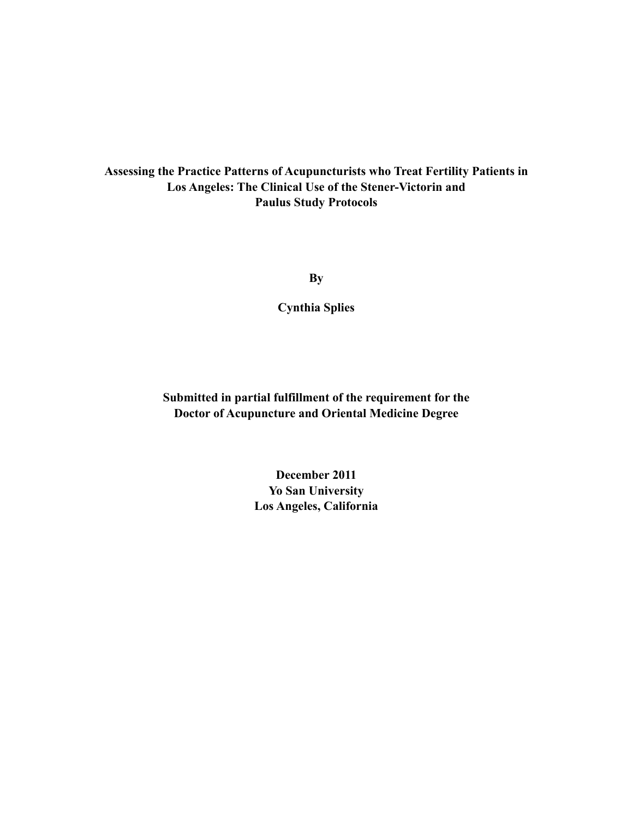## **Assessing the Practice Patterns of Acupuncturists who Treat Fertility Patients in Los Angeles: The Clinical Use of the Stener-Victorin and Paulus Study Protocols**

**By**

**Cynthia Splies**

**Submitted in partial fulfillment of the requirement for the Doctor of Acupuncture and Oriental Medicine Degree**

> **December 2011 Yo San University Los Angeles, California**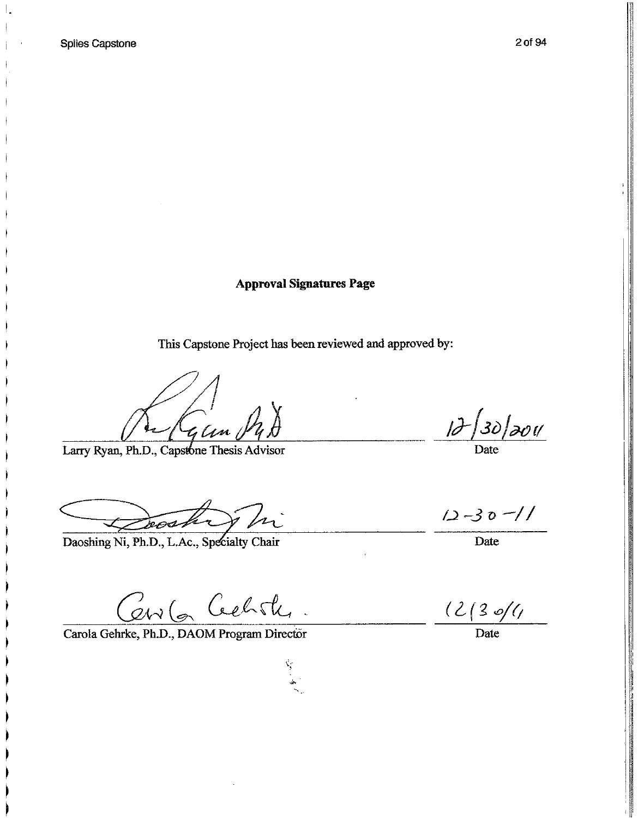**Approval Signatures Page** 

This Capstone Project has been reviewed and approved by:

ý,

 $\frac{1}{4}$ len  $\frac{1}{4}$ 

Larry Ryan, Ph.D., Capstone Thesis Advisor

Doch Vi

Daoshing Ni, Ph.D., L.Ac., Specialty Chair

Cerv 6 Cechite.

Carola Gehrke, Ph.D., DAOM Program Director

12/30/2011

 $12 - 30 - 11$ 

Date

 $\frac{(2/3 \cdot 6)}{2}$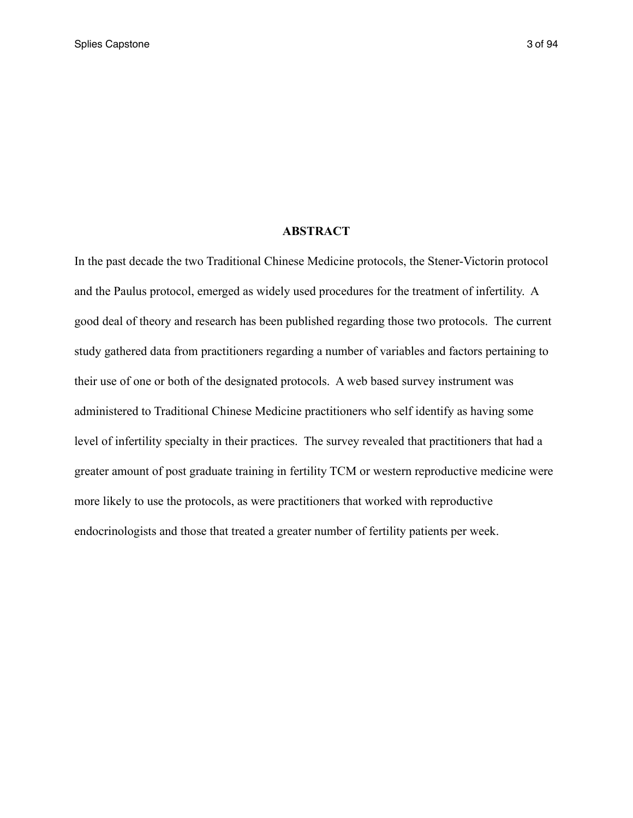### **ABSTRACT**

In the past decade the two Traditional Chinese Medicine protocols, the Stener-Victorin protocol and the Paulus protocol, emerged as widely used procedures for the treatment of infertility. A good deal of theory and research has been published regarding those two protocols. The current study gathered data from practitioners regarding a number of variables and factors pertaining to their use of one or both of the designated protocols. A web based survey instrument was administered to Traditional Chinese Medicine practitioners who self identify as having some level of infertility specialty in their practices. The survey revealed that practitioners that had a greater amount of post graduate training in fertility TCM or western reproductive medicine were more likely to use the protocols, as were practitioners that worked with reproductive endocrinologists and those that treated a greater number of fertility patients per week.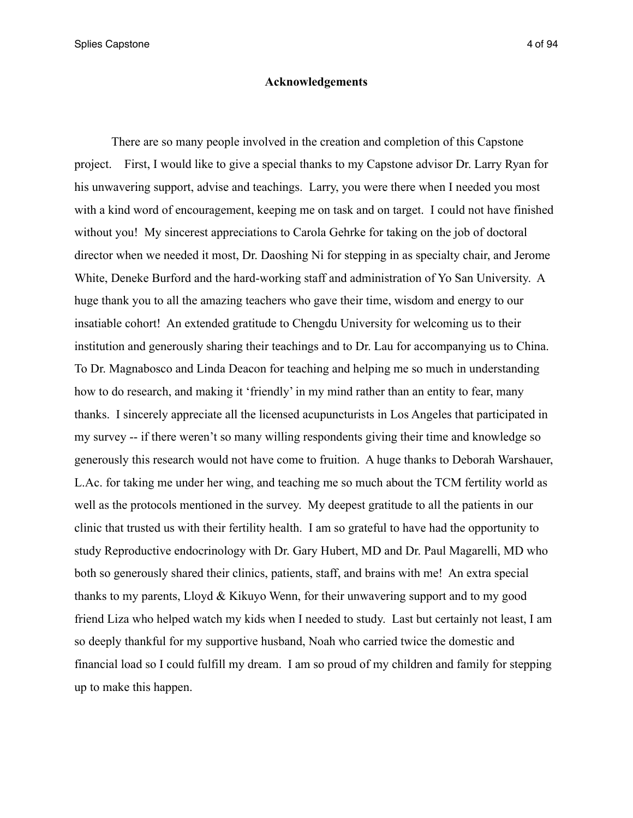Splies Capstone 4 of 94

#### **Acknowledgements**

 There are so many people involved in the creation and completion of this Capstone project. First, I would like to give a special thanks to my Capstone advisor Dr. Larry Ryan for his unwavering support, advise and teachings. Larry, you were there when I needed you most with a kind word of encouragement, keeping me on task and on target. I could not have finished without you! My sincerest appreciations to Carola Gehrke for taking on the job of doctoral director when we needed it most, Dr. Daoshing Ni for stepping in as specialty chair, and Jerome White, Deneke Burford and the hard-working staff and administration of Yo San University. A huge thank you to all the amazing teachers who gave their time, wisdom and energy to our insatiable cohort! An extended gratitude to Chengdu University for welcoming us to their institution and generously sharing their teachings and to Dr. Lau for accompanying us to China. To Dr. Magnabosco and Linda Deacon for teaching and helping me so much in understanding how to do research, and making it 'friendly' in my mind rather than an entity to fear, many thanks. I sincerely appreciate all the licensed acupuncturists in Los Angeles that participated in my survey -- if there weren't so many willing respondents giving their time and knowledge so generously this research would not have come to fruition. A huge thanks to Deborah Warshauer, L.Ac. for taking me under her wing, and teaching me so much about the TCM fertility world as well as the protocols mentioned in the survey. My deepest gratitude to all the patients in our clinic that trusted us with their fertility health. I am so grateful to have had the opportunity to study Reproductive endocrinology with Dr. Gary Hubert, MD and Dr. Paul Magarelli, MD who both so generously shared their clinics, patients, staff, and brains with me! An extra special thanks to my parents, Lloyd & Kikuyo Wenn, for their unwavering support and to my good friend Liza who helped watch my kids when I needed to study. Last but certainly not least, I am so deeply thankful for my supportive husband, Noah who carried twice the domestic and financial load so I could fulfill my dream. I am so proud of my children and family for stepping up to make this happen.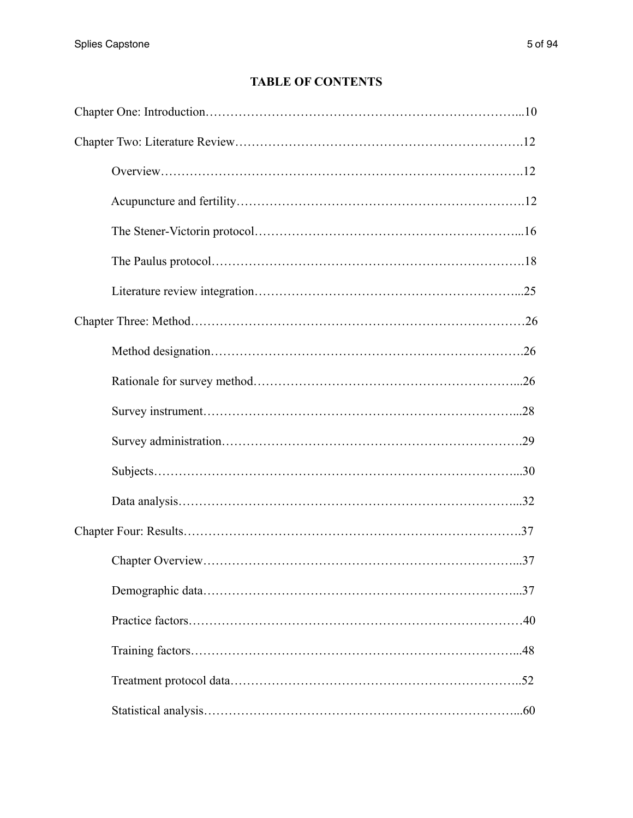## **TABLE OF CONTENTS**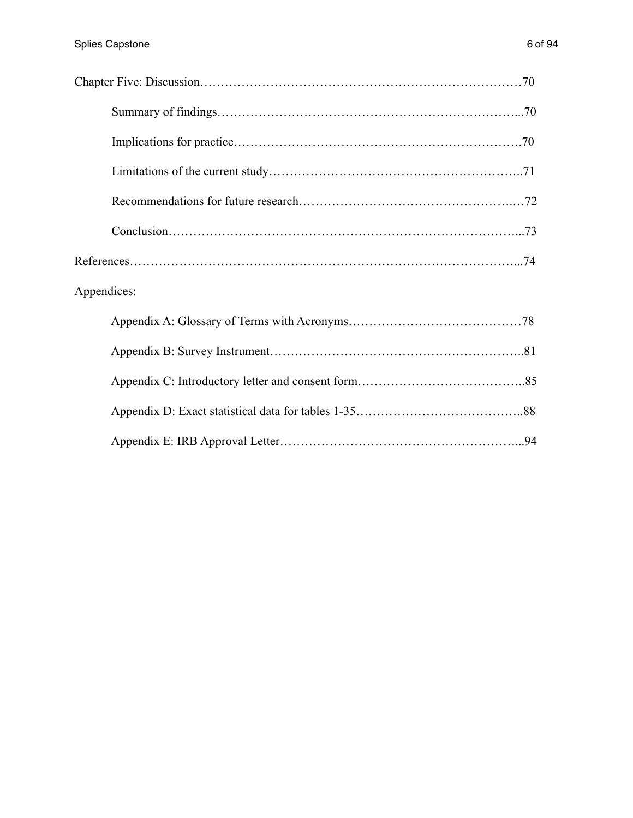| Appendices: |  |
|-------------|--|
|             |  |
|             |  |
|             |  |
|             |  |
|             |  |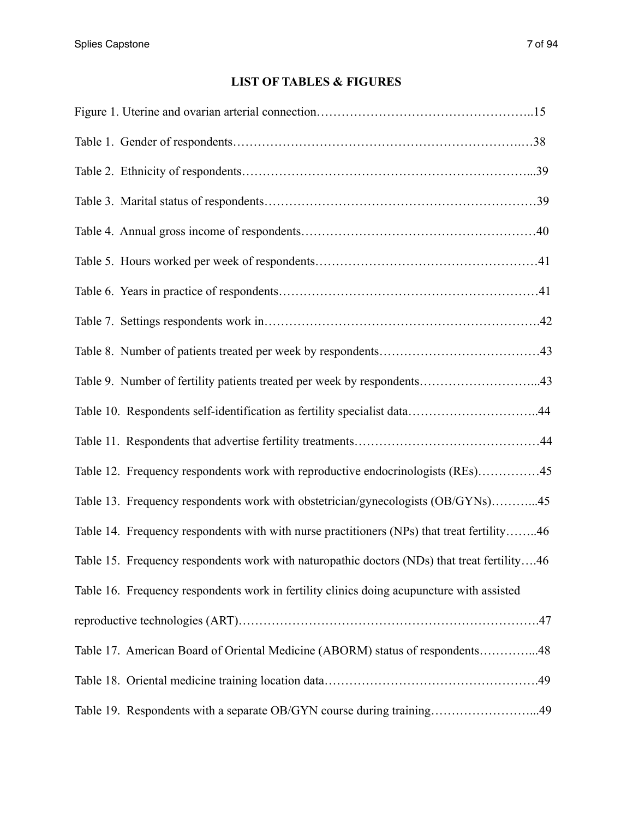# **LIST OF TABLES & FIGURES**

| Table 9. Number of fertility patients treated per week by respondents43                     |  |
|---------------------------------------------------------------------------------------------|--|
| Table 10. Respondents self-identification as fertility specialist data44                    |  |
|                                                                                             |  |
| Table 12. Frequency respondents work with reproductive endocrinologists (REs)45             |  |
| Table 13. Frequency respondents work with obstetrician/gynecologists (OB/GYNs)45            |  |
| Table 14. Frequency respondents with with nurse practitioners (NPs) that treat fertility46  |  |
| Table 15. Frequency respondents work with naturopathic doctors (NDs) that treat fertility46 |  |
| Table 16. Frequency respondents work in fertility clinics doing acupuncture with assisted   |  |
|                                                                                             |  |
| Table 17. American Board of Oriental Medicine (ABORM) status of respondents48               |  |
|                                                                                             |  |
| Table 19. Respondents with a separate OB/GYN course during training49                       |  |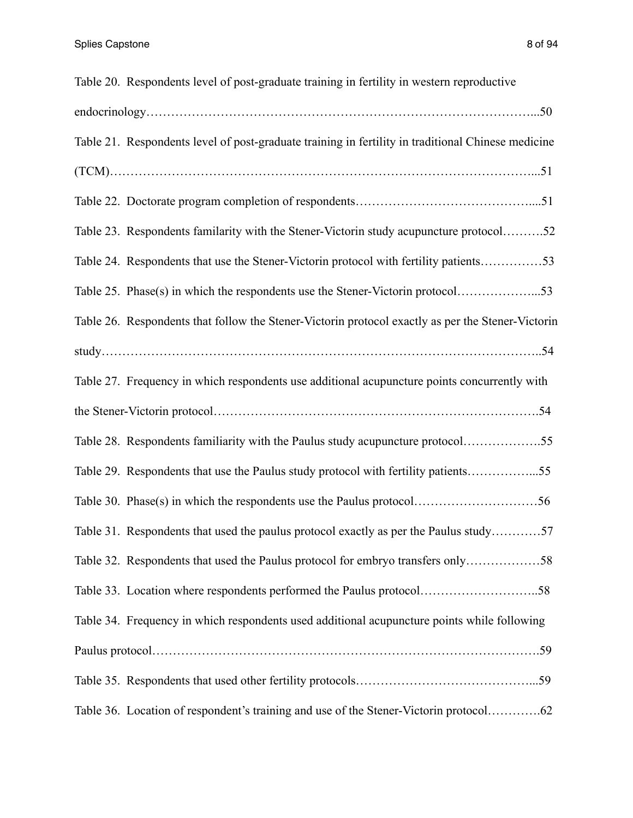| Table 20. Respondents level of post-graduate training in fertility in western reproductive         |
|----------------------------------------------------------------------------------------------------|
|                                                                                                    |
| Table 21. Respondents level of post-graduate training in fertility in traditional Chinese medicine |
|                                                                                                    |
|                                                                                                    |
| Table 23. Respondents familarity with the Stener-Victorin study acupuncture protocol52             |
| Table 24. Respondents that use the Stener-Victorin protocol with fertility patients53              |
| Table 25. Phase(s) in which the respondents use the Stener-Victorin protocol53                     |
| Table 26. Respondents that follow the Stener-Victorin protocol exactly as per the Stener-Victorin  |
|                                                                                                    |
| Table 27. Frequency in which respondents use additional acupuncture points concurrently with       |
|                                                                                                    |
| Table 28. Respondents familiarity with the Paulus study acupuncture protocol55                     |
| Table 29. Respondents that use the Paulus study protocol with fertility patients55                 |
|                                                                                                    |
| Table 31. Respondents that used the paulus protocol exactly as per the Paulus study57              |
| Table 32. Respondents that used the Paulus protocol for embryo transfers only58                    |
|                                                                                                    |
| Table 34. Frequency in which respondents used additional acupuncture points while following        |
|                                                                                                    |
|                                                                                                    |
| Table 36. Location of respondent's training and use of the Stener-Victorin protocol62              |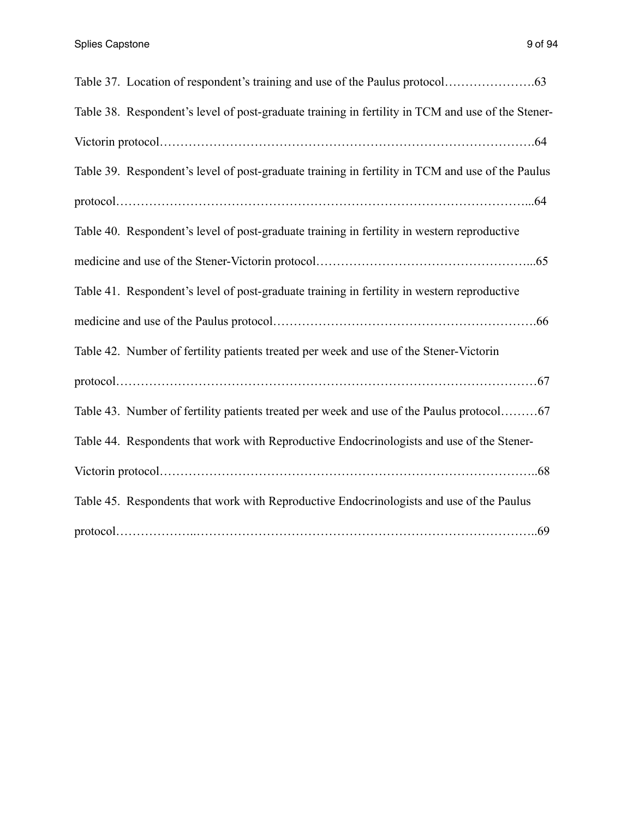| Table 38. Respondent's level of post-graduate training in fertility in TCM and use of the Stener- |
|---------------------------------------------------------------------------------------------------|
|                                                                                                   |
| Table 39. Respondent's level of post-graduate training in fertility in TCM and use of the Paulus  |
|                                                                                                   |
| Table 40. Respondent's level of post-graduate training in fertility in western reproductive       |
|                                                                                                   |
| Table 41. Respondent's level of post-graduate training in fertility in western reproductive       |
|                                                                                                   |
| Table 42. Number of fertility patients treated per week and use of the Stener-Victorin            |
|                                                                                                   |
| Table 43. Number of fertility patients treated per week and use of the Paulus protocol67          |
| Table 44. Respondents that work with Reproductive Endocrinologists and use of the Stener-         |
|                                                                                                   |
| Table 45. Respondents that work with Reproductive Endocrinologists and use of the Paulus          |
|                                                                                                   |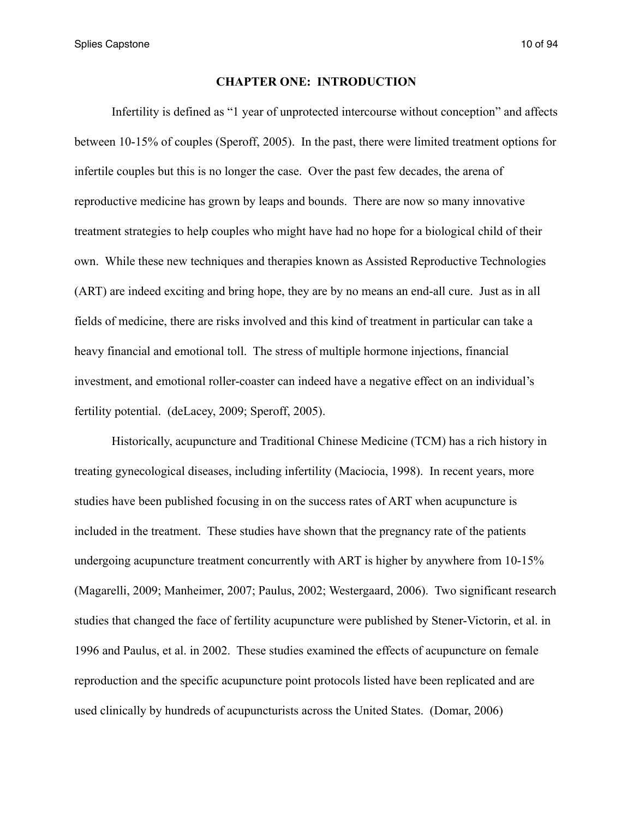Splies Capstone 10 of 94

### **CHAPTER ONE: INTRODUCTION**

 Infertility is defined as "1 year of unprotected intercourse without conception" and affects between 10-15% of couples (Speroff, 2005). In the past, there were limited treatment options for infertile couples but this is no longer the case. Over the past few decades, the arena of reproductive medicine has grown by leaps and bounds. There are now so many innovative treatment strategies to help couples who might have had no hope for a biological child of their own. While these new techniques and therapies known as Assisted Reproductive Technologies (ART) are indeed exciting and bring hope, they are by no means an end-all cure. Just as in all fields of medicine, there are risks involved and this kind of treatment in particular can take a heavy financial and emotional toll. The stress of multiple hormone injections, financial investment, and emotional roller-coaster can indeed have a negative effect on an individual's fertility potential. (deLacey, 2009; Speroff, 2005).

 Historically, acupuncture and Traditional Chinese Medicine (TCM) has a rich history in treating gynecological diseases, including infertility (Maciocia, 1998). In recent years, more studies have been published focusing in on the success rates of ART when acupuncture is included in the treatment. These studies have shown that the pregnancy rate of the patients undergoing acupuncture treatment concurrently with ART is higher by anywhere from 10-15% (Magarelli, 2009; Manheimer, 2007; Paulus, 2002; Westergaard, 2006). Two significant research studies that changed the face of fertility acupuncture were published by Stener-Victorin, et al. in 1996 and Paulus, et al. in 2002. These studies examined the effects of acupuncture on female reproduction and the specific acupuncture point protocols listed have been replicated and are used clinically by hundreds of acupuncturists across the United States. (Domar, 2006)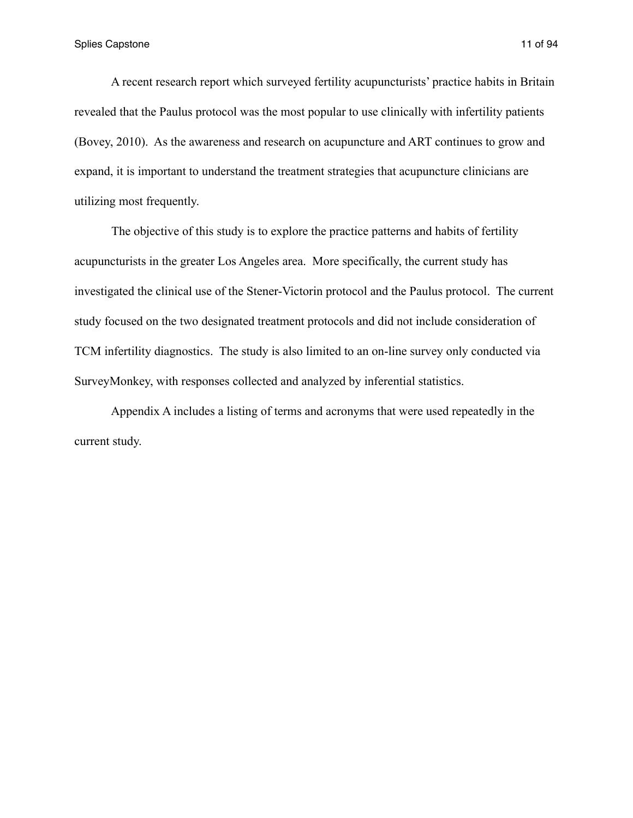A recent research report which surveyed fertility acupuncturists' practice habits in Britain revealed that the Paulus protocol was the most popular to use clinically with infertility patients (Bovey, 2010). As the awareness and research on acupuncture and ART continues to grow and expand, it is important to understand the treatment strategies that acupuncture clinicians are utilizing most frequently.

 The objective of this study is to explore the practice patterns and habits of fertility acupuncturists in the greater Los Angeles area. More specifically, the current study has investigated the clinical use of the Stener-Victorin protocol and the Paulus protocol. The current study focused on the two designated treatment protocols and did not include consideration of TCM infertility diagnostics. The study is also limited to an on-line survey only conducted via SurveyMonkey, with responses collected and analyzed by inferential statistics.

 Appendix A includes a listing of terms and acronyms that were used repeatedly in the current study.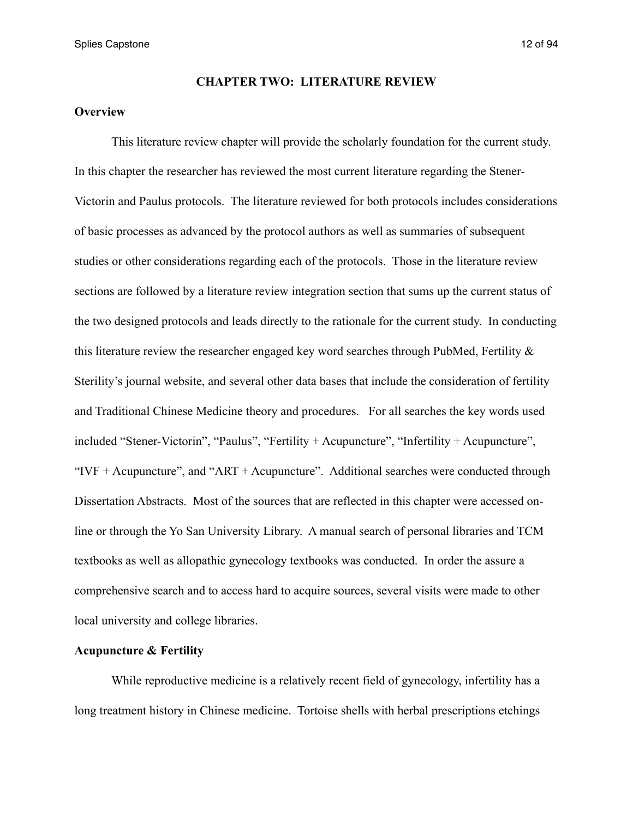Splies Capstone 12 of 94

### **CHAPTER TWO: LITERATURE REVIEW**

### **Overview**

 This literature review chapter will provide the scholarly foundation for the current study. In this chapter the researcher has reviewed the most current literature regarding the Stener-Victorin and Paulus protocols. The literature reviewed for both protocols includes considerations of basic processes as advanced by the protocol authors as well as summaries of subsequent studies or other considerations regarding each of the protocols. Those in the literature review sections are followed by a literature review integration section that sums up the current status of the two designed protocols and leads directly to the rationale for the current study. In conducting this literature review the researcher engaged key word searches through PubMed, Fertility  $\&$ Sterility's journal website, and several other data bases that include the consideration of fertility and Traditional Chinese Medicine theory and procedures. For all searches the key words used included "Stener-Victorin", "Paulus", "Fertility + Acupuncture", "Infertility + Acupuncture", " $IVF + Acupuncture"$ , and " $ART + Acupuncture"$ . Additional searches were conducted through Dissertation Abstracts. Most of the sources that are reflected in this chapter were accessed online or through the Yo San University Library. A manual search of personal libraries and TCM textbooks as well as allopathic gynecology textbooks was conducted. In order the assure a comprehensive search and to access hard to acquire sources, several visits were made to other local university and college libraries.

### **Acupuncture & Fertility**

 While reproductive medicine is a relatively recent field of gynecology, infertility has a long treatment history in Chinese medicine. Tortoise shells with herbal prescriptions etchings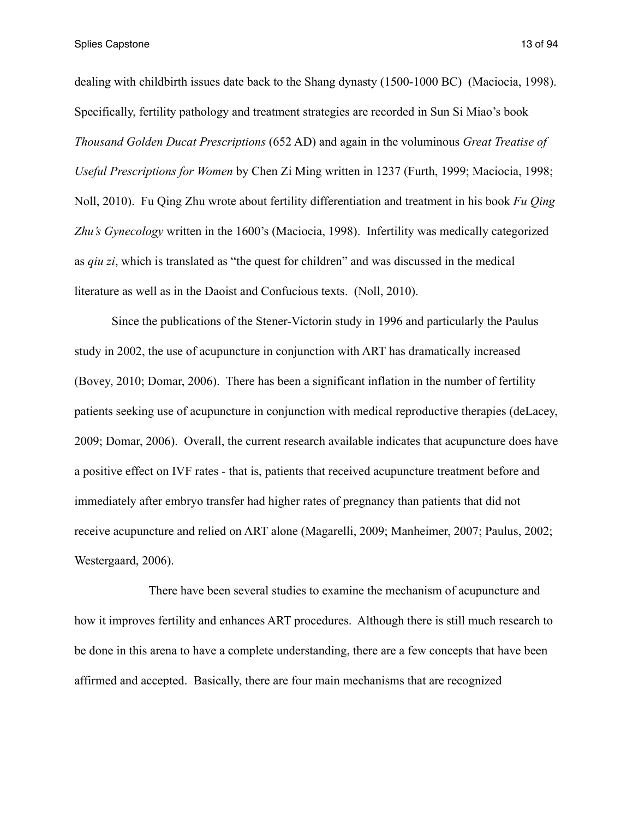Splies Capstone 13 of 94

dealing with childbirth issues date back to the Shang dynasty (1500-1000 BC) (Maciocia, 1998). Specifically, fertility pathology and treatment strategies are recorded in Sun Si Miao's book *Thousand Golden Ducat Prescriptions* (652 AD) and again in the voluminous *Great Treatise of Useful Prescriptions for Women* by Chen Zi Ming written in 1237 (Furth, 1999; Maciocia, 1998; Noll, 2010). Fu Qing Zhu wrote about fertility differentiation and treatment in his book *Fu Qing Zhu's Gynecology* written in the 1600's (Maciocia, 1998). Infertility was medically categorized as *qiu zi*, which is translated as "the quest for children" and was discussed in the medical literature as well as in the Daoist and Confucious texts. (Noll, 2010).

 Since the publications of the Stener-Victorin study in 1996 and particularly the Paulus study in 2002, the use of acupuncture in conjunction with ART has dramatically increased (Bovey, 2010; Domar, 2006). There has been a significant inflation in the number of fertility patients seeking use of acupuncture in conjunction with medical reproductive therapies (deLacey, 2009; Domar, 2006). Overall, the current research available indicates that acupuncture does have a positive effect on IVF rates - that is, patients that received acupuncture treatment before and immediately after embryo transfer had higher rates of pregnancy than patients that did not receive acupuncture and relied on ART alone (Magarelli, 2009; Manheimer, 2007; Paulus, 2002; Westergaard, 2006).

 There have been several studies to examine the mechanism of acupuncture and how it improves fertility and enhances ART procedures. Although there is still much research to be done in this arena to have a complete understanding, there are a few concepts that have been affirmed and accepted. Basically, there are four main mechanisms that are recognized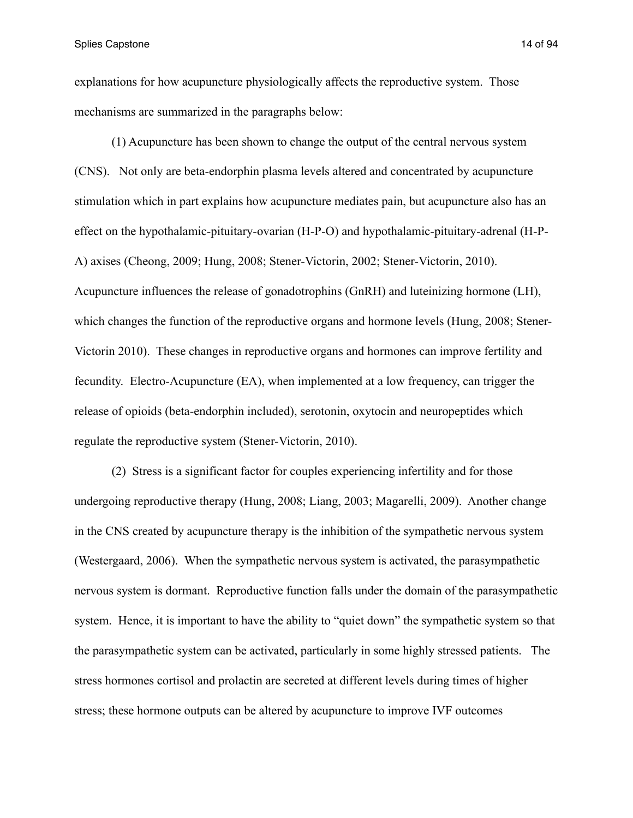Splies Capstone 14 of 94

explanations for how acupuncture physiologically affects the reproductive system. Those mechanisms are summarized in the paragraphs below:

 (1) Acupuncture has been shown to change the output of the central nervous system (CNS). Not only are beta-endorphin plasma levels altered and concentrated by acupuncture stimulation which in part explains how acupuncture mediates pain, but acupuncture also has an effect on the hypothalamic-pituitary-ovarian (H-P-O) and hypothalamic-pituitary-adrenal (H-P-A) axises (Cheong, 2009; Hung, 2008; Stener-Victorin, 2002; Stener-Victorin, 2010). Acupuncture influences the release of gonadotrophins (GnRH) and luteinizing hormone (LH), which changes the function of the reproductive organs and hormone levels (Hung, 2008; Stener-Victorin 2010). These changes in reproductive organs and hormones can improve fertility and fecundity. Electro-Acupuncture (EA), when implemented at a low frequency, can trigger the release of opioids (beta-endorphin included), serotonin, oxytocin and neuropeptides which regulate the reproductive system (Stener-Victorin, 2010).

 (2) Stress is a significant factor for couples experiencing infertility and for those undergoing reproductive therapy (Hung, 2008; Liang, 2003; Magarelli, 2009). Another change in the CNS created by acupuncture therapy is the inhibition of the sympathetic nervous system (Westergaard, 2006). When the sympathetic nervous system is activated, the parasympathetic nervous system is dormant. Reproductive function falls under the domain of the parasympathetic system. Hence, it is important to have the ability to "quiet down" the sympathetic system so that the parasympathetic system can be activated, particularly in some highly stressed patients. The stress hormones cortisol and prolactin are secreted at different levels during times of higher stress; these hormone outputs can be altered by acupuncture to improve IVF outcomes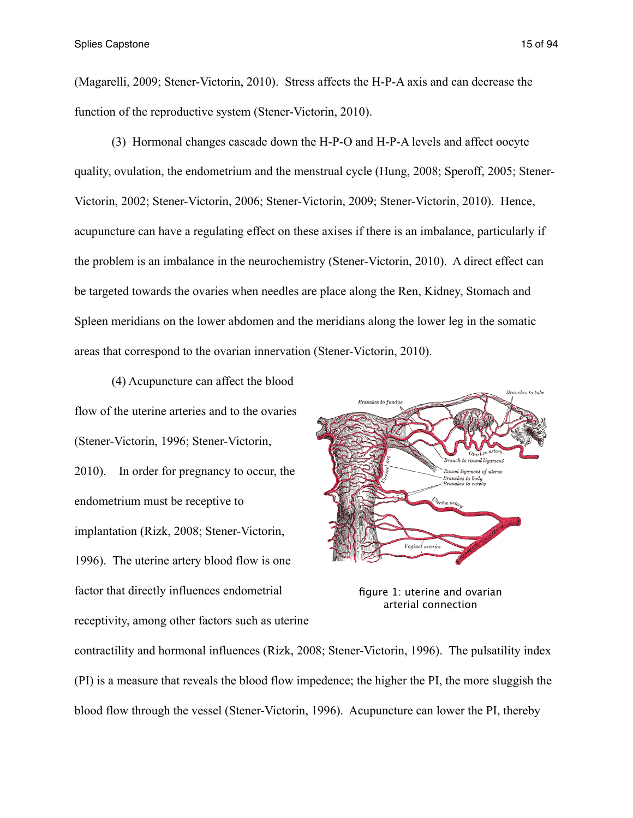(Magarelli, 2009; Stener-Victorin, 2010). Stress affects the H-P-A axis and can decrease the function of the reproductive system (Stener-Victorin, 2010).

 (3) Hormonal changes cascade down the H-P-O and H-P-A levels and affect oocyte quality, ovulation, the endometrium and the menstrual cycle (Hung, 2008; Speroff, 2005; Stener-Victorin, 2002; Stener-Victorin, 2006; Stener-Victorin, 2009; Stener-Victorin, 2010). Hence, acupuncture can have a regulating effect on these axises if there is an imbalance, particularly if the problem is an imbalance in the neurochemistry (Stener-Victorin, 2010). A direct effect can be targeted towards the ovaries when needles are place along the Ren, Kidney, Stomach and Spleen meridians on the lower abdomen and the meridians along the lower leg in the somatic areas that correspond to the ovarian innervation (Stener-Victorin, 2010).

 (4) Acupuncture can affect the blood flow of the uterine arteries and to the ovaries (Stener-Victorin, 1996; Stener-Victorin, 2010). In order for pregnancy to occur, the endometrium must be receptive to implantation (Rizk, 2008; Stener-Victorin, 1996). The uterine artery blood flow is one factor that directly influences endometrial receptivity, among other factors such as uterine



figure 1: uterine and ovarian arterial connection

contractility and hormonal influences (Rizk, 2008; Stener-Victorin, 1996). The pulsatility index (PI) is a measure that reveals the blood flow impedence; the higher the PI, the more sluggish the blood flow through the vessel (Stener-Victorin, 1996). Acupuncture can lower the PI, thereby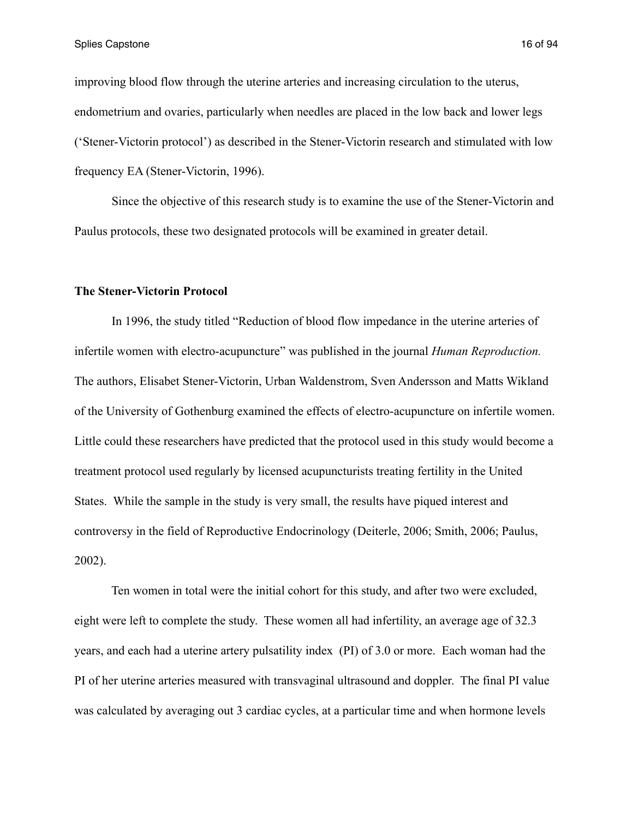improving blood flow through the uterine arteries and increasing circulation to the uterus, endometrium and ovaries, particularly when needles are placed in the low back and lower legs ('Stener-Victorin protocol') as described in the Stener-Victorin research and stimulated with low frequency EA (Stener-Victorin, 1996).

 Since the objective of this research study is to examine the use of the Stener-Victorin and Paulus protocols, these two designated protocols will be examined in greater detail.

#### **The Stener-Victorin Protocol**

 In 1996, the study titled "Reduction of blood flow impedance in the uterine arteries of infertile women with electro-acupuncture" was published in the journal *Human Reproduction.* The authors, Elisabet Stener-Victorin, Urban Waldenstrom, Sven Andersson and Matts Wikland of the University of Gothenburg examined the effects of electro-acupuncture on infertile women. Little could these researchers have predicted that the protocol used in this study would become a treatment protocol used regularly by licensed acupuncturists treating fertility in the United States. While the sample in the study is very small, the results have piqued interest and controversy in the field of Reproductive Endocrinology (Deiterle, 2006; Smith, 2006; Paulus, 2002).

 Ten women in total were the initial cohort for this study, and after two were excluded, eight were left to complete the study. These women all had infertility, an average age of 32.3 years, and each had a uterine artery pulsatility index (PI) of 3.0 or more. Each woman had the PI of her uterine arteries measured with transvaginal ultrasound and doppler. The final PI value was calculated by averaging out 3 cardiac cycles, at a particular time and when hormone levels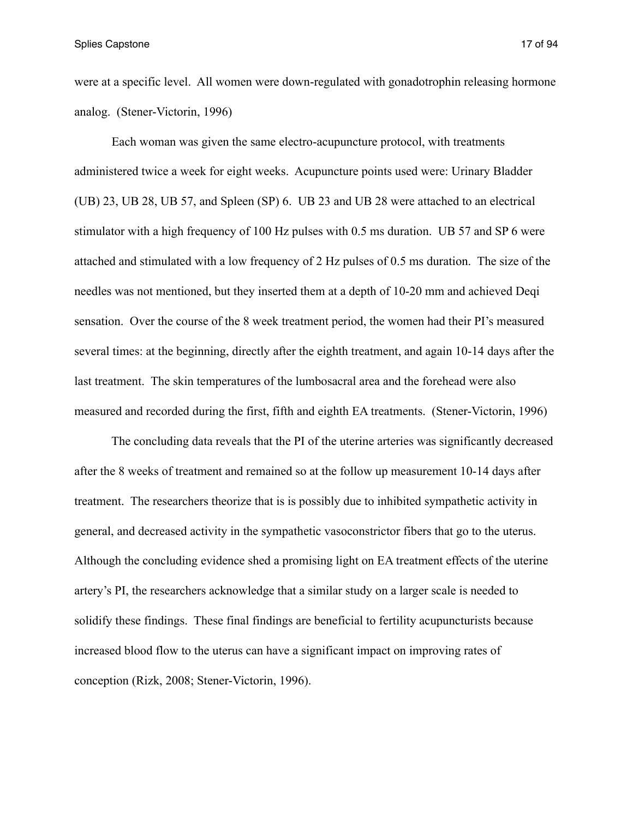were at a specific level. All women were down-regulated with gonadotrophin releasing hormone analog. (Stener-Victorin, 1996)

 Each woman was given the same electro-acupuncture protocol, with treatments administered twice a week for eight weeks. Acupuncture points used were: Urinary Bladder (UB) 23, UB 28, UB 57, and Spleen (SP) 6. UB 23 and UB 28 were attached to an electrical stimulator with a high frequency of 100 Hz pulses with 0.5 ms duration. UB 57 and SP 6 were attached and stimulated with a low frequency of 2 Hz pulses of 0.5 ms duration. The size of the needles was not mentioned, but they inserted them at a depth of 10-20 mm and achieved Deqi sensation. Over the course of the 8 week treatment period, the women had their PI's measured several times: at the beginning, directly after the eighth treatment, and again 10-14 days after the last treatment. The skin temperatures of the lumbosacral area and the forehead were also measured and recorded during the first, fifth and eighth EA treatments. (Stener-Victorin, 1996)

 The concluding data reveals that the PI of the uterine arteries was significantly decreased after the 8 weeks of treatment and remained so at the follow up measurement 10-14 days after treatment. The researchers theorize that is is possibly due to inhibited sympathetic activity in general, and decreased activity in the sympathetic vasoconstrictor fibers that go to the uterus. Although the concluding evidence shed a promising light on EA treatment effects of the uterine artery's PI, the researchers acknowledge that a similar study on a larger scale is needed to solidify these findings. These final findings are beneficial to fertility acupuncturists because increased blood flow to the uterus can have a significant impact on improving rates of conception (Rizk, 2008; Stener-Victorin, 1996).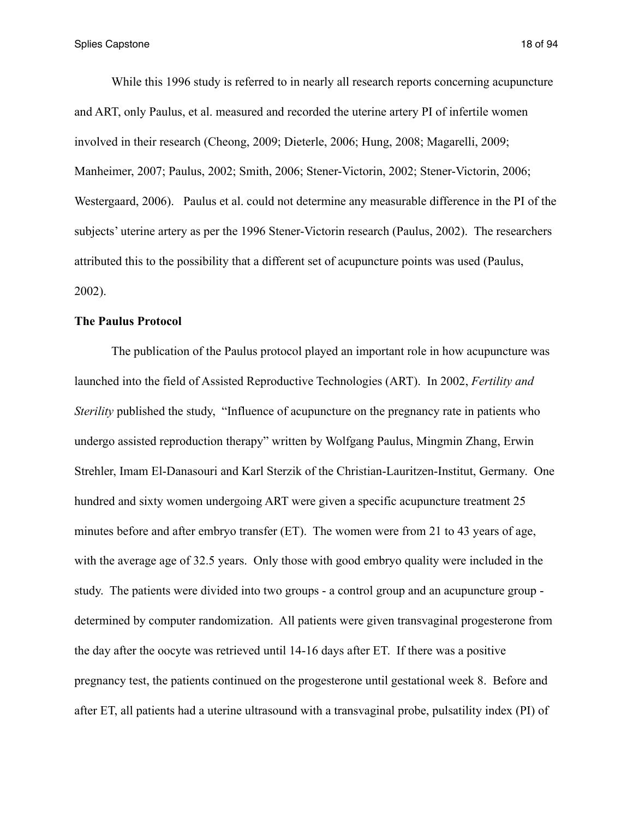Splies Capstone 18 of 94

 While this 1996 study is referred to in nearly all research reports concerning acupuncture and ART, only Paulus, et al. measured and recorded the uterine artery PI of infertile women involved in their research (Cheong, 2009; Dieterle, 2006; Hung, 2008; Magarelli, 2009; Manheimer, 2007; Paulus, 2002; Smith, 2006; Stener-Victorin, 2002; Stener-Victorin, 2006; Westergaard, 2006). Paulus et al. could not determine any measurable difference in the PI of the subjects' uterine artery as per the 1996 Stener-Victorin research (Paulus, 2002). The researchers attributed this to the possibility that a different set of acupuncture points was used (Paulus, 2002).

### **The Paulus Protocol**

 The publication of the Paulus protocol played an important role in how acupuncture was launched into the field of Assisted Reproductive Technologies (ART). In 2002, *Fertility and Sterility* published the study, "Influence of acupuncture on the pregnancy rate in patients who undergo assisted reproduction therapy" written by Wolfgang Paulus, Mingmin Zhang, Erwin Strehler, Imam El-Danasouri and Karl Sterzik of the Christian-Lauritzen-Institut, Germany. One hundred and sixty women undergoing ART were given a specific acupuncture treatment 25 minutes before and after embryo transfer (ET). The women were from 21 to 43 years of age, with the average age of 32.5 years. Only those with good embryo quality were included in the study. The patients were divided into two groups - a control group and an acupuncture group determined by computer randomization. All patients were given transvaginal progesterone from the day after the oocyte was retrieved until 14-16 days after ET. If there was a positive pregnancy test, the patients continued on the progesterone until gestational week 8. Before and after ET, all patients had a uterine ultrasound with a transvaginal probe, pulsatility index (PI) of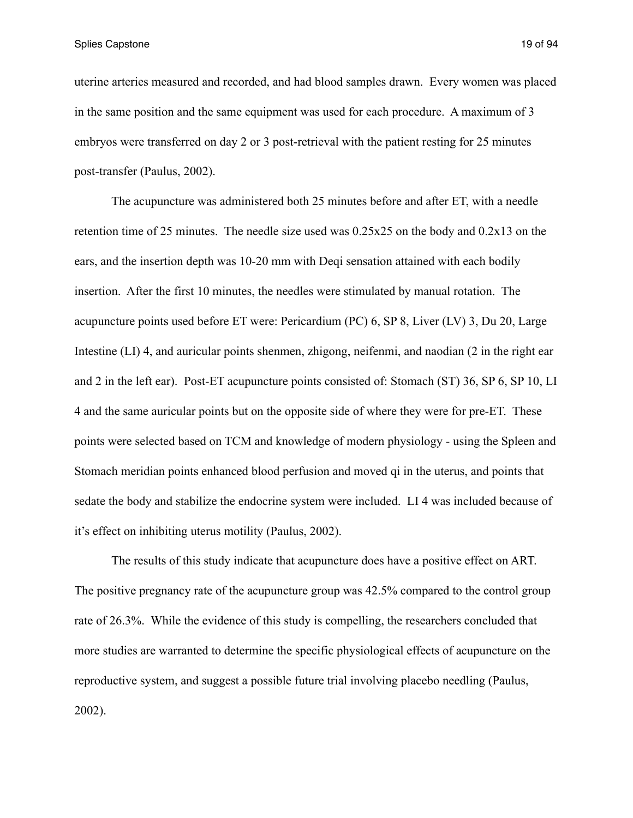Splies Capstone 19 of 94

uterine arteries measured and recorded, and had blood samples drawn. Every women was placed in the same position and the same equipment was used for each procedure. A maximum of 3 embryos were transferred on day 2 or 3 post-retrieval with the patient resting for 25 minutes post-transfer (Paulus, 2002).

 The acupuncture was administered both 25 minutes before and after ET, with a needle retention time of 25 minutes. The needle size used was 0.25x25 on the body and 0.2x13 on the ears, and the insertion depth was 10-20 mm with Deqi sensation attained with each bodily insertion. After the first 10 minutes, the needles were stimulated by manual rotation. The acupuncture points used before ET were: Pericardium (PC) 6, SP 8, Liver (LV) 3, Du 20, Large Intestine (LI) 4, and auricular points shenmen, zhigong, neifenmi, and naodian (2 in the right ear and 2 in the left ear). Post-ET acupuncture points consisted of: Stomach (ST) 36, SP 6, SP 10, LI 4 and the same auricular points but on the opposite side of where they were for pre-ET. These points were selected based on TCM and knowledge of modern physiology - using the Spleen and Stomach meridian points enhanced blood perfusion and moved qi in the uterus, and points that sedate the body and stabilize the endocrine system were included. LI 4 was included because of it's effect on inhibiting uterus motility (Paulus, 2002).

 The results of this study indicate that acupuncture does have a positive effect on ART. The positive pregnancy rate of the acupuncture group was 42.5% compared to the control group rate of 26.3%. While the evidence of this study is compelling, the researchers concluded that more studies are warranted to determine the specific physiological effects of acupuncture on the reproductive system, and suggest a possible future trial involving placebo needling (Paulus, 2002).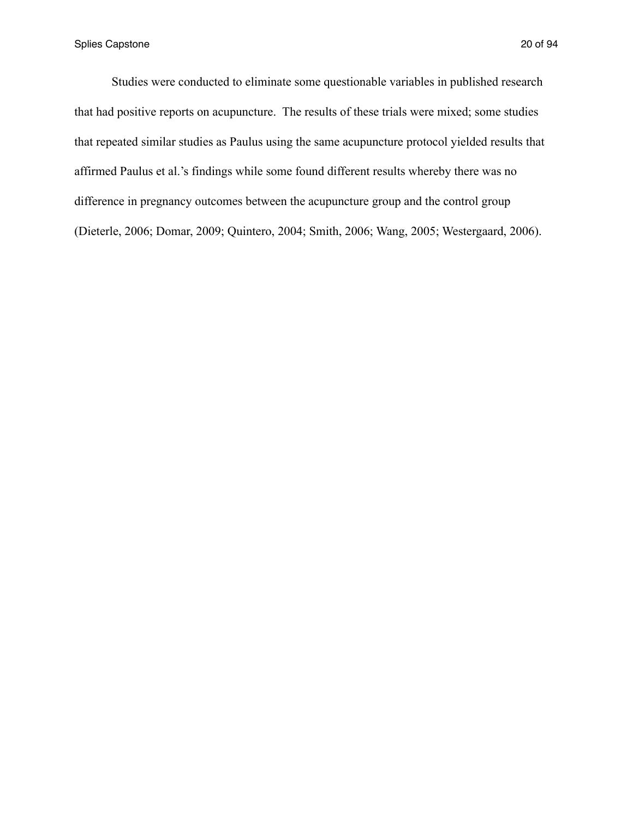Studies were conducted to eliminate some questionable variables in published research that had positive reports on acupuncture. The results of these trials were mixed; some studies that repeated similar studies as Paulus using the same acupuncture protocol yielded results that affirmed Paulus et al.'s findings while some found different results whereby there was no difference in pregnancy outcomes between the acupuncture group and the control group (Dieterle, 2006; Domar, 2009; Quintero, 2004; Smith, 2006; Wang, 2005; Westergaard, 2006).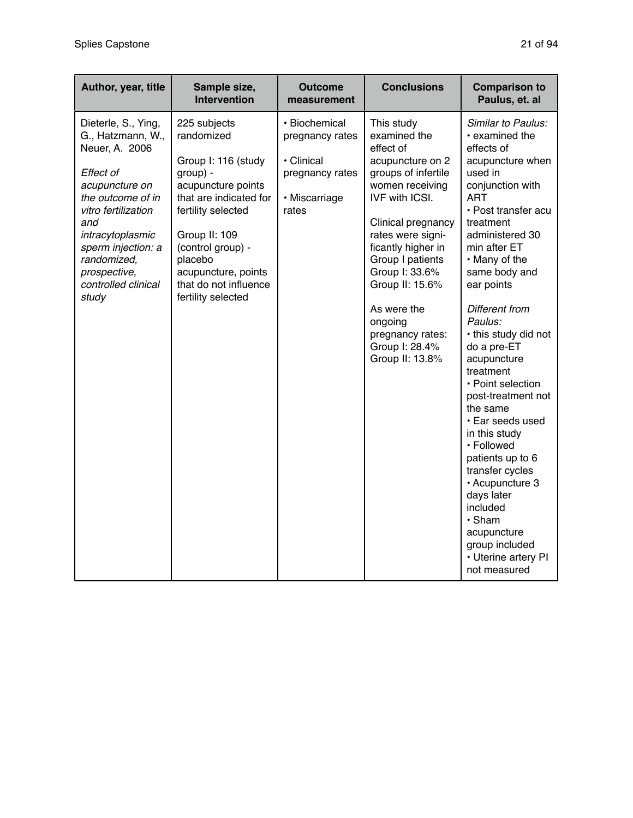| Author, year, title                                                                                                                                                                                                                                   | Sample size,<br><b>Intervention</b>                                                                                                                                                                                                                        | <b>Outcome</b><br>measurement                                                               | <b>Conclusions</b>                                                                                                                                                                                                                                                                                                                          | <b>Comparison to</b><br>Paulus, et. al                                                                                                                                                                                                                                                                                                                                                                                                                                                                                                                                                                                     |
|-------------------------------------------------------------------------------------------------------------------------------------------------------------------------------------------------------------------------------------------------------|------------------------------------------------------------------------------------------------------------------------------------------------------------------------------------------------------------------------------------------------------------|---------------------------------------------------------------------------------------------|---------------------------------------------------------------------------------------------------------------------------------------------------------------------------------------------------------------------------------------------------------------------------------------------------------------------------------------------|----------------------------------------------------------------------------------------------------------------------------------------------------------------------------------------------------------------------------------------------------------------------------------------------------------------------------------------------------------------------------------------------------------------------------------------------------------------------------------------------------------------------------------------------------------------------------------------------------------------------------|
| Dieterle, S., Ying,<br>G., Hatzmann, W.,<br>Neuer, A. 2006<br>Effect of<br>acupuncture on<br>the outcome of in<br>vitro fertilization<br>and<br>intracytoplasmic<br>sperm injection: a<br>randomized,<br>prospective,<br>controlled clinical<br>study | 225 subjects<br>randomized<br>Group I: 116 (study<br>group) -<br>acupuncture points<br>that are indicated for<br>fertility selected<br>Group II: 109<br>(control group) -<br>placebo<br>acupuncture, points<br>that do not influence<br>fertility selected | · Biochemical<br>pregnancy rates<br>· Clinical<br>pregnancy rates<br>· Miscarriage<br>rates | This study<br>examined the<br>effect of<br>acupuncture on 2<br>groups of infertile<br>women receiving<br><b>IVF with ICSI.</b><br>Clinical pregnancy<br>rates were signi-<br>ficantly higher in<br>Group I patients<br>Group I: 33.6%<br>Group II: 15.6%<br>As were the<br>ongoing<br>pregnancy rates:<br>Group I: 28.4%<br>Group II: 13.8% | Similar to Paulus:<br>• examined the<br>effects of<br>acupuncture when<br>used in<br>conjunction with<br><b>ART</b><br>• Post transfer acu<br>treatment<br>administered 30<br>min after ET<br>• Many of the<br>same body and<br>ear points<br>Different from<br>Paulus:<br>• this study did not<br>do a pre-ET<br>acupuncture<br>treatment<br>• Point selection<br>post-treatment not<br>the same<br>· Ear seeds used<br>in this study<br>· Followed<br>patients up to 6<br>transfer cycles<br>· Acupuncture 3<br>days later<br>included<br>· Sham<br>acupuncture<br>group included<br>• Uterine artery PI<br>not measured |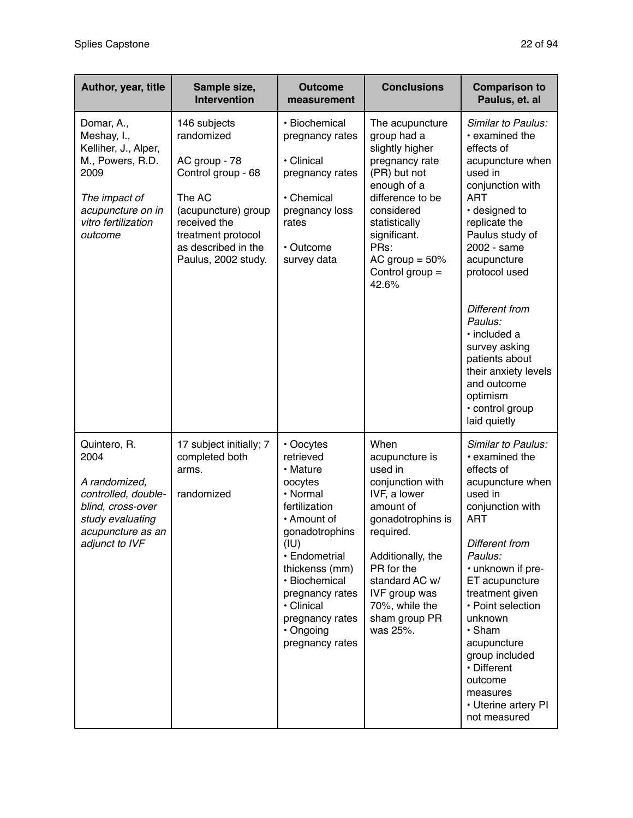| Author, year, title                                                                                                                                   | Sample size,<br><b>Intervention</b>                                                                                                                                                    | <b>Outcome</b><br>measurement                                                                                                                                                                                                                               | <b>Conclusions</b>                                                                                                                                                                                                                               | <b>Comparison to</b><br>Paulus, et. al                                                                                                                                                                                                                                                                                                                                                        |
|-------------------------------------------------------------------------------------------------------------------------------------------------------|----------------------------------------------------------------------------------------------------------------------------------------------------------------------------------------|-------------------------------------------------------------------------------------------------------------------------------------------------------------------------------------------------------------------------------------------------------------|--------------------------------------------------------------------------------------------------------------------------------------------------------------------------------------------------------------------------------------------------|-----------------------------------------------------------------------------------------------------------------------------------------------------------------------------------------------------------------------------------------------------------------------------------------------------------------------------------------------------------------------------------------------|
| Domar, A.,<br>Meshay, I.,<br>Kelliher, J., Alper,<br>M., Powers, R.D.<br>2009<br>The impact of<br>acupuncture on in<br>vitro fertilization<br>outcome | 146 subjects<br>randomized<br>AC group - 78<br>Control group - 68<br>The AC<br>(acupuncture) group<br>received the<br>treatment protocol<br>as described in the<br>Paulus, 2002 study. | · Biochemical<br>pregnancy rates<br>· Clinical<br>pregnancy rates<br>· Chemical<br>pregnancy loss<br>rates<br>• Outcome<br>survey data                                                                                                                      | The acupuncture<br>group had a<br>slightly higher<br>pregnancy rate<br>(PR) but not<br>enough of a<br>difference to be<br>considered<br>statistically<br>significant.<br>PRs:<br>AC group $= 50\%$<br>Control group =<br>42.6%                   | Similar to Paulus:<br>• examined the<br>effects of<br>acupuncture when<br>used in<br>conjunction with<br><b>ART</b><br>· designed to<br>replicate the<br>Paulus study of<br>2002 - same<br>acupuncture<br>protocol used<br>Different from<br>Paulus:<br>· included a<br>survey asking<br>patients about<br>their anxiety levels<br>and outcome<br>optimism<br>• control group<br>laid quietly |
| Quintero, R.<br>2004<br>A randomized,<br>controlled, double-<br>blind, cross-over<br>study evaluating<br>acupuncture as an<br>adjunct to IVF          | 17 subject initially; 7<br>completed both<br>arms.<br>randomized                                                                                                                       | • Oocytes<br>retrieved<br>• Mature<br>oocytes<br>· Normal<br>fertilization<br>• Amount of<br>gonadotrophins<br>(IU)<br>· Endometrial<br>thickenss (mm)<br>· Biochemical<br>pregnancy rates<br>· Clinical<br>pregnancy rates<br>• Ongoing<br>pregnancy rates | When<br>acupuncture is<br>used in<br>conjunction with<br>IVF, a lower<br>amount of<br>gonadotrophins is<br>required.<br>Additionally, the<br>PR for the<br>standard AC w/<br><b>IVF</b> group was<br>70%, while the<br>sham group PR<br>was 25%. | Similar to Paulus:<br>• examined the<br>effects of<br>acupuncture when<br>used in<br>conjunction with<br><b>ART</b><br>Different from<br>Paulus:<br>• unknown if pre-<br>ET acupuncture<br>treatment given<br>• Point selection<br>unknown<br>· Sham<br>acupuncture<br>group included<br>• Different<br>outcome<br>measures<br>• Uterine artery PI<br>not measured                            |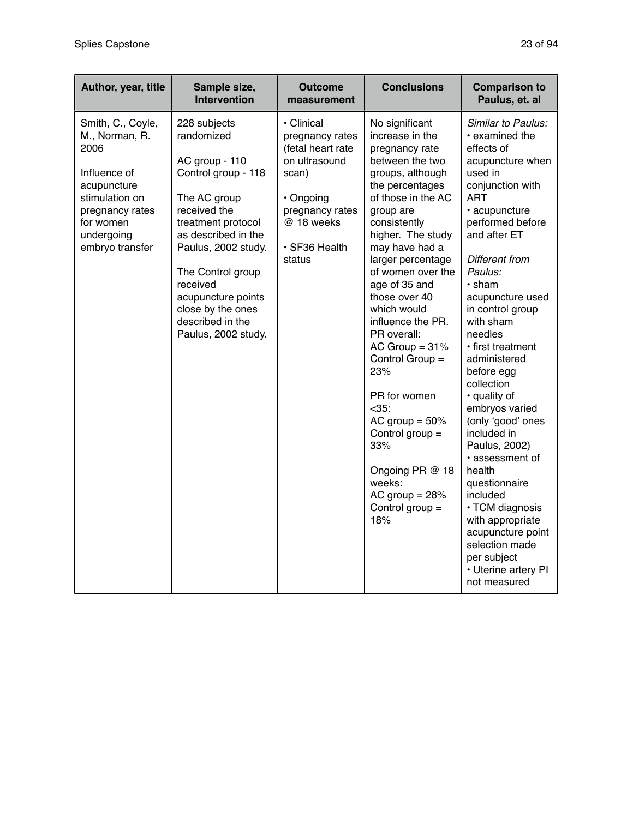| Author, year, title                                                                                                                                           | Sample size,<br><b>Intervention</b>                                                                                                                                                                                                                                                            | <b>Outcome</b><br>measurement                                                                                                                         | <b>Conclusions</b>                                                                                                                                                                                                                                                                                                                                                                                                                                                                                                                           | <b>Comparison to</b><br>Paulus, et. al                                                                                                                                                                                                                                                                                                                                                                                                                                                                                                                                                                                                      |
|---------------------------------------------------------------------------------------------------------------------------------------------------------------|------------------------------------------------------------------------------------------------------------------------------------------------------------------------------------------------------------------------------------------------------------------------------------------------|-------------------------------------------------------------------------------------------------------------------------------------------------------|----------------------------------------------------------------------------------------------------------------------------------------------------------------------------------------------------------------------------------------------------------------------------------------------------------------------------------------------------------------------------------------------------------------------------------------------------------------------------------------------------------------------------------------------|---------------------------------------------------------------------------------------------------------------------------------------------------------------------------------------------------------------------------------------------------------------------------------------------------------------------------------------------------------------------------------------------------------------------------------------------------------------------------------------------------------------------------------------------------------------------------------------------------------------------------------------------|
| Smith, C., Coyle,<br>M., Norman, R.<br>2006<br>Influence of<br>acupuncture<br>stimulation on<br>pregnancy rates<br>for women<br>undergoing<br>embryo transfer | 228 subjects<br>randomized<br>AC group - 110<br>Control group - 118<br>The AC group<br>received the<br>treatment protocol<br>as described in the<br>Paulus, 2002 study.<br>The Control group<br>received<br>acupuncture points<br>close by the ones<br>described in the<br>Paulus, 2002 study. | • Clinical<br>pregnancy rates<br>(fetal heart rate<br>on ultrasound<br>scan)<br>· Ongoing<br>pregnancy rates<br>@ 18 weeks<br>· SF36 Health<br>status | No significant<br>increase in the<br>pregnancy rate<br>between the two<br>groups, although<br>the percentages<br>of those in the AC<br>group are<br>consistently<br>higher. The study<br>may have had a<br>larger percentage<br>of women over the<br>age of 35 and<br>those over 40<br>which would<br>influence the PR.<br>PR overall:<br>AC Group $= 31\%$<br>Control Group =<br>23%<br>PR for women<br>$<35$ :<br>AC group $= 50\%$<br>Control group $=$<br>33%<br>Ongoing PR @ 18<br>weeks:<br>AC group $= 28%$<br>Control group =<br>18% | Similar to Paulus:<br>• examined the<br>effects of<br>acupuncture when<br>used in<br>conjunction with<br><b>ART</b><br>· acupuncture<br>performed before<br>and after ET<br>Different from<br>Paulus:<br>$\cdot$ sham<br>acupuncture used<br>in control group<br>with sham<br>needles<br>· first treatment<br>administered<br>before egg<br>collection<br>· quality of<br>embryos varied<br>(only 'good' ones<br>included in<br>Paulus, 2002)<br>• assessment of<br>health<br>questionnaire<br>included<br>· TCM diagnosis<br>with appropriate<br>acupuncture point<br>selection made<br>per subject<br>• Uterine artery PI<br>not measured |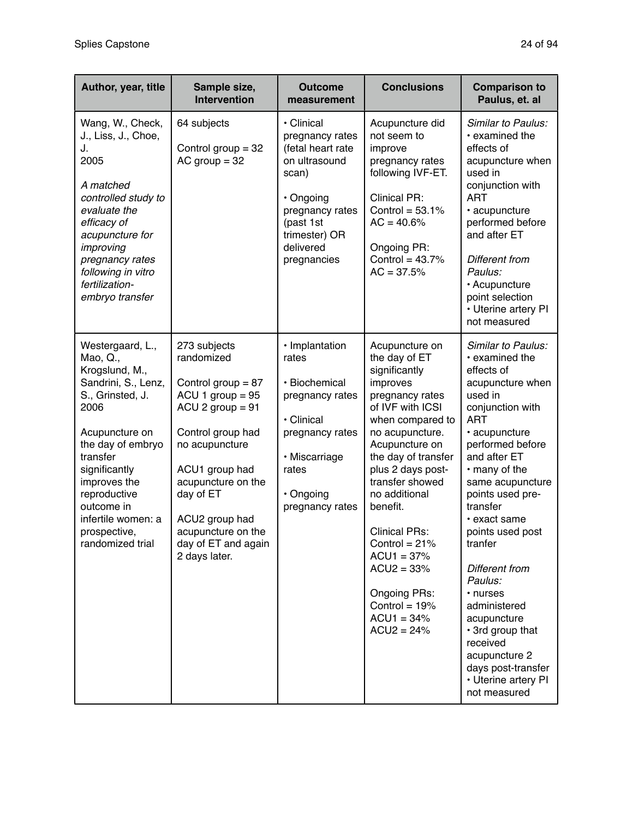| Author, year, title                                                                                                                                                                                                                                                           | Sample size,<br><b>Intervention</b>                                                                                                                                                                                                                                        | <b>Outcome</b><br>measurement                                                                                                                                          | <b>Conclusions</b>                                                                                                                                                                                                                                                                                                                                                                                     | <b>Comparison to</b><br>Paulus, et. al                                                                                                                                                                                                                                                                                                                                                                                                                                      |
|-------------------------------------------------------------------------------------------------------------------------------------------------------------------------------------------------------------------------------------------------------------------------------|----------------------------------------------------------------------------------------------------------------------------------------------------------------------------------------------------------------------------------------------------------------------------|------------------------------------------------------------------------------------------------------------------------------------------------------------------------|--------------------------------------------------------------------------------------------------------------------------------------------------------------------------------------------------------------------------------------------------------------------------------------------------------------------------------------------------------------------------------------------------------|-----------------------------------------------------------------------------------------------------------------------------------------------------------------------------------------------------------------------------------------------------------------------------------------------------------------------------------------------------------------------------------------------------------------------------------------------------------------------------|
| Wang, W., Check,<br>J., Liss, J., Choe,<br>J.<br>2005<br>A matched<br>controlled study to<br>evaluate the<br>efficacy of<br>acupuncture for<br>improving<br>pregnancy rates<br>following in vitro<br>fertilization-<br>embryo transfer                                        | 64 subjects<br>Control group $=$ 32<br>$AC$ group = 32                                                                                                                                                                                                                     | • Clinical<br>pregnancy rates<br>(fetal heart rate<br>on ultrasound<br>scan)<br>· Ongoing<br>pregnancy rates<br>(past 1st<br>trimester) OR<br>delivered<br>pregnancies | Acupuncture did<br>not seem to<br>improve<br>pregnancy rates<br>following IVF-ET.<br><b>Clinical PR:</b><br>Control = $53.1\%$<br>$AC = 40.6%$<br>Ongoing PR:<br>Control = $43.7%$<br>$AC = 37.5%$                                                                                                                                                                                                     | Similar to Paulus:<br>• examined the<br>effects of<br>acupuncture when<br>used in<br>conjunction with<br><b>ART</b><br>· acupuncture<br>performed before<br>and after ET<br>Different from<br>Paulus:<br>• Acupuncture<br>point selection<br>• Uterine artery PI<br>not measured                                                                                                                                                                                            |
| Westergaard, L.,<br>Mao, Q.,<br>Krogslund, M.,<br>Sandrini, S., Lenz,<br>S., Grinsted, J.<br>2006<br>Acupuncture on<br>the day of embryo<br>transfer<br>significantly<br>improves the<br>reproductive<br>outcome in<br>infertile women: a<br>prospective,<br>randomized trial | 273 subjects<br>randomized<br>Control group = $87$<br>$ACU$ 1 group = 95<br>$ACU$ 2 group = 91<br>Control group had<br>no acupuncture<br>ACU1 group had<br>acupuncture on the<br>day of ET<br>ACU2 group had<br>acupuncture on the<br>day of ET and again<br>2 days later. | · Implantation<br>rates<br>· Biochemical<br>pregnancy rates<br>· Clinical<br>pregnancy rates<br>· Miscarriage<br>rates<br>· Ongoing<br>pregnancy rates                 | Acupuncture on<br>the day of ET<br>significantly<br>improves<br>pregnancy rates<br>of IVF with ICSI<br>when compared to<br>no acupuncture.<br>Acupuncture on<br>the day of transfer<br>plus 2 days post-<br>transfer showed<br>no additional<br>benefit.<br><b>Clinical PRs:</b><br>Control = $21%$<br>$ACU1 = 37%$<br>$ACU2 = 33%$<br>Ongoing PRs:<br>Control = $19%$<br>$ACU1 = 34%$<br>$ACU2 = 24%$ | Similar to Paulus:<br>• examined the<br>effects of<br>acupuncture when<br>used in<br>conjunction with<br>ART<br>· acupuncture<br>performed before<br>and after ET<br>• many of the<br>same acupuncture<br>points used pre-<br>transfer<br>• exact same<br>points used post<br>tranfer<br>Different from<br>Paulus:<br>• nurses<br>administered<br>acupuncture<br>• 3rd group that<br>received<br>acupuncture 2<br>days post-transfer<br>• Uterine artery PI<br>not measured |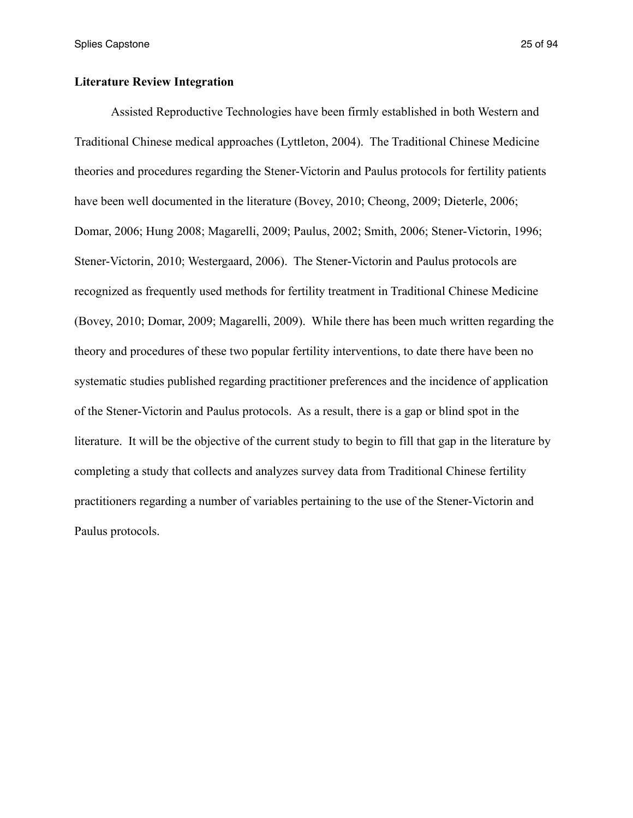## **Literature Review Integration**

 Assisted Reproductive Technologies have been firmly established in both Western and Traditional Chinese medical approaches (Lyttleton, 2004). The Traditional Chinese Medicine theories and procedures regarding the Stener-Victorin and Paulus protocols for fertility patients have been well documented in the literature (Bovey, 2010; Cheong, 2009; Dieterle, 2006; Domar, 2006; Hung 2008; Magarelli, 2009; Paulus, 2002; Smith, 2006; Stener-Victorin, 1996; Stener-Victorin, 2010; Westergaard, 2006). The Stener-Victorin and Paulus protocols are recognized as frequently used methods for fertility treatment in Traditional Chinese Medicine (Bovey, 2010; Domar, 2009; Magarelli, 2009). While there has been much written regarding the theory and procedures of these two popular fertility interventions, to date there have been no systematic studies published regarding practitioner preferences and the incidence of application of the Stener-Victorin and Paulus protocols. As a result, there is a gap or blind spot in the literature. It will be the objective of the current study to begin to fill that gap in the literature by completing a study that collects and analyzes survey data from Traditional Chinese fertility practitioners regarding a number of variables pertaining to the use of the Stener-Victorin and Paulus protocols.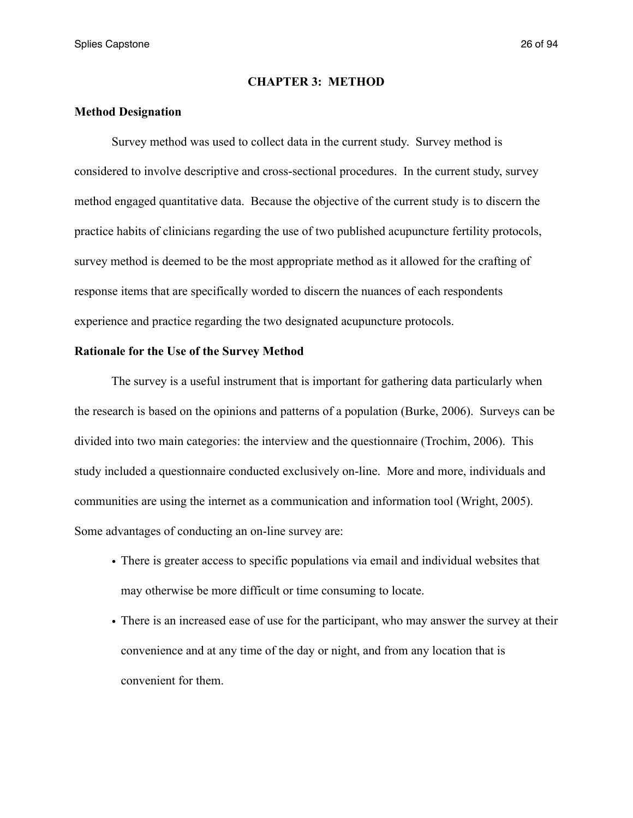### **CHAPTER 3: METHOD**

### **Method Designation**

 Survey method was used to collect data in the current study. Survey method is considered to involve descriptive and cross-sectional procedures. In the current study, survey method engaged quantitative data. Because the objective of the current study is to discern the practice habits of clinicians regarding the use of two published acupuncture fertility protocols, survey method is deemed to be the most appropriate method as it allowed for the crafting of response items that are specifically worded to discern the nuances of each respondents experience and practice regarding the two designated acupuncture protocols.

### **Rationale for the Use of the Survey Method**

 The survey is a useful instrument that is important for gathering data particularly when the research is based on the opinions and patterns of a population (Burke, 2006). Surveys can be divided into two main categories: the interview and the questionnaire (Trochim, 2006). This study included a questionnaire conducted exclusively on-line. More and more, individuals and communities are using the internet as a communication and information tool (Wright, 2005). Some advantages of conducting an on-line survey are:

- There is greater access to specific populations via email and individual websites that may otherwise be more difficult or time consuming to locate.
- There is an increased ease of use for the participant, who may answer the survey at their convenience and at any time of the day or night, and from any location that is convenient for them.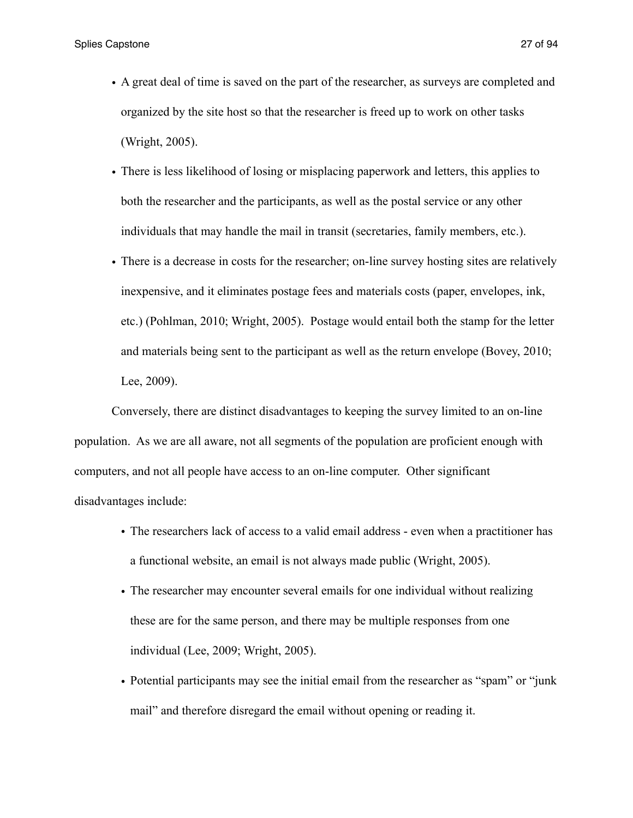- A great deal of time is saved on the part of the researcher, as surveys are completed and organized by the site host so that the researcher is freed up to work on other tasks (Wright, 2005).
- There is less likelihood of losing or misplacing paperwork and letters, this applies to both the researcher and the participants, as well as the postal service or any other individuals that may handle the mail in transit (secretaries, family members, etc.).
- There is a decrease in costs for the researcher; on-line survey hosting sites are relatively inexpensive, and it eliminates postage fees and materials costs (paper, envelopes, ink, etc.) (Pohlman, 2010; Wright, 2005). Postage would entail both the stamp for the letter and materials being sent to the participant as well as the return envelope (Bovey, 2010; Lee, 2009).

 Conversely, there are distinct disadvantages to keeping the survey limited to an on-line population. As we are all aware, not all segments of the population are proficient enough with computers, and not all people have access to an on-line computer. Other significant disadvantages include:

- The researchers lack of access to a valid email address even when a practitioner has a functional website, an email is not always made public (Wright, 2005).
- The researcher may encounter several emails for one individual without realizing these are for the same person, and there may be multiple responses from one individual (Lee, 2009; Wright, 2005).
- Potential participants may see the initial email from the researcher as "spam" or "junk mail" and therefore disregard the email without opening or reading it.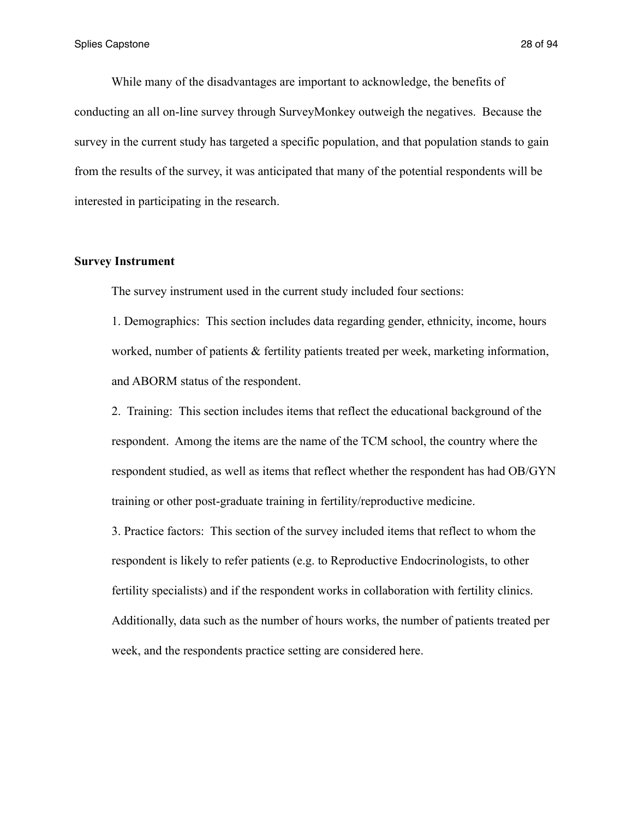While many of the disadvantages are important to acknowledge, the benefits of conducting an all on-line survey through SurveyMonkey outweigh the negatives. Because the survey in the current study has targeted a specific population, and that population stands to gain from the results of the survey, it was anticipated that many of the potential respondents will be interested in participating in the research.

### **Survey Instrument**

The survey instrument used in the current study included four sections:

1. Demographics: This section includes data regarding gender, ethnicity, income, hours worked, number of patients & fertility patients treated per week, marketing information, and ABORM status of the respondent.

2. Training: This section includes items that reflect the educational background of the respondent. Among the items are the name of the TCM school, the country where the respondent studied, as well as items that reflect whether the respondent has had OB/GYN training or other post-graduate training in fertility/reproductive medicine.

3. Practice factors: This section of the survey included items that reflect to whom the respondent is likely to refer patients (e.g. to Reproductive Endocrinologists, to other fertility specialists) and if the respondent works in collaboration with fertility clinics. Additionally, data such as the number of hours works, the number of patients treated per week, and the respondents practice setting are considered here.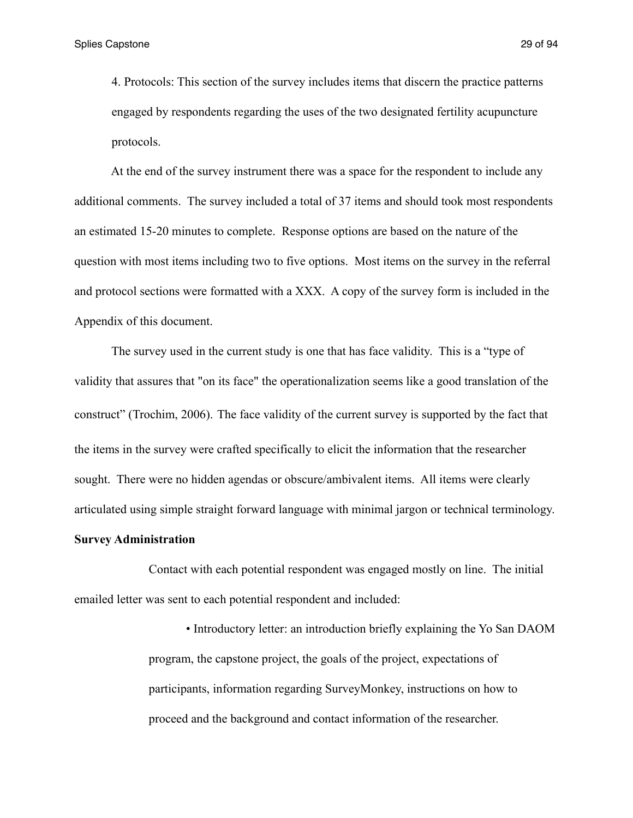4. Protocols: This section of the survey includes items that discern the practice patterns engaged by respondents regarding the uses of the two designated fertility acupuncture protocols.

 At the end of the survey instrument there was a space for the respondent to include any additional comments. The survey included a total of 37 items and should took most respondents an estimated 15-20 minutes to complete. Response options are based on the nature of the question with most items including two to five options. Most items on the survey in the referral and protocol sections were formatted with a XXX. A copy of the survey form is included in the Appendix of this document.

 The survey used in the current study is one that has face validity. This is a "type of validity that assures that "on its face" the operationalization seems like a good translation of the construct" (Trochim, 2006). The face validity of the current survey is supported by the fact that the items in the survey were crafted specifically to elicit the information that the researcher sought. There were no hidden agendas or obscure/ambivalent items. All items were clearly articulated using simple straight forward language with minimal jargon or technical terminology.

### **Survey Administration**

 Contact with each potential respondent was engaged mostly on line. The initial emailed letter was sent to each potential respondent and included:

> • Introductory letter: an introduction briefly explaining the Yo San DAOM program, the capstone project, the goals of the project, expectations of participants, information regarding SurveyMonkey, instructions on how to proceed and the background and contact information of the researcher.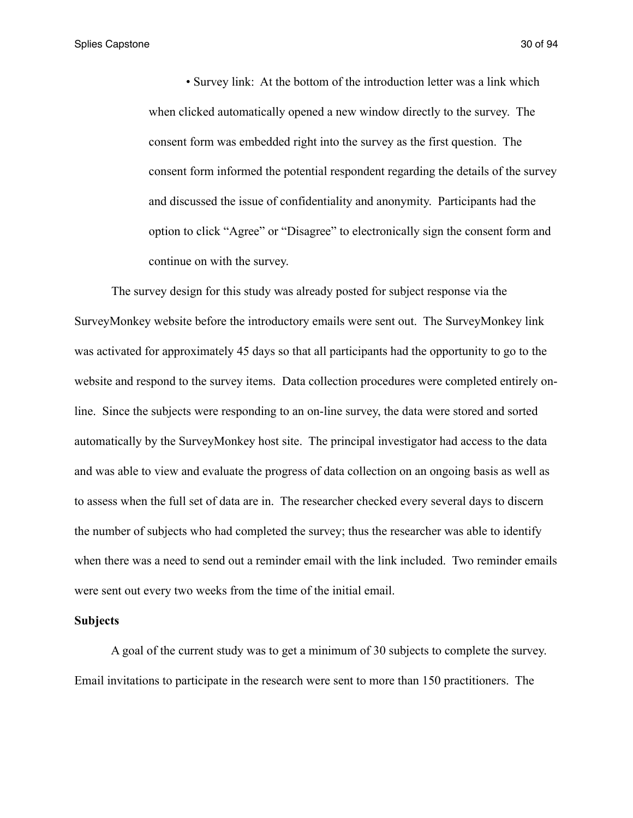Splies Capstone 30 of 94

 • Survey link: At the bottom of the introduction letter was a link which when clicked automatically opened a new window directly to the survey. The consent form was embedded right into the survey as the first question. The consent form informed the potential respondent regarding the details of the survey and discussed the issue of confidentiality and anonymity. Participants had the option to click "Agree" or "Disagree" to electronically sign the consent form and continue on with the survey.

 The survey design for this study was already posted for subject response via the SurveyMonkey website before the introductory emails were sent out. The SurveyMonkey link was activated for approximately 45 days so that all participants had the opportunity to go to the website and respond to the survey items. Data collection procedures were completed entirely online. Since the subjects were responding to an on-line survey, the data were stored and sorted automatically by the SurveyMonkey host site. The principal investigator had access to the data and was able to view and evaluate the progress of data collection on an ongoing basis as well as to assess when the full set of data are in. The researcher checked every several days to discern the number of subjects who had completed the survey; thus the researcher was able to identify when there was a need to send out a reminder email with the link included. Two reminder emails were sent out every two weeks from the time of the initial email.

#### **Subjects**

 A goal of the current study was to get a minimum of 30 subjects to complete the survey. Email invitations to participate in the research were sent to more than 150 practitioners. The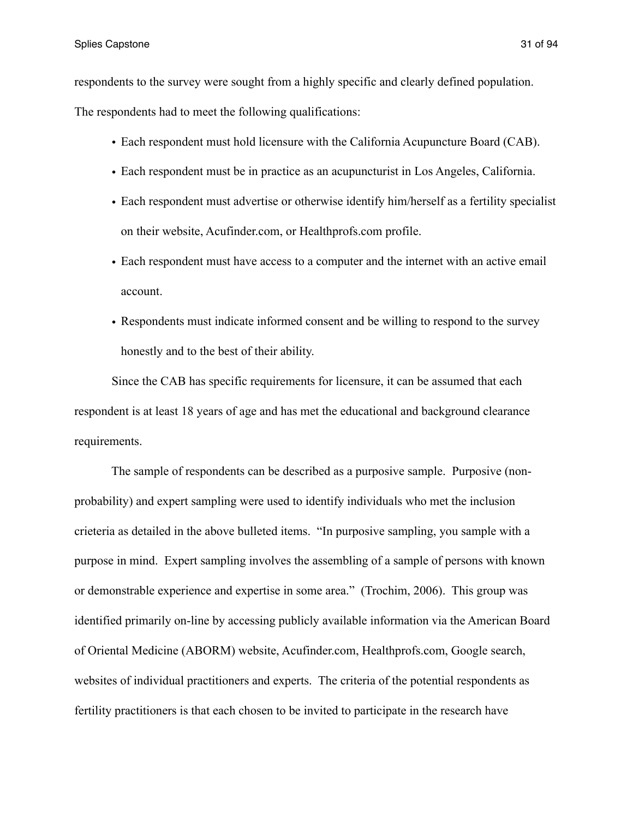respondents to the survey were sought from a highly specific and clearly defined population.

The respondents had to meet the following qualifications:

- Each respondent must hold licensure with the California Acupuncture Board (CAB).
- Each respondent must be in practice as an acupuncturist in Los Angeles, California.
- Each respondent must advertise or otherwise identify him/herself as a fertility specialist on their website, Acufinder.com, or Healthprofs.com profile.
- Each respondent must have access to a computer and the internet with an active email account.
- Respondents must indicate informed consent and be willing to respond to the survey honestly and to the best of their ability.

 Since the CAB has specific requirements for licensure, it can be assumed that each respondent is at least 18 years of age and has met the educational and background clearance requirements.

 The sample of respondents can be described as a purposive sample. Purposive (nonprobability) and expert sampling were used to identify individuals who met the inclusion crieteria as detailed in the above bulleted items. "In purposive sampling, you sample with a purpose in mind. Expert sampling involves the assembling of a sample of persons with known or demonstrable experience and expertise in some area." (Trochim, 2006). This group was identified primarily on-line by accessing publicly available information via the American Board of Oriental Medicine (ABORM) website, Acufinder.com, Healthprofs.com, Google search, websites of individual practitioners and experts. The criteria of the potential respondents as fertility practitioners is that each chosen to be invited to participate in the research have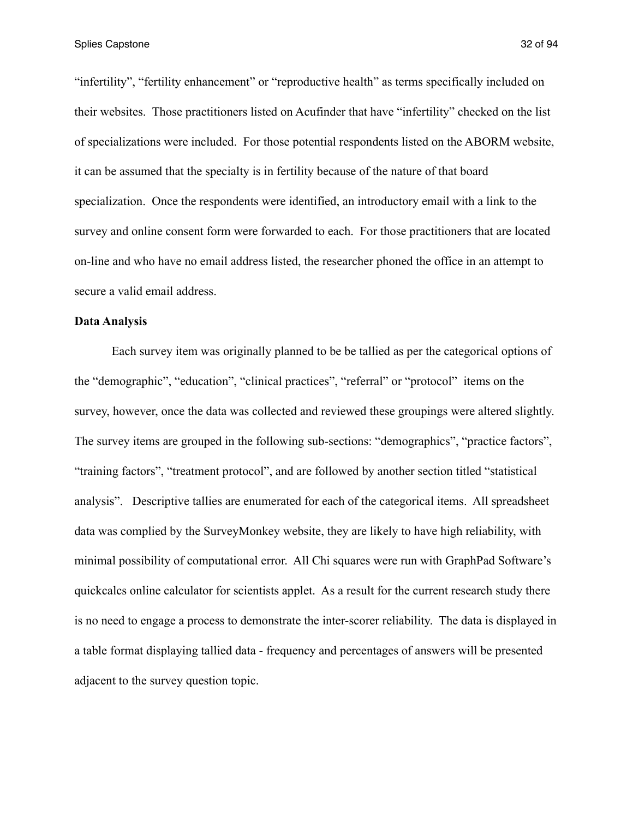"infertility", "fertility enhancement" or "reproductive health" as terms specifically included on their websites. Those practitioners listed on Acufinder that have "infertility" checked on the list of specializations were included. For those potential respondents listed on the ABORM website, it can be assumed that the specialty is in fertility because of the nature of that board specialization. Once the respondents were identified, an introductory email with a link to the survey and online consent form were forwarded to each. For those practitioners that are located on-line and who have no email address listed, the researcher phoned the office in an attempt to secure a valid email address.

### **Data Analysis**

 Each survey item was originally planned to be be tallied as per the categorical options of the "demographic", "education", "clinical practices", "referral" or "protocol" items on the survey, however, once the data was collected and reviewed these groupings were altered slightly. The survey items are grouped in the following sub-sections: "demographics", "practice factors", "training factors", "treatment protocol", and are followed by another section titled "statistical analysis". Descriptive tallies are enumerated for each of the categorical items. All spreadsheet data was complied by the SurveyMonkey website, they are likely to have high reliability, with minimal possibility of computational error. All Chi squares were run with GraphPad Software's quickcalcs online calculator for scientists applet. As a result for the current research study there is no need to engage a process to demonstrate the inter-scorer reliability. The data is displayed in a table format displaying tallied data - frequency and percentages of answers will be presented adjacent to the survey question topic.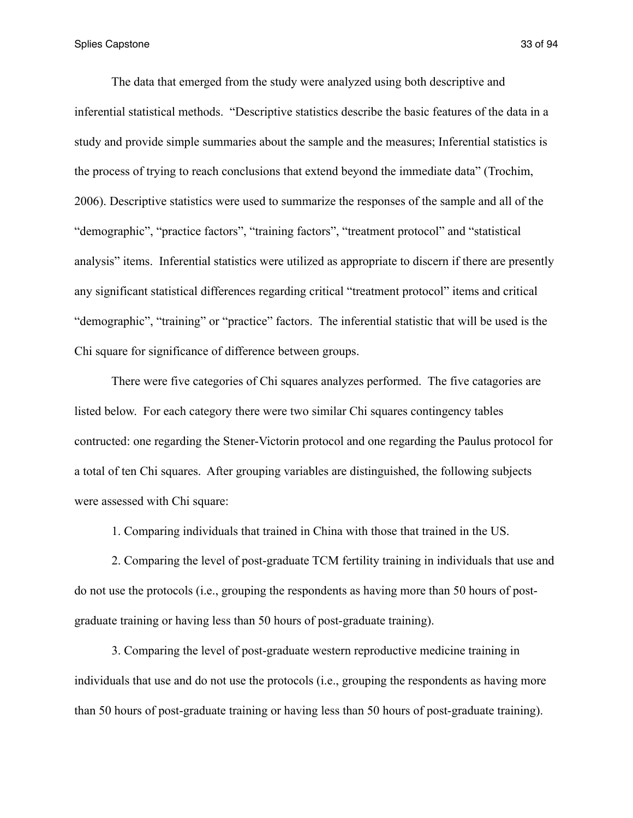The data that emerged from the study were analyzed using both descriptive and inferential statistical methods. "Descriptive statistics describe the basic features of the data in a study and provide simple summaries about the sample and the measures; Inferential statistics is the process of trying to reach conclusions that extend beyond the immediate data" (Trochim, 2006). Descriptive statistics were used to summarize the responses of the sample and all of the "demographic", "practice factors", "training factors", "treatment protocol" and "statistical analysis" items. Inferential statistics were utilized as appropriate to discern if there are presently any significant statistical differences regarding critical "treatment protocol" items and critical "demographic", "training" or "practice" factors. The inferential statistic that will be used is the Chi square for significance of difference between groups.

 There were five categories of Chi squares analyzes performed. The five catagories are listed below. For each category there were two similar Chi squares contingency tables contructed: one regarding the Stener-Victorin protocol and one regarding the Paulus protocol for a total of ten Chi squares. After grouping variables are distinguished, the following subjects were assessed with Chi square:

1. Comparing individuals that trained in China with those that trained in the US.

 2. Comparing the level of post-graduate TCM fertility training in individuals that use and do not use the protocols (i.e., grouping the respondents as having more than 50 hours of postgraduate training or having less than 50 hours of post-graduate training).

 3. Comparing the level of post-graduate western reproductive medicine training in individuals that use and do not use the protocols (i.e., grouping the respondents as having more than 50 hours of post-graduate training or having less than 50 hours of post-graduate training).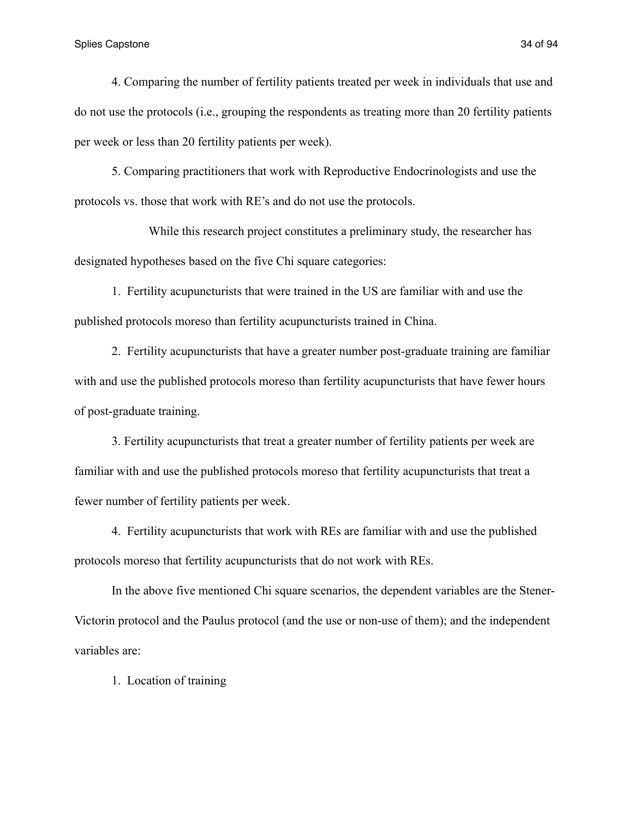#### Splies Capstone 34 of 94

 4. Comparing the number of fertility patients treated per week in individuals that use and do not use the protocols (i.e., grouping the respondents as treating more than 20 fertility patients per week or less than 20 fertility patients per week).

 5. Comparing practitioners that work with Reproductive Endocrinologists and use the protocols vs. those that work with RE's and do not use the protocols.

 While this research project constitutes a preliminary study, the researcher has designated hypotheses based on the five Chi square categories:

 1. Fertility acupuncturists that were trained in the US are familiar with and use the published protocols moreso than fertility acupuncturists trained in China.

 2. Fertility acupuncturists that have a greater number post-graduate training are familiar with and use the published protocols moreso than fertility acupuncturists that have fewer hours of post-graduate training.

 3. Fertility acupuncturists that treat a greater number of fertility patients per week are familiar with and use the published protocols moreso that fertility acupuncturists that treat a fewer number of fertility patients per week.

 4. Fertility acupuncturists that work with REs are familiar with and use the published protocols moreso that fertility acupuncturists that do not work with REs.

 In the above five mentioned Chi square scenarios, the dependent variables are the Stener-Victorin protocol and the Paulus protocol (and the use or non-use of them); and the independent variables are:

1. Location of training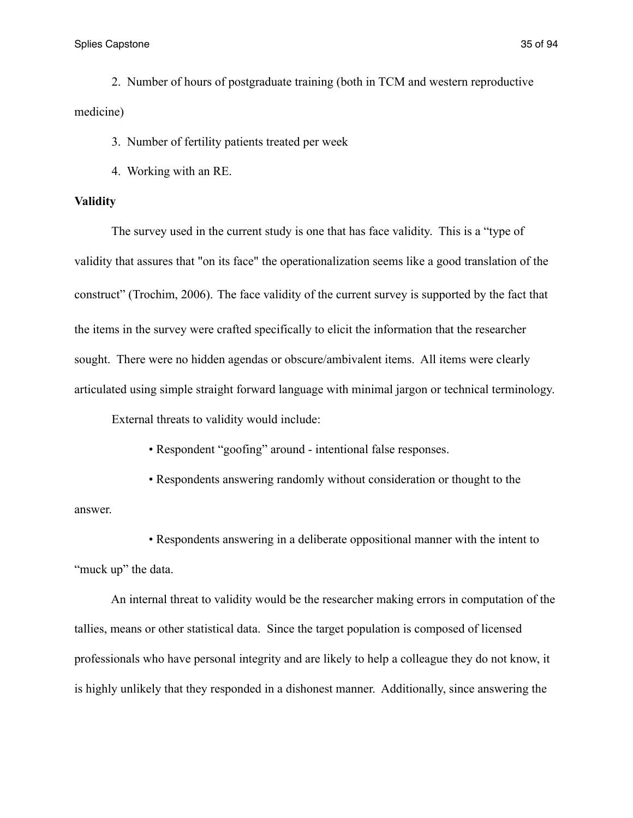Splies Capstone 35 of 94

 2. Number of hours of postgraduate training (both in TCM and western reproductive medicine)

3. Number of fertility patients treated per week

4. Working with an RE.

### **Validity**

 The survey used in the current study is one that has face validity. This is a "type of validity that assures that "on its face" the operationalization seems like a good translation of the construct" (Trochim, 2006). The face validity of the current survey is supported by the fact that the items in the survey were crafted specifically to elicit the information that the researcher sought. There were no hidden agendas or obscure/ambivalent items. All items were clearly articulated using simple straight forward language with minimal jargon or technical terminology.

External threats to validity would include:

• Respondent "goofing" around - intentional false responses.

 • Respondents answering randomly without consideration or thought to the answer.

 • Respondents answering in a deliberate oppositional manner with the intent to "muck up" the data.

 An internal threat to validity would be the researcher making errors in computation of the tallies, means or other statistical data. Since the target population is composed of licensed professionals who have personal integrity and are likely to help a colleague they do not know, it is highly unlikely that they responded in a dishonest manner. Additionally, since answering the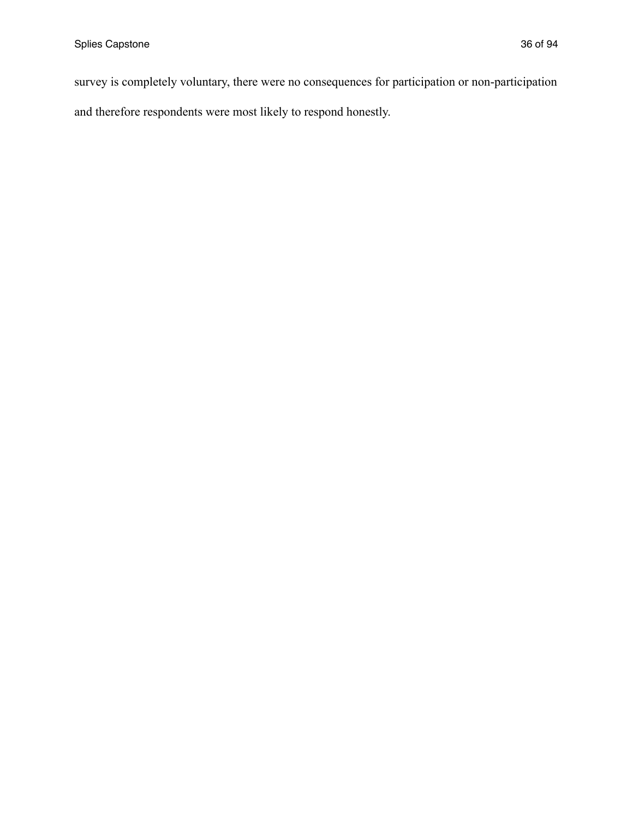survey is completely voluntary, there were no consequences for participation or non-participation and therefore respondents were most likely to respond honestly.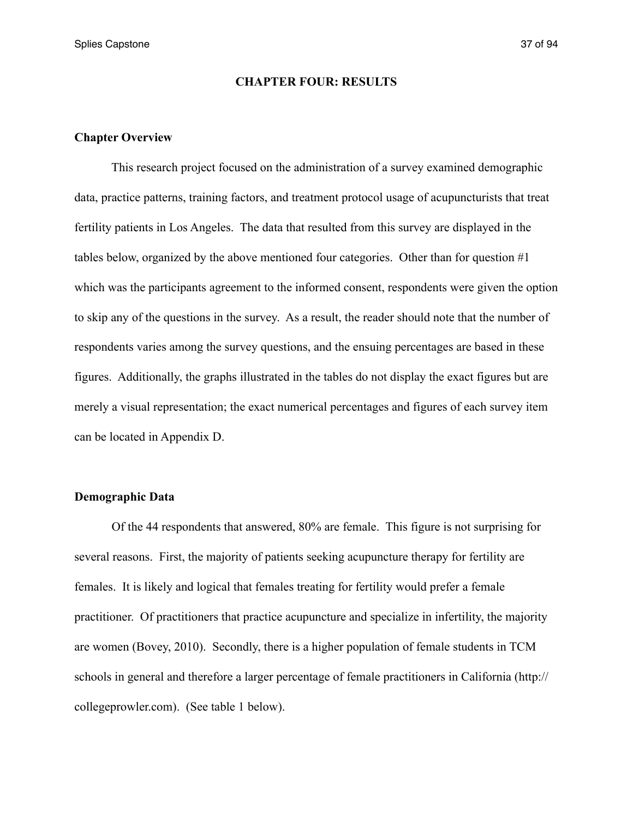Splies Capstone 37 of 94

#### **CHAPTER FOUR: RESULTS**

#### **Chapter Overview**

 This research project focused on the administration of a survey examined demographic data, practice patterns, training factors, and treatment protocol usage of acupuncturists that treat fertility patients in Los Angeles. The data that resulted from this survey are displayed in the tables below, organized by the above mentioned four categories. Other than for question  $\#1$ which was the participants agreement to the informed consent, respondents were given the option to skip any of the questions in the survey. As a result, the reader should note that the number of respondents varies among the survey questions, and the ensuing percentages are based in these figures. Additionally, the graphs illustrated in the tables do not display the exact figures but are merely a visual representation; the exact numerical percentages and figures of each survey item can be located in Appendix D.

#### **Demographic Data**

 Of the 44 respondents that answered, 80% are female. This figure is not surprising for several reasons. First, the majority of patients seeking acupuncture therapy for fertility are females. It is likely and logical that females treating for fertility would prefer a female practitioner. Of practitioners that practice acupuncture and specialize in infertility, the majority are women (Bovey, 2010). Secondly, there is a higher population of female students in TCM schools in general and therefore a larger percentage of female practitioners in California (http:// collegeprowler.com). (See table 1 below).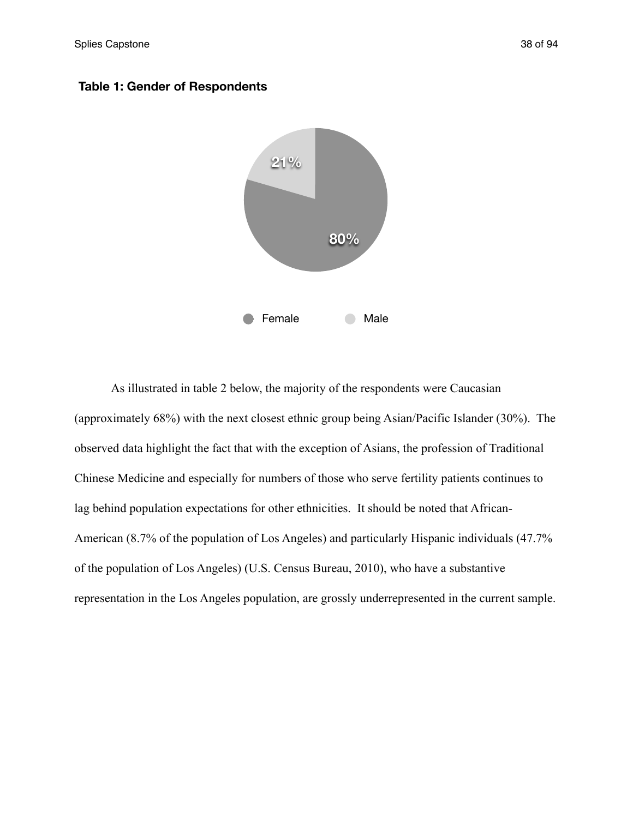



 As illustrated in table 2 below, the majority of the respondents were Caucasian (approximately 68%) with the next closest ethnic group being Asian/Pacific Islander (30%). The observed data highlight the fact that with the exception of Asians, the profession of Traditional Chinese Medicine and especially for numbers of those who serve fertility patients continues to lag behind population expectations for other ethnicities. It should be noted that African-American (8.7% of the population of Los Angeles) and particularly Hispanic individuals (47.7% of the population of Los Angeles) (U.S. Census Bureau, 2010), who have a substantive representation in the Los Angeles population, are grossly underrepresented in the current sample.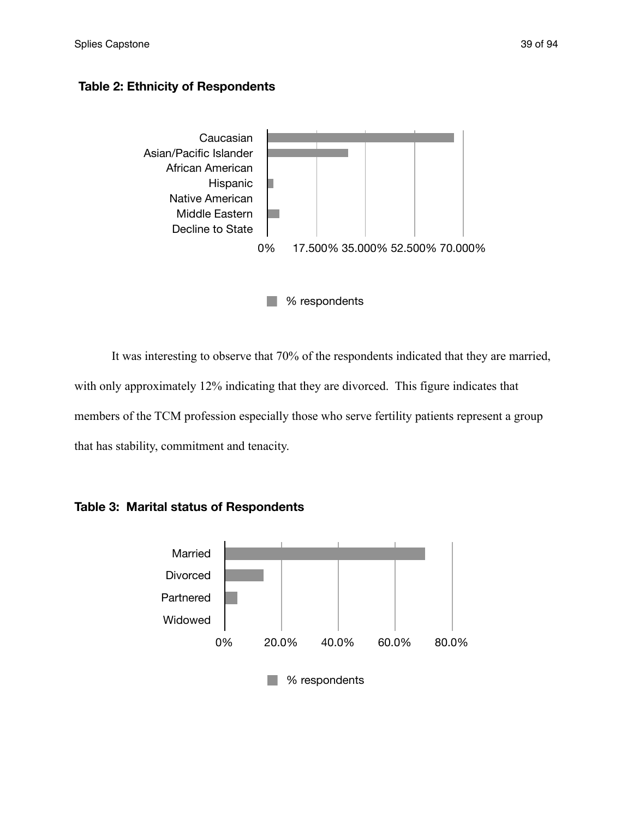## **Table 2: Ethnicity of Respondents**



It was interesting to observe that 70% of the respondents indicated that they are married, with only approximately 12% indicating that they are divorced. This figure indicates that members of the TCM profession especially those who serve fertility patients represent a group that has stability, commitment and tenacity.



**Table 3: Marital status of Respondents**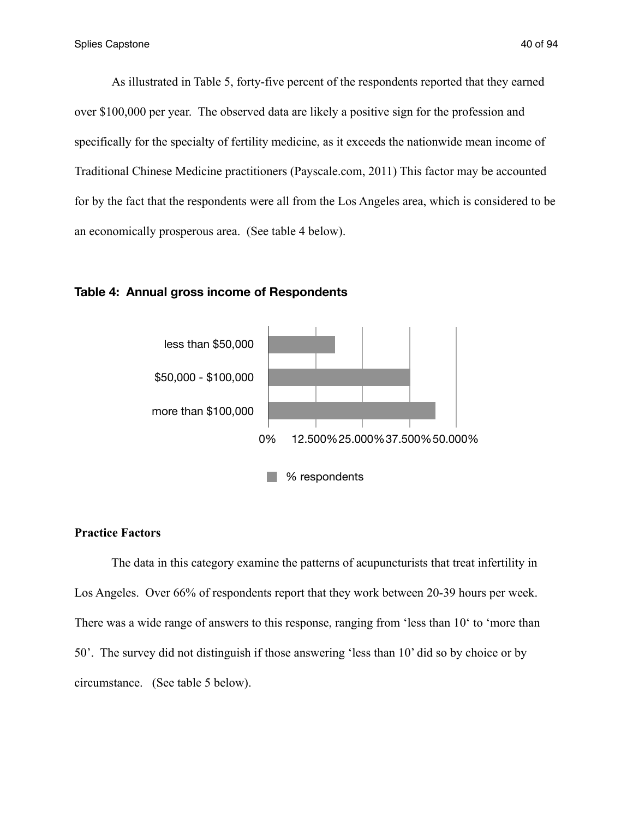As illustrated in Table 5, forty-five percent of the respondents reported that they earned over \$100,000 per year. The observed data are likely a positive sign for the profession and specifically for the specialty of fertility medicine, as it exceeds the nationwide mean income of Traditional Chinese Medicine practitioners (Payscale.com, 2011) This factor may be accounted for by the fact that the respondents were all from the Los Angeles area, which is considered to be an economically prosperous area. (See table 4 below).



#### **Table 4: Annual gross income of Respondents**

#### **Practice Factors**

 The data in this category examine the patterns of acupuncturists that treat infertility in Los Angeles. Over 66% of respondents report that they work between 20-39 hours per week. There was a wide range of answers to this response, ranging from 'less than 10' to 'more than 50'. The survey did not distinguish if those answering 'less than 10' did so by choice or by circumstance. (See table 5 below).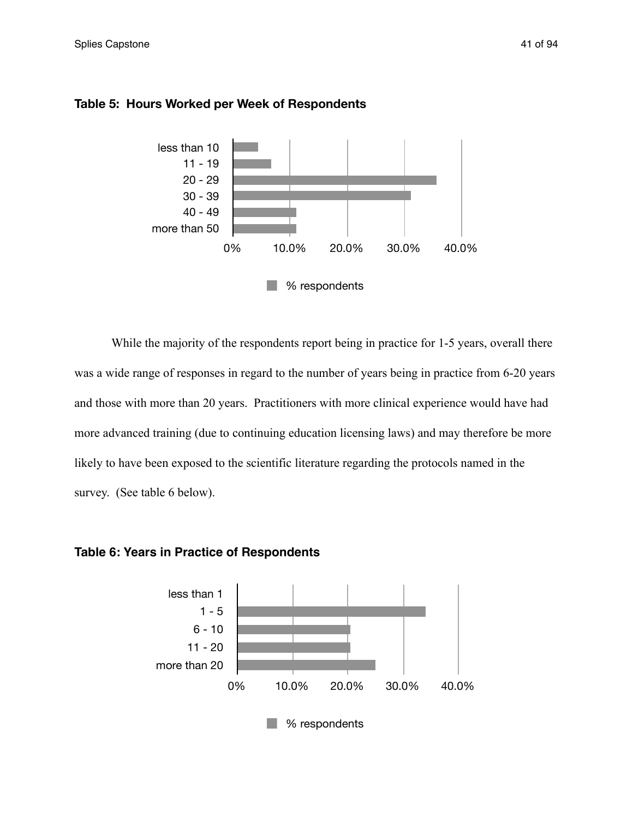

#### **Table 5: Hours Worked per Week of Respondents**

While the majority of the respondents report being in practice for 1-5 years, overall there was a wide range of responses in regard to the number of years being in practice from 6-20 years and those with more than 20 years. Practitioners with more clinical experience would have had more advanced training (due to continuing education licensing laws) and may therefore be more likely to have been exposed to the scientific literature regarding the protocols named in the survey. (See table 6 below).



**Table 6: Years in Practice of Respondents**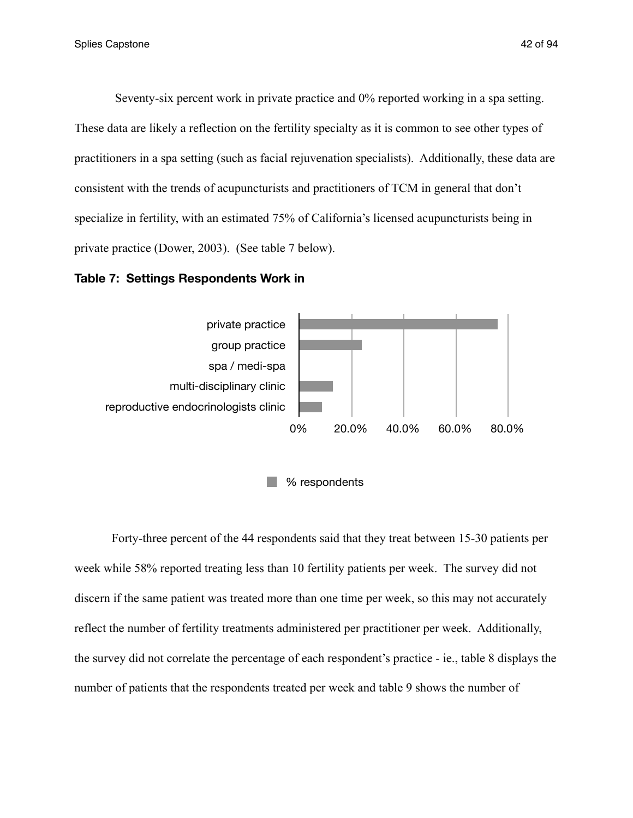Seventy-six percent work in private practice and 0% reported working in a spa setting. These data are likely a reflection on the fertility specialty as it is common to see other types of practitioners in a spa setting (such as facial rejuvenation specialists). Additionally, these data are consistent with the trends of acupuncturists and practitioners of TCM in general that don't

specialize in fertility, with an estimated 75% of California's licensed acupuncturists being in private practice (Dower, 2003). (See table 7 below).





 Forty-three percent of the 44 respondents said that they treat between 15-30 patients per week while 58% reported treating less than 10 fertility patients per week. The survey did not discern if the same patient was treated more than one time per week, so this may not accurately reflect the number of fertility treatments administered per practitioner per week. Additionally, the survey did not correlate the percentage of each respondent's practice - ie., table 8 displays the number of patients that the respondents treated per week and table 9 shows the number of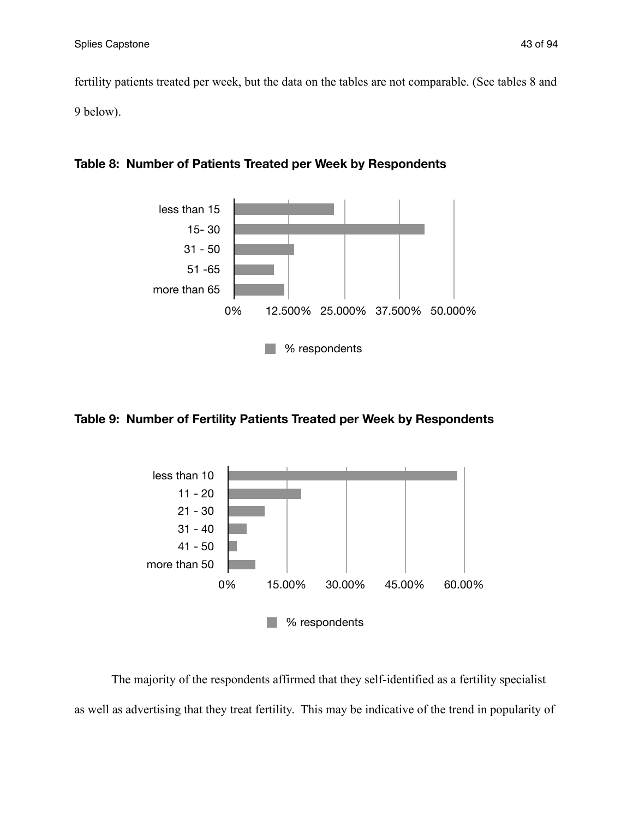fertility patients treated per week, but the data on the tables are not comparable. (See tables 8 and 9 below).



## **Table 8: Number of Patients Treated per Week by Respondents**

## **Table 9: Number of Fertility Patients Treated per Week by Respondents**



 The majority of the respondents affirmed that they self-identified as a fertility specialist as well as advertising that they treat fertility. This may be indicative of the trend in popularity of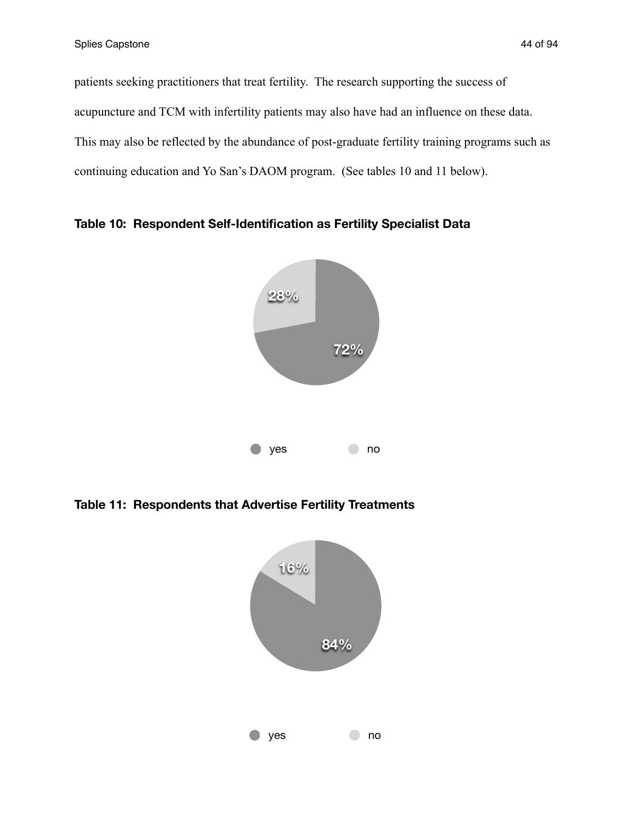patients seeking practitioners that treat fertility. The research supporting the success of acupuncture and TCM with infertility patients may also have had an influence on these data. This may also be reflected by the abundance of post-graduate fertility training programs such as continuing education and Yo San's DAOM program. (See tables 10 and 11 below).



**Table 10: Respondent Self-Identification as Fertility Specialist Data**

**Table 11: Respondents that Advertise Fertility Treatments**

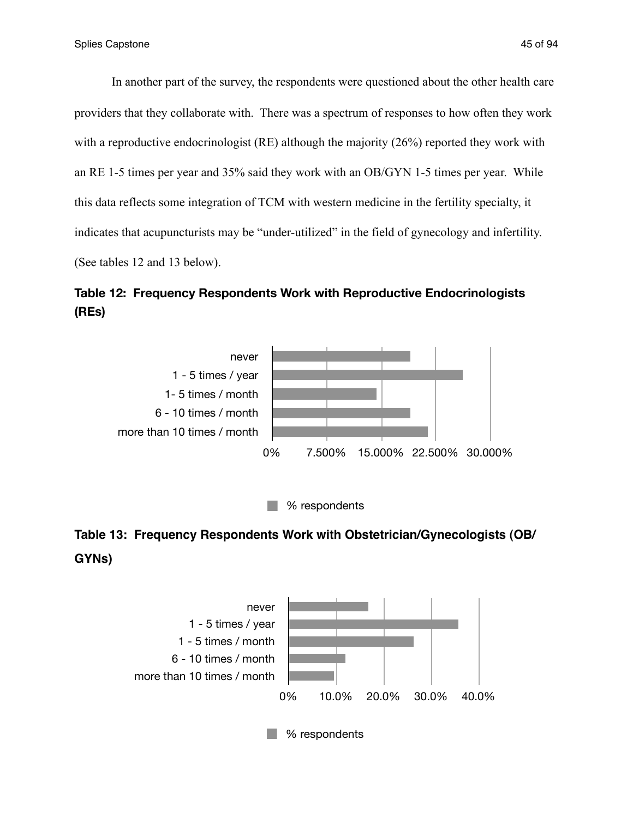In another part of the survey, the respondents were questioned about the other health care providers that they collaborate with. There was a spectrum of responses to how often they work with a reproductive endocrinologist (RE) although the majority (26%) reported they work with an RE 1-5 times per year and 35% said they work with an OB/GYN 1-5 times per year. While this data reflects some integration of TCM with western medicine in the fertility specialty, it indicates that acupuncturists may be "under-utilized" in the field of gynecology and infertility. (See tables 12 and 13 below).

# **Table 12: Frequency Respondents Work with Reproductive Endocrinologists (REs)**



% respondents

# **Table 13: Frequency Respondents Work with Obstetrician/Gynecologists (OB/ GYNs)**

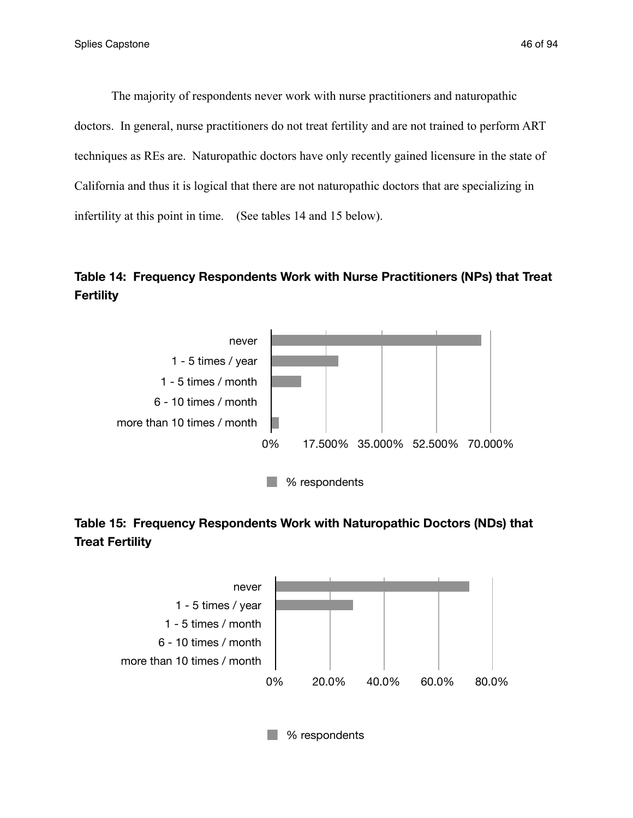The majority of respondents never work with nurse practitioners and naturopathic doctors. In general, nurse practitioners do not treat fertility and are not trained to perform ART techniques as REs are. Naturopathic doctors have only recently gained licensure in the state of California and thus it is logical that there are not naturopathic doctors that are specializing in infertility at this point in time. (See tables 14 and 15 below).

# **Table 14: Frequency Respondents Work with Nurse Practitioners (NPs) that Treat Fertility**



# **Table 15: Frequency Respondents Work with Naturopathic Doctors (NDs) that Treat Fertility**

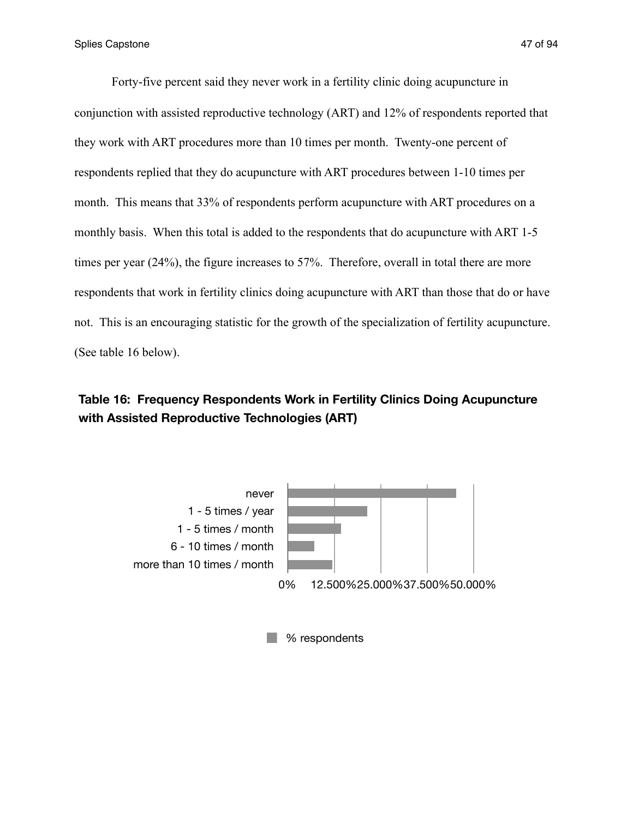Forty-five percent said they never work in a fertility clinic doing acupuncture in conjunction with assisted reproductive technology (ART) and 12% of respondents reported that they work with ART procedures more than 10 times per month. Twenty-one percent of respondents replied that they do acupuncture with ART procedures between 1-10 times per month. This means that 33% of respondents perform acupuncture with ART procedures on a monthly basis. When this total is added to the respondents that do acupuncture with ART 1-5 times per year (24%), the figure increases to 57%. Therefore, overall in total there are more respondents that work in fertility clinics doing acupuncture with ART than those that do or have not. This is an encouraging statistic for the growth of the specialization of fertility acupuncture. (See table 16 below).

## **Table 16: Frequency Respondents Work in Fertility Clinics Doing Acupuncture with Assisted Reproductive Technologies (ART)**



**8** % respondents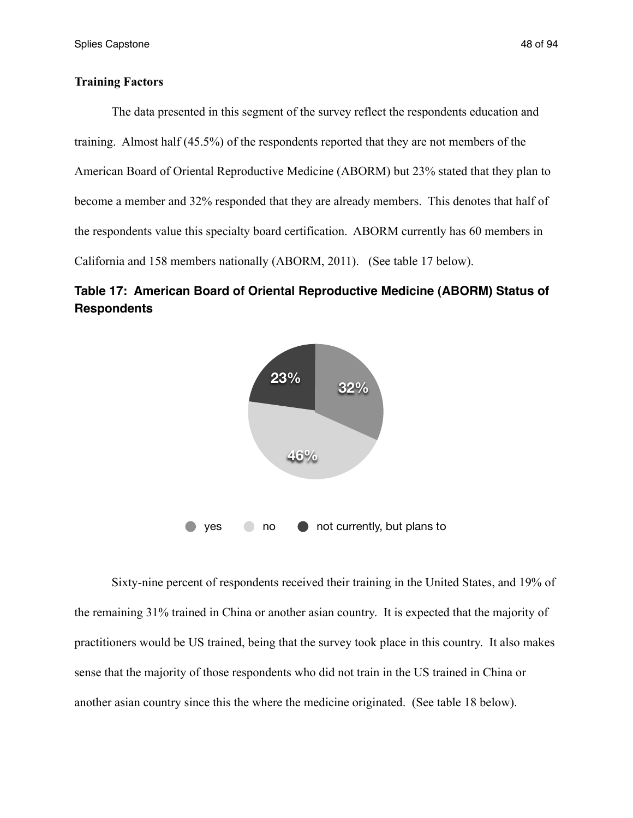#### **Training Factors**

The data presented in this segment of the survey reflect the respondents education and training. Almost half (45.5%) of the respondents reported that they are not members of the American Board of Oriental Reproductive Medicine (ABORM) but 23% stated that they plan to become a member and 32% responded that they are already members. This denotes that half of the respondents value this specialty board certification. ABORM currently has 60 members in California and 158 members nationally (ABORM, 2011). (See table 17 below).





 Sixty-nine percent of respondents received their training in the United States, and 19% of the remaining 31% trained in China or another asian country. It is expected that the majority of practitioners would be US trained, being that the survey took place in this country. It also makes sense that the majority of those respondents who did not train in the US trained in China or another asian country since this the where the medicine originated. (See table 18 below).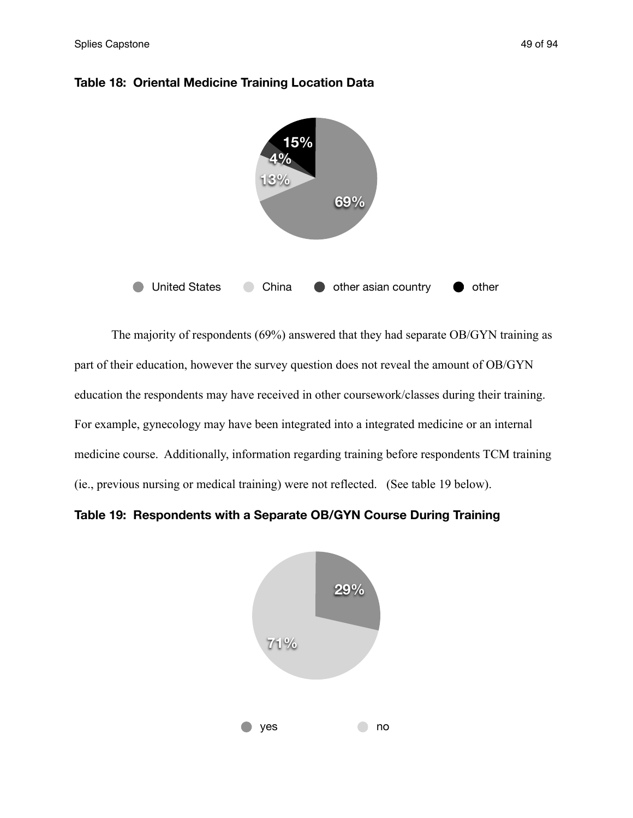

#### **Table 18: Oriental Medicine Training Location Data**

 The majority of respondents (69%) answered that they had separate OB/GYN training as part of their education, however the survey question does not reveal the amount of OB/GYN education the respondents may have received in other coursework/classes during their training. For example, gynecology may have been integrated into a integrated medicine or an internal medicine course. Additionally, information regarding training before respondents TCM training (ie., previous nursing or medical training) were not reflected. (See table 19 below).

**Table 19: Respondents with a Separate OB/GYN Course During Training**

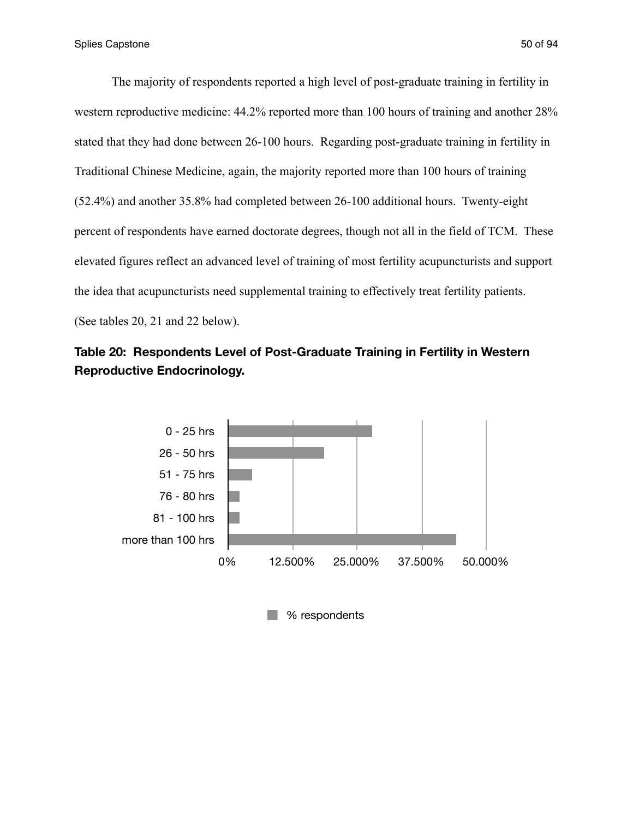The majority of respondents reported a high level of post-graduate training in fertility in

western reproductive medicine: 44.2% reported more than 100 hours of training and another 28% stated that they had done between 26-100 hours. Regarding post-graduate training in fertility in Traditional Chinese Medicine, again, the majority reported more than 100 hours of training (52.4%) and another 35.8% had completed between 26-100 additional hours. Twenty-eight percent of respondents have earned doctorate degrees, though not all in the field of TCM. These elevated figures reflect an advanced level of training of most fertility acupuncturists and support the idea that acupuncturists need supplemental training to effectively treat fertility patients. (See tables 20, 21 and 22 below).



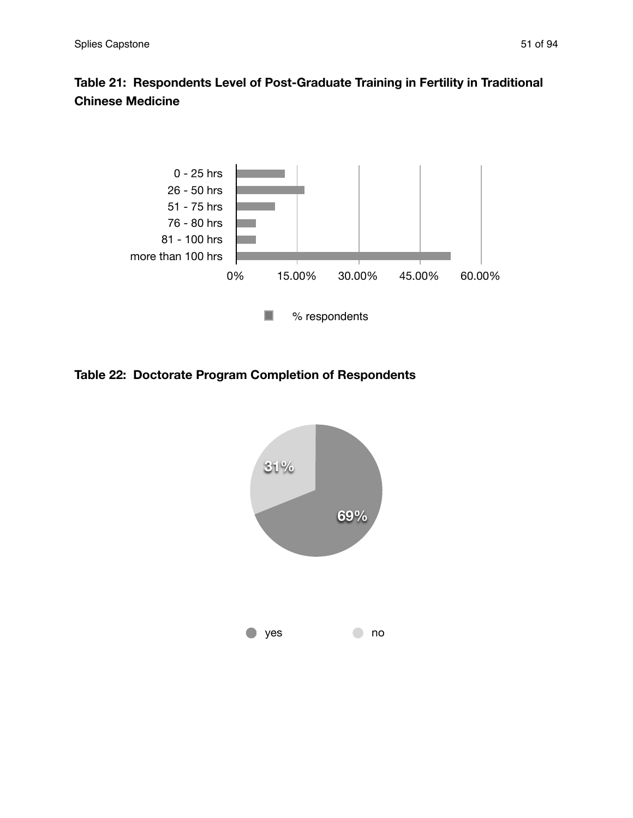# **Table 21: Respondents Level of Post-Graduate Training in Fertility in Traditional Chinese Medicine**



**Table 22: Doctorate Program Completion of Respondents**

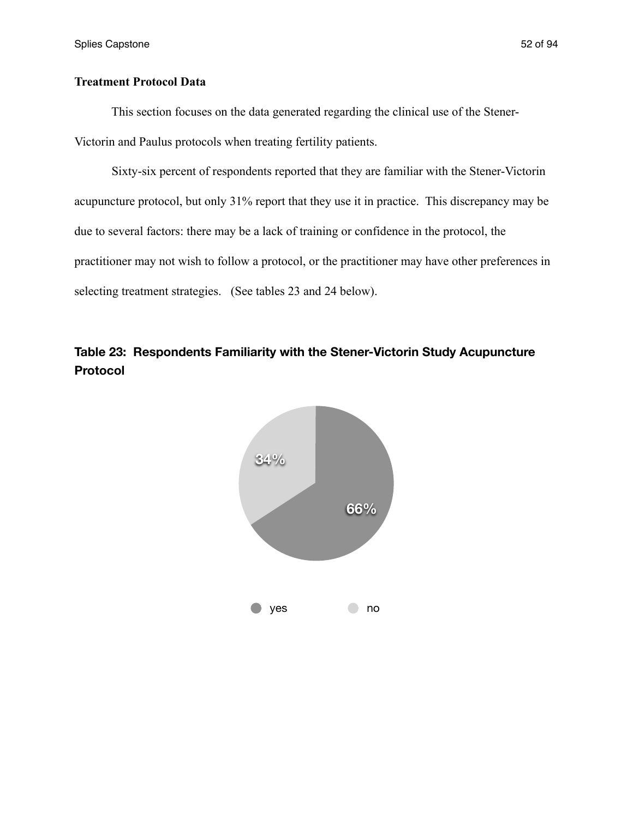## **Treatment Protocol Data**

 This section focuses on the data generated regarding the clinical use of the Stener-Victorin and Paulus protocols when treating fertility patients.

 Sixty-six percent of respondents reported that they are familiar with the Stener-Victorin acupuncture protocol, but only 31% report that they use it in practice. This discrepancy may be due to several factors: there may be a lack of training or confidence in the protocol, the practitioner may not wish to follow a protocol, or the practitioner may have other preferences in selecting treatment strategies. (See tables 23 and 24 below).



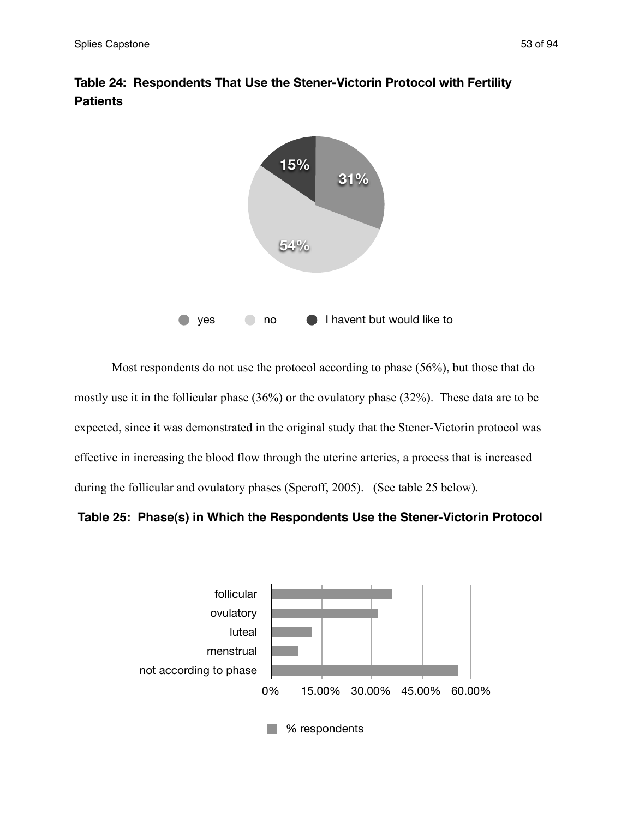

**Table 24: Respondents That Use the Stener-Victorin Protocol with Fertility Patients**

 Most respondents do not use the protocol according to phase (56%), but those that do mostly use it in the follicular phase (36%) or the ovulatory phase (32%). These data are to be expected, since it was demonstrated in the original study that the Stener-Victorin protocol was effective in increasing the blood flow through the uterine arteries, a process that is increased during the follicular and ovulatory phases (Speroff, 2005). (See table 25 below).

## **Table 25: Phase(s) in Which the Respondents Use the Stener-Victorin Protocol**

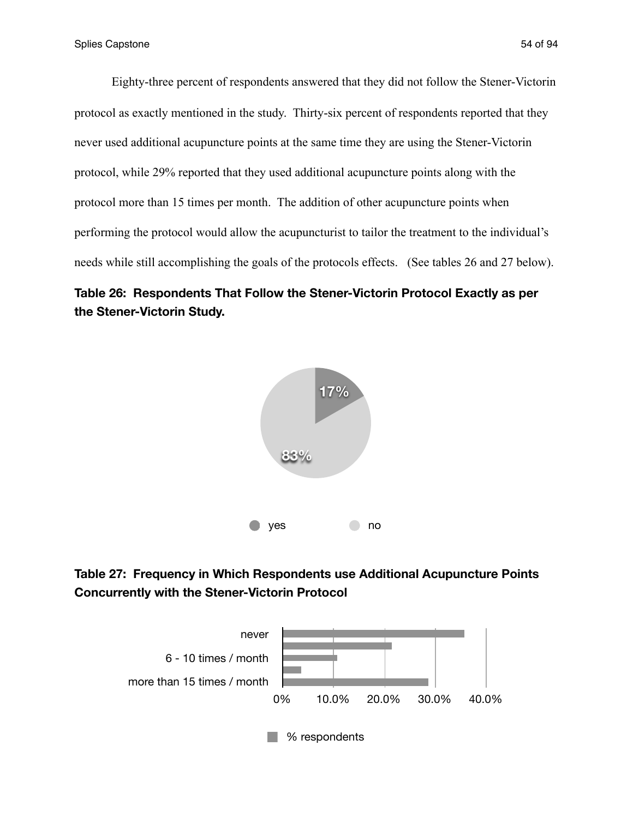Eighty-three percent of respondents answered that they did not follow the Stener-Victorin protocol as exactly mentioned in the study. Thirty-six percent of respondents reported that they never used additional acupuncture points at the same time they are using the Stener-Victorin protocol, while 29% reported that they used additional acupuncture points along with the protocol more than 15 times per month. The addition of other acupuncture points when performing the protocol would allow the acupuncturist to tailor the treatment to the individual's needs while still accomplishing the goals of the protocols effects. (See tables 26 and 27 below).

## **Table 26: Respondents That Follow the Stener-Victorin Protocol Exactly as per the Stener-Victorin Study.**





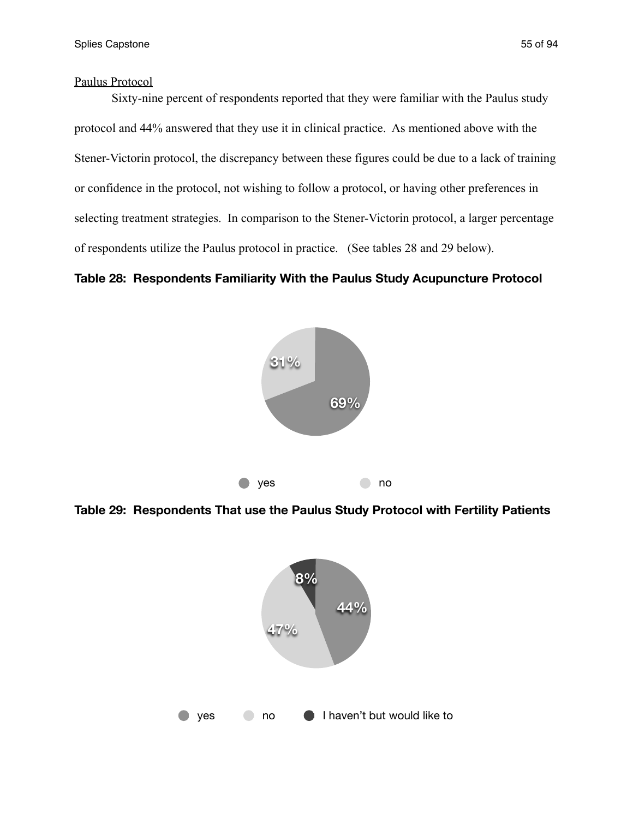## Paulus Protocol

 Sixty-nine percent of respondents reported that they were familiar with the Paulus study protocol and 44% answered that they use it in clinical practice. As mentioned above with the Stener-Victorin protocol, the discrepancy between these figures could be due to a lack of training or confidence in the protocol, not wishing to follow a protocol, or having other preferences in selecting treatment strategies. In comparison to the Stener-Victorin protocol, a larger percentage of respondents utilize the Paulus protocol in practice. (See tables 28 and 29 below).

## **Table 28: Respondents Familiarity With the Paulus Study Acupuncture Protocol**



**Table 29: Respondents That use the Paulus Study Protocol with Fertility Patients**

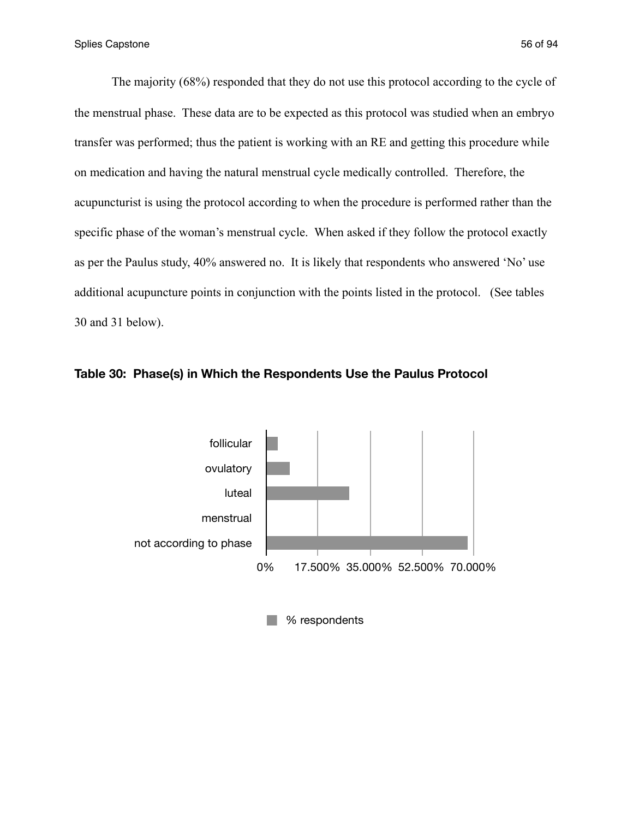The majority (68%) responded that they do not use this protocol according to the cycle of the menstrual phase. These data are to be expected as this protocol was studied when an embryo transfer was performed; thus the patient is working with an RE and getting this procedure while on medication and having the natural menstrual cycle medically controlled. Therefore, the acupuncturist is using the protocol according to when the procedure is performed rather than the specific phase of the woman's menstrual cycle. When asked if they follow the protocol exactly as per the Paulus study, 40% answered no. It is likely that respondents who answered 'No' use additional acupuncture points in conjunction with the points listed in the protocol. (See tables 30 and 31 below).



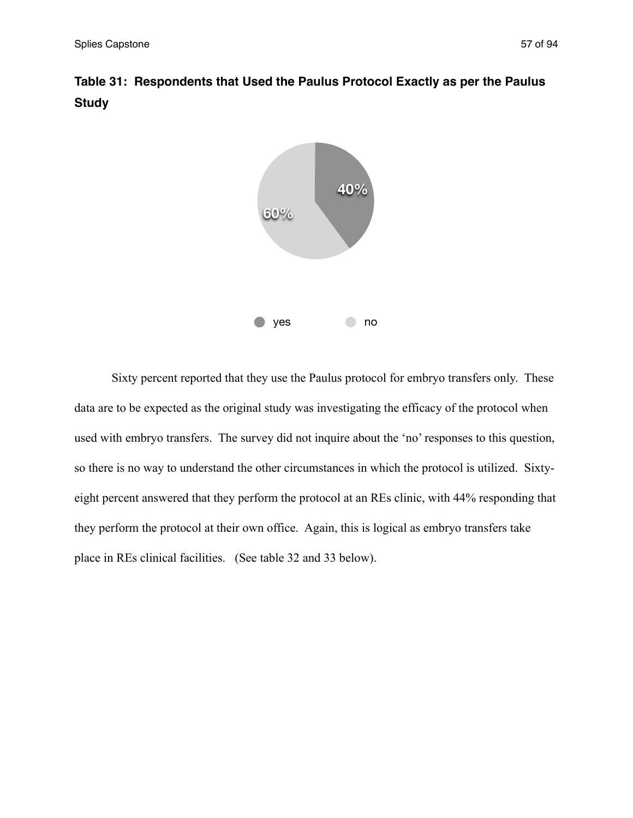



 Sixty percent reported that they use the Paulus protocol for embryo transfers only. These data are to be expected as the original study was investigating the efficacy of the protocol when used with embryo transfers. The survey did not inquire about the 'no' responses to this question, so there is no way to understand the other circumstances in which the protocol is utilized. Sixtyeight percent answered that they perform the protocol at an REs clinic, with 44% responding that they perform the protocol at their own office. Again, this is logical as embryo transfers take place in REs clinical facilities. (See table 32 and 33 below).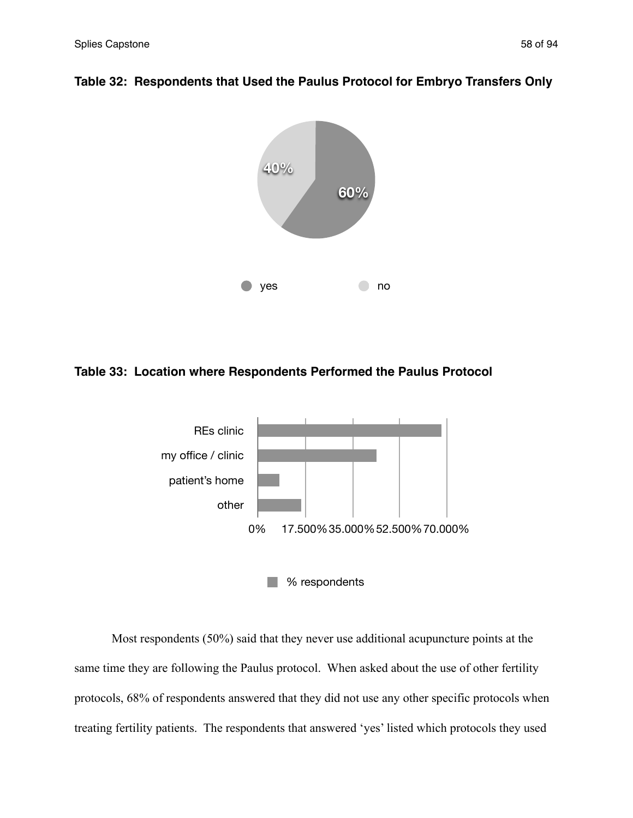

## **Table 32: Respondents that Used the Paulus Protocol for Embryo Transfers Only**

## **Table 33: Location where Respondents Performed the Paulus Protocol**



 Most respondents (50%) said that they never use additional acupuncture points at the same time they are following the Paulus protocol. When asked about the use of other fertility protocols, 68% of respondents answered that they did not use any other specific protocols when treating fertility patients. The respondents that answered 'yes' listed which protocols they used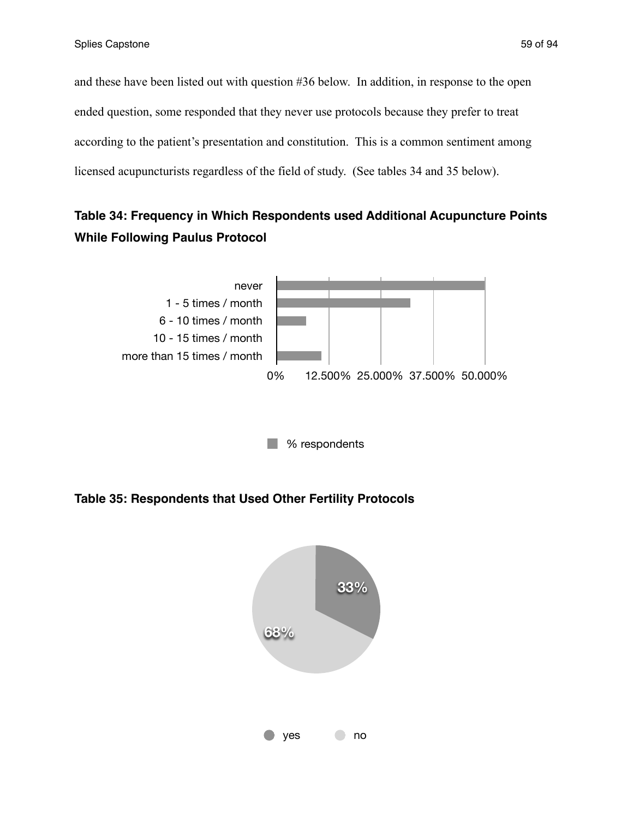and these have been listed out with question #36 below. In addition, in response to the open ended question, some responded that they never use protocols because they prefer to treat according to the patient's presentation and constitution. This is a common sentiment among licensed acupuncturists regardless of the field of study. (See tables 34 and 35 below).

# **Table 34: Frequency in Which Respondents used Additional Acupuncture Points While Following Paulus Protocol**



**Table 35: Respondents that Used Other Fertility Protocols**

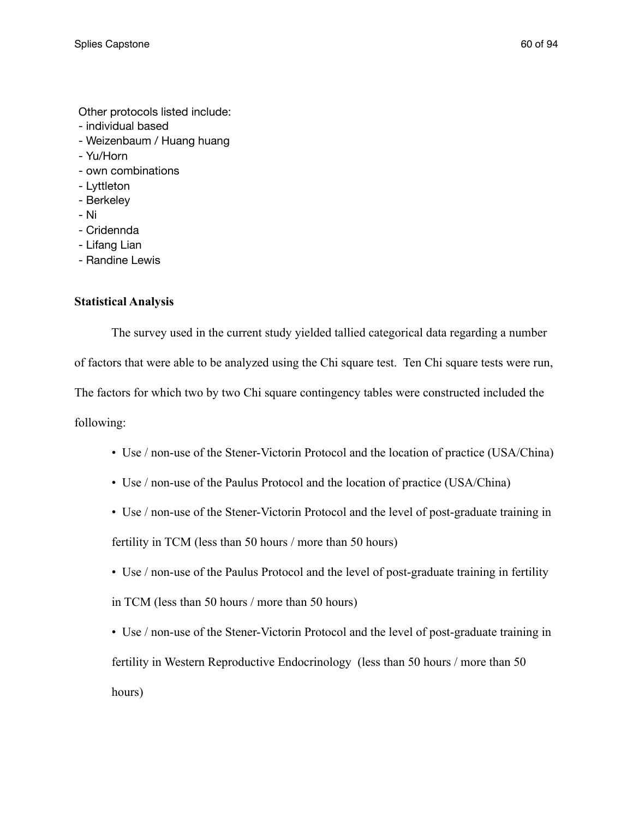Other protocols listed include:

- individual based
- Weizenbaum / Huang huang
- Yu/Horn
- own combinations
- Lyttleton
- Berkeley
- Ni
- Cridennda
- Lifang Lian
- Randine Lewis

## **Statistical Analysis**

The survey used in the current study yielded tallied categorical data regarding a number

of factors that were able to be analyzed using the Chi square test. Ten Chi square tests were run,

The factors for which two by two Chi square contingency tables were constructed included the

following:

- Use / non-use of the Stener-Victorin Protocol and the location of practice (USA/China)
- Use / non-use of the Paulus Protocol and the location of practice (USA/China)
- Use / non-use of the Stener-Victorin Protocol and the level of post-graduate training in fertility in TCM (less than 50 hours / more than 50 hours)
- Use / non-use of the Paulus Protocol and the level of post-graduate training in fertility in TCM (less than 50 hours / more than 50 hours)

• Use / non-use of the Stener-Victorin Protocol and the level of post-graduate training in fertility in Western Reproductive Endocrinology (less than 50 hours / more than 50 hours)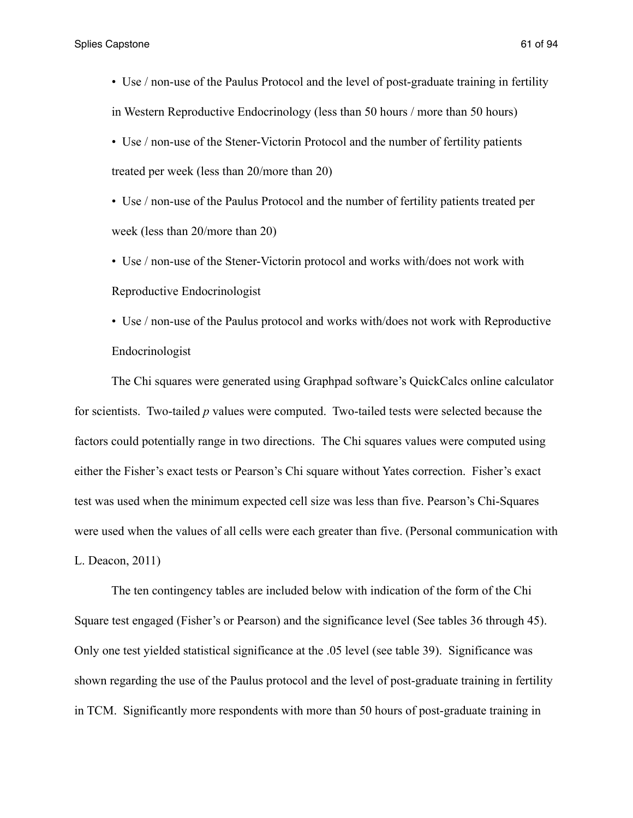• Use / non-use of the Paulus Protocol and the level of post-graduate training in fertility in Western Reproductive Endocrinology (less than 50 hours / more than 50 hours)

• Use / non-use of the Stener-Victorin Protocol and the number of fertility patients treated per week (less than 20/more than 20)

• Use / non-use of the Paulus Protocol and the number of fertility patients treated per week (less than 20/more than 20)

• Use / non-use of the Stener-Victorin protocol and works with/does not work with Reproductive Endocrinologist

• Use / non-use of the Paulus protocol and works with/does not work with Reproductive Endocrinologist

 The Chi squares were generated using Graphpad software's QuickCalcs online calculator for scientists. Two-tailed *p* values were computed. Two-tailed tests were selected because the factors could potentially range in two directions. The Chi squares values were computed using either the Fisher's exact tests or Pearson's Chi square without Yates correction. Fisher's exact test was used when the minimum expected cell size was less than five. Pearson's Chi-Squares were used when the values of all cells were each greater than five. (Personal communication with L. Deacon, 2011)

 The ten contingency tables are included below with indication of the form of the Chi Square test engaged (Fisher's or Pearson) and the significance level (See tables 36 through 45). Only one test yielded statistical significance at the .05 level (see table 39). Significance was shown regarding the use of the Paulus protocol and the level of post-graduate training in fertility in TCM. Significantly more respondents with more than 50 hours of post-graduate training in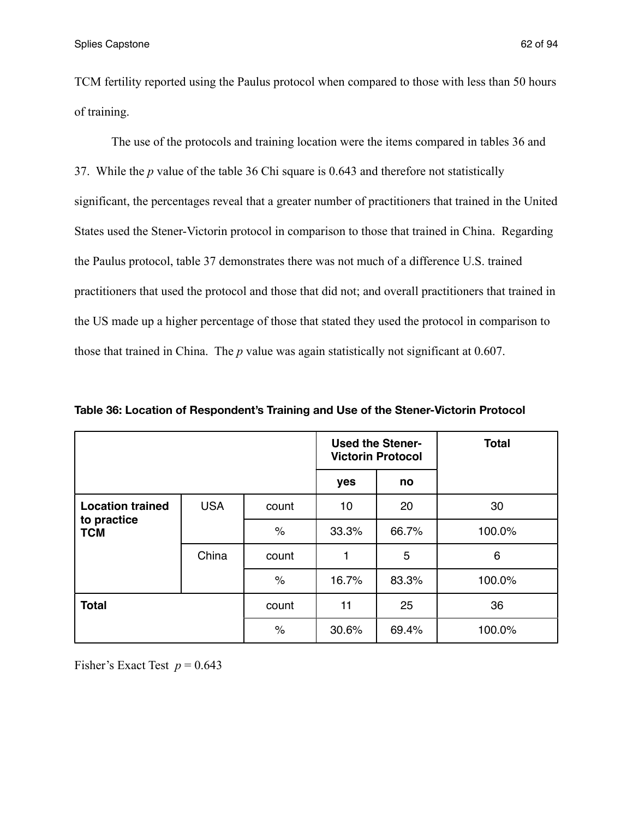TCM fertility reported using the Paulus protocol when compared to those with less than 50 hours of training.

 The use of the protocols and training location were the items compared in tables 36 and 37. While the *p* value of the table 36 Chi square is 0.643 and therefore not statistically significant, the percentages reveal that a greater number of practitioners that trained in the United States used the Stener-Victorin protocol in comparison to those that trained in China. Regarding the Paulus protocol, table 37 demonstrates there was not much of a difference U.S. trained practitioners that used the protocol and those that did not; and overall practitioners that trained in the US made up a higher percentage of those that stated they used the protocol in comparison to those that trained in China. The *p* value was again statistically not significant at 0.607.

|                                                      |            |       |       | <b>Used the Stener-</b><br><b>Victorin Protocol</b> | <b>Total</b> |
|------------------------------------------------------|------------|-------|-------|-----------------------------------------------------|--------------|
|                                                      |            |       | yes   | no                                                  |              |
| <b>Location trained</b><br>to practice<br><b>TCM</b> | <b>USA</b> | count | 10    | 20                                                  | 30           |
|                                                      |            | $\%$  | 33.3% | 66.7%                                               | 100.0%       |
|                                                      | China      | count | 1     | 5                                                   | 6            |
|                                                      |            | $\%$  | 16.7% | 83.3%                                               | 100.0%       |
| <b>Total</b>                                         |            | count | 11    | 25                                                  | 36           |
|                                                      |            | $\%$  | 30.6% | 69.4%                                               | 100.0%       |

**Table 36: Location of Respondent's Training and Use of the Stener-Victorin Protocol**

Fisher's Exact Test  $p = 0.643$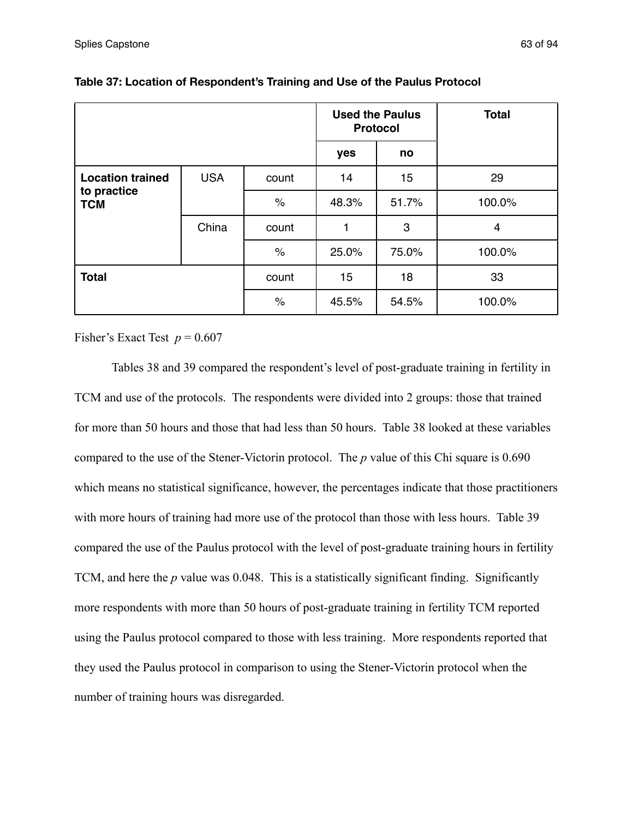|                                                      |            |       | <b>Used the Paulus</b><br><b>Protocol</b> |       | <b>Total</b> |
|------------------------------------------------------|------------|-------|-------------------------------------------|-------|--------------|
|                                                      |            |       | yes                                       | no    |              |
| <b>Location trained</b><br>to practice<br><b>TCM</b> | <b>USA</b> | count | 14                                        | 15    | 29           |
|                                                      |            | $\%$  | 48.3%                                     | 51.7% | 100.0%       |
|                                                      | China      | count | 1                                         | 3     | 4            |
|                                                      |            | $\%$  | 25.0%                                     | 75.0% | 100.0%       |
| <b>Total</b>                                         |            | count | 15                                        | 18    | 33           |
|                                                      |            | $\%$  | 45.5%                                     | 54.5% | 100.0%       |

| Table 37: Location of Respondent's Training and Use of the Paulus Protocol |
|----------------------------------------------------------------------------|
|----------------------------------------------------------------------------|

Fisher's Exact Test  $p = 0.607$ 

Tables 38 and 39 compared the respondent's level of post-graduate training in fertility in TCM and use of the protocols. The respondents were divided into 2 groups: those that trained for more than 50 hours and those that had less than 50 hours. Table 38 looked at these variables compared to the use of the Stener-Victorin protocol. The *p* value of this Chi square is 0.690 which means no statistical significance, however, the percentages indicate that those practitioners with more hours of training had more use of the protocol than those with less hours. Table 39 compared the use of the Paulus protocol with the level of post-graduate training hours in fertility TCM, and here the *p* value was 0.048. This is a statistically significant finding. Significantly more respondents with more than 50 hours of post-graduate training in fertility TCM reported using the Paulus protocol compared to those with less training. More respondents reported that they used the Paulus protocol in comparison to using the Stener-Victorin protocol when the number of training hours was disregarded.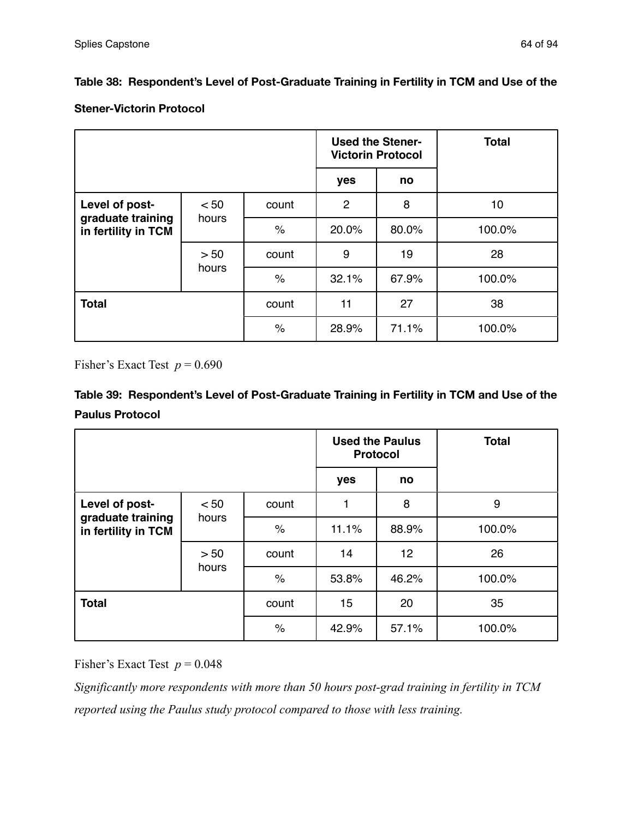## **Table 38: Respondent's Level of Post-Graduate Training in Fertility in TCM and Use of the**

## **Stener-Victorin Protocol**

|                                          |               |       | <b>Used the Stener-</b><br><b>Victorin Protocol</b> |       | <b>Total</b> |
|------------------------------------------|---------------|-------|-----------------------------------------------------|-------|--------------|
|                                          |               |       | yes                                                 | no    |              |
| Level of post-                           | < 50          | count | $\overline{2}$                                      | 8     | 10           |
| graduate training<br>in fertility in TCM | hours         | $\%$  | 20.0%                                               | 80.0% | 100.0%       |
|                                          | > 50<br>hours | count | 9                                                   | 19    | 28           |
|                                          |               | $\%$  | 32.1%                                               | 67.9% | 100.0%       |
| <b>Total</b>                             |               | count | 11                                                  | 27    | 38           |
|                                          |               | $\%$  | 28.9%                                               | 71.1% | 100.0%       |

Fisher's Exact Test  $p = 0.690$ 

# **Table 39: Respondent's Level of Post-Graduate Training in Fertility in TCM and Use of the Paulus Protocol**

|                                          |               |       |       | <b>Used the Paulus</b><br><b>Protocol</b> | <b>Total</b> |
|------------------------------------------|---------------|-------|-------|-------------------------------------------|--------------|
|                                          |               |       | yes   | no                                        |              |
| Level of post-                           | < 50          | count | 1     | 8                                         | 9            |
| graduate training<br>in fertility in TCM | hours         | $\%$  | 11.1% | 88.9%                                     | 100.0%       |
|                                          | > 50<br>hours | count | 14    | 12 <sub>2</sub>                           | 26           |
|                                          |               | $\%$  | 53.8% | 46.2%                                     | 100.0%       |
| <b>Total</b>                             |               | count | 15    | 20                                        | 35           |
|                                          |               | $\%$  | 42.9% | 57.1%                                     | 100.0%       |

Fisher's Exact Test  $p = 0.048$ 

*Significantly more respondents with more than 50 hours post-grad training in fertility in TCM reported using the Paulus study protocol compared to those with less training.*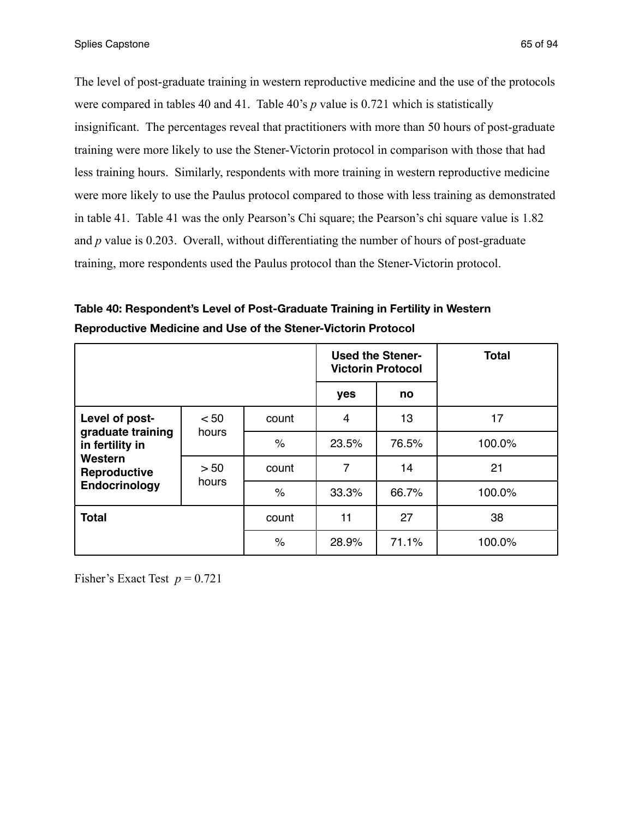The level of post-graduate training in western reproductive medicine and the use of the protocols were compared in tables 40 and 41. Table 40's *p* value is 0.721 which is statistically insignificant. The percentages reveal that practitioners with more than 50 hours of post-graduate training were more likely to use the Stener-Victorin protocol in comparison with those that had less training hours. Similarly, respondents with more training in western reproductive medicine were more likely to use the Paulus protocol compared to those with less training as demonstrated in table 41. Table 41 was the only Pearson's Chi square; the Pearson's chi square value is 1.82 and *p* value is 0.203. Overall, without differentiating the number of hours of post-graduate training, more respondents used the Paulus protocol than the Stener-Victorin protocol.

**Table 40: Respondent's Level of Post-Graduate Training in Fertility in Western Reproductive Medicine and Use of the Stener-Victorin Protocol**

|                                                                                                                                      |  |                      | <b>Victorin Protocol</b> | <b>Used the Stener-</b> | <b>Total</b> |  |
|--------------------------------------------------------------------------------------------------------------------------------------|--|----------------------|--------------------------|-------------------------|--------------|--|
|                                                                                                                                      |  |                      | yes                      | no                      |              |  |
| Level of post-<br>< 50<br>graduate training<br>hours<br>in fertility in<br>Western<br>> 50<br>Reproductive<br>hours<br>Endocrinology |  | count                | $\overline{4}$           | 13                      | 17           |  |
|                                                                                                                                      |  | $\%$                 | 23.5%                    | 76.5%                   | 100.0%       |  |
|                                                                                                                                      |  | count                | 7                        | 14                      | 21           |  |
|                                                                                                                                      |  | $\frac{1}{\sqrt{2}}$ | 33.3%                    | 66.7%                   | 100.0%       |  |
| <b>Total</b>                                                                                                                         |  | count                | 11                       | 27                      | 38           |  |
|                                                                                                                                      |  | $\%$                 | 28.9%                    | 71.1%                   | 100.0%       |  |

Fisher's Exact Test  $p = 0.721$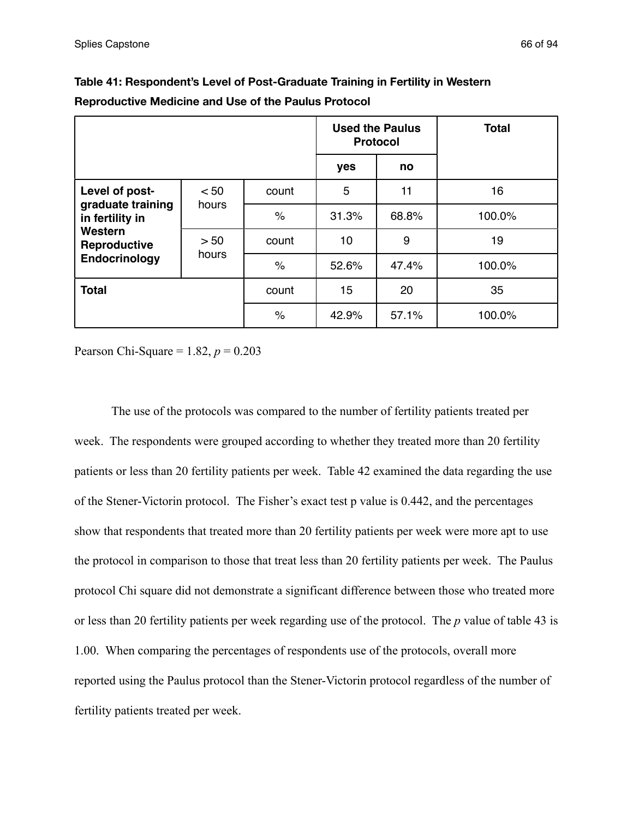|                                                                                                                                      |  |       | <b>Protocol</b> | <b>Used the Paulus</b> | <b>Total</b> |
|--------------------------------------------------------------------------------------------------------------------------------------|--|-------|-----------------|------------------------|--------------|
|                                                                                                                                      |  |       | yes             | no                     |              |
| Level of post-<br>< 50<br>graduate training<br>hours<br>in fertility in<br>Western<br>> 50<br>Reproductive<br>hours<br>Endocrinology |  | count | 5               | 11                     | 16           |
|                                                                                                                                      |  | $\%$  | 31.3%           | 68.8%                  | 100.0%       |
|                                                                                                                                      |  | count | 10              | 9                      | 19           |
|                                                                                                                                      |  | $\%$  | 52.6%           | 47.4%                  | 100.0%       |
| <b>Total</b>                                                                                                                         |  | count | 15              | 20                     | 35           |
|                                                                                                                                      |  | $\%$  | 42.9%           | 57.1%                  | 100.0%       |

**Table 41: Respondent's Level of Post-Graduate Training in Fertility in Western Reproductive Medicine and Use of the Paulus Protocol**

Pearson Chi-Square = 1.82, *p* = 0.203

 The use of the protocols was compared to the number of fertility patients treated per week. The respondents were grouped according to whether they treated more than 20 fertility patients or less than 20 fertility patients per week. Table 42 examined the data regarding the use of the Stener-Victorin protocol. The Fisher's exact test p value is 0.442, and the percentages show that respondents that treated more than 20 fertility patients per week were more apt to use the protocol in comparison to those that treat less than 20 fertility patients per week. The Paulus protocol Chi square did not demonstrate a significant difference between those who treated more or less than 20 fertility patients per week regarding use of the protocol. The *p* value of table 43 is 1.00. When comparing the percentages of respondents use of the protocols, overall more reported using the Paulus protocol than the Stener-Victorin protocol regardless of the number of fertility patients treated per week.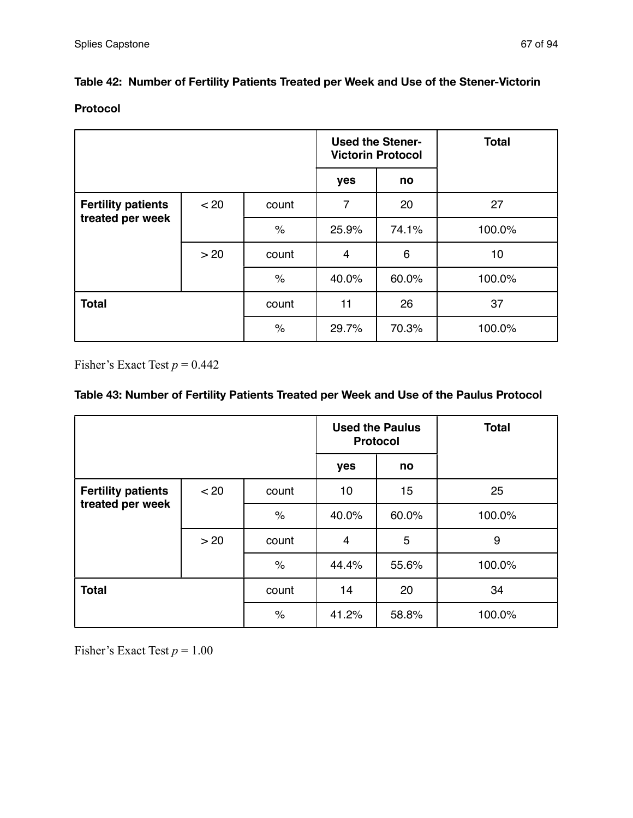## **Table 42: Number of Fertility Patients Treated per Week and Use of the Stener-Victorin**

### **Protocol**

|                                               |      |       | <b>Used the Stener-</b><br><b>Victorin Protocol</b> |       | <b>Total</b> |
|-----------------------------------------------|------|-------|-----------------------------------------------------|-------|--------------|
|                                               |      |       | yes                                                 | no    |              |
| <b>Fertility patients</b><br>treated per week | < 20 | count | $\overline{7}$                                      | 20    | 27           |
|                                               |      | $\%$  | 25.9%                                               | 74.1% | 100.0%       |
|                                               | >20  | count | $\overline{4}$                                      | 6     | 10           |
|                                               |      | $\%$  | 40.0%                                               | 60.0% | 100.0%       |
| <b>Total</b>                                  |      | count | 11                                                  | 26    | 37           |
|                                               |      | $\%$  | 29.7%                                               | 70.3% | 100.0%       |

Fisher's Exact Test  $p = 0.442$ 

## **Table 43: Number of Fertility Patients Treated per Week and Use of the Paulus Protocol**

|                                               |      |       |                | <b>Used the Paulus</b><br><b>Protocol</b> | <b>Total</b> |
|-----------------------------------------------|------|-------|----------------|-------------------------------------------|--------------|
|                                               |      |       | yes            | no                                        |              |
| <b>Fertility patients</b><br>treated per week | < 20 | count | 10             | 15                                        | 25           |
|                                               |      | $\%$  | 40.0%          | 60.0%                                     | 100.0%       |
|                                               | >20  | count | $\overline{4}$ | 5                                         | 9            |
|                                               |      | $\%$  | 44.4%          | 55.6%                                     | 100.0%       |
| <b>Total</b>                                  |      | count | 14             | 20                                        | 34           |
|                                               |      | $\%$  | 41.2%          | 58.8%                                     | 100.0%       |

Fisher's Exact Test  $p = 1.00$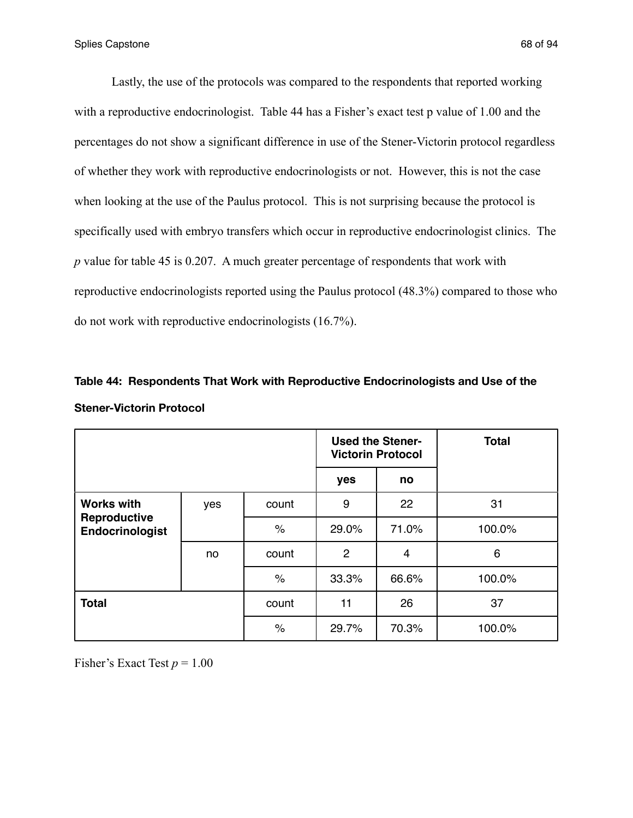Lastly, the use of the protocols was compared to the respondents that reported working with a reproductive endocrinologist. Table 44 has a Fisher's exact test p value of 1.00 and the percentages do not show a significant difference in use of the Stener-Victorin protocol regardless of whether they work with reproductive endocrinologists or not. However, this is not the case when looking at the use of the Paulus protocol. This is not surprising because the protocol is specifically used with embryo transfers which occur in reproductive endocrinologist clinics. The *p* value for table 45 is 0.207. A much greater percentage of respondents that work with reproductive endocrinologists reported using the Paulus protocol (48.3%) compared to those who do not work with reproductive endocrinologists (16.7%).

# **Table 44: Respondents That Work with Reproductive Endocrinologists and Use of the Stener-Victorin Protocol**

|                                                      |     |       |                | <b>Used the Stener-</b><br><b>Victorin Protocol</b> | <b>Total</b> |
|------------------------------------------------------|-----|-------|----------------|-----------------------------------------------------|--------------|
|                                                      |     |       | yes            | no                                                  |              |
| <b>Works with</b><br>Reproductive<br>Endocrinologist | yes | count | 9              | 22                                                  | 31           |
|                                                      |     | $\%$  | 29.0%          | 71.0%                                               | 100.0%       |
|                                                      | no. | count | $\overline{2}$ | 4                                                   | 6            |
|                                                      |     | $\%$  | 33.3%          | 66.6%                                               | 100.0%       |
| <b>Total</b>                                         |     | count | 11             | 26                                                  | 37           |
|                                                      |     | $\%$  | 29.7%          | 70.3%                                               | 100.0%       |

Fisher's Exact Test  $p = 1.00$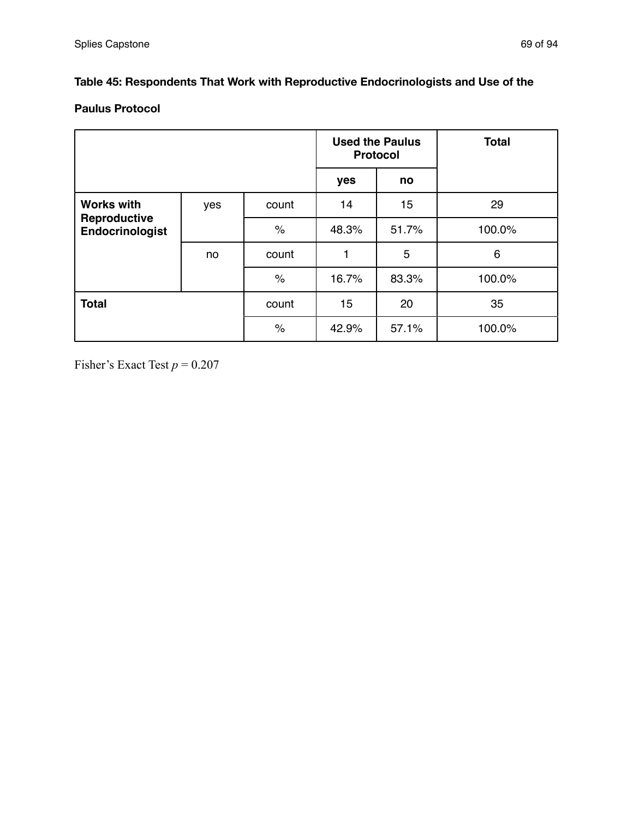## **Table 45: Respondents That Work with Reproductive Endocrinologists and Use of the**

## **Paulus Protocol**

|                                                      |     |       | <b>Protocol</b> | <b>Used the Paulus</b> | <b>Total</b> |
|------------------------------------------------------|-----|-------|-----------------|------------------------|--------------|
|                                                      |     |       | yes             | no                     |              |
| <b>Works with</b><br>Reproductive<br>Endocrinologist | yes | count | 14              | 15                     | 29           |
|                                                      |     | $\%$  | 48.3%           | 51.7%                  | 100.0%       |
|                                                      | no. | count | 1               | 5                      | 6            |
|                                                      |     | $\%$  | 16.7%           | 83.3%                  | 100.0%       |
| <b>Total</b>                                         |     | count | 15              | 20                     | 35           |
|                                                      |     | $\%$  | 42.9%           | 57.1%                  | 100.0%       |

Fisher's Exact Test  $p = 0.207$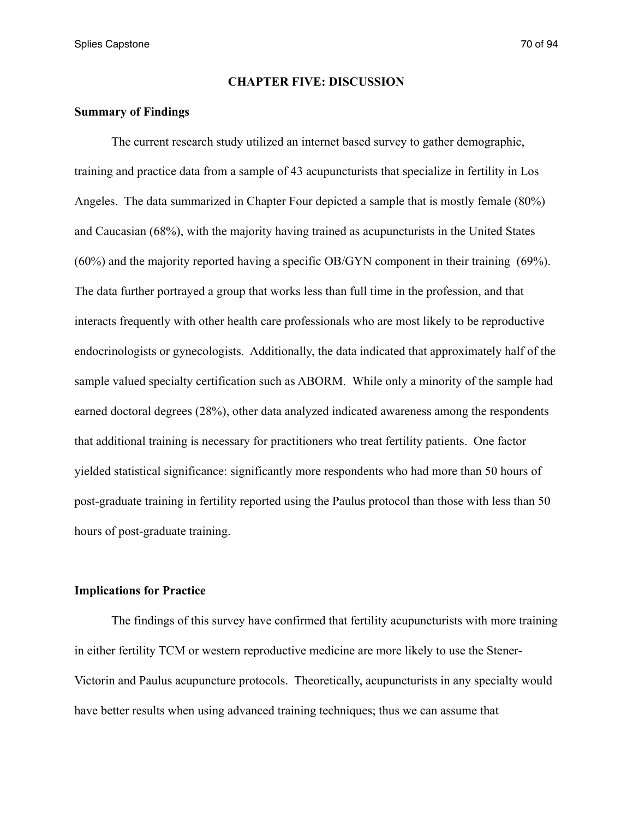Splies Capstone 70 of 94

#### **CHAPTER FIVE: DISCUSSION**

#### **Summary of Findings**

 The current research study utilized an internet based survey to gather demographic, training and practice data from a sample of 43 acupuncturists that specialize in fertility in Los Angeles. The data summarized in Chapter Four depicted a sample that is mostly female (80%) and Caucasian (68%), with the majority having trained as acupuncturists in the United States (60%) and the majority reported having a specific OB/GYN component in their training (69%). The data further portrayed a group that works less than full time in the profession, and that interacts frequently with other health care professionals who are most likely to be reproductive endocrinologists or gynecologists. Additionally, the data indicated that approximately half of the sample valued specialty certification such as ABORM. While only a minority of the sample had earned doctoral degrees (28%), other data analyzed indicated awareness among the respondents that additional training is necessary for practitioners who treat fertility patients. One factor yielded statistical significance: significantly more respondents who had more than 50 hours of post-graduate training in fertility reported using the Paulus protocol than those with less than 50 hours of post-graduate training.

## **Implications for Practice**

 The findings of this survey have confirmed that fertility acupuncturists with more training in either fertility TCM or western reproductive medicine are more likely to use the Stener-Victorin and Paulus acupuncture protocols. Theoretically, acupuncturists in any specialty would have better results when using advanced training techniques; thus we can assume that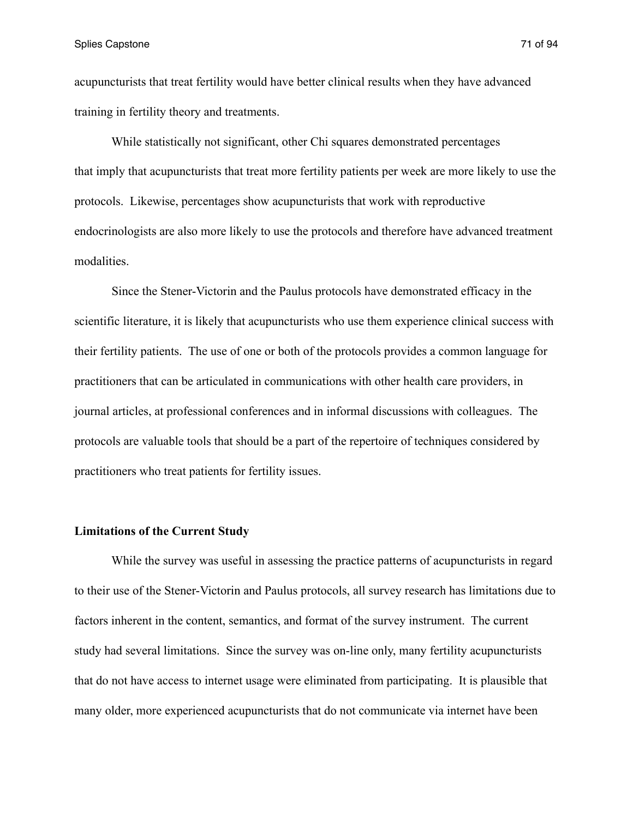Splies Capstone 71 of 94

acupuncturists that treat fertility would have better clinical results when they have advanced training in fertility theory and treatments.

 While statistically not significant, other Chi squares demonstrated percentages that imply that acupuncturists that treat more fertility patients per week are more likely to use the protocols. Likewise, percentages show acupuncturists that work with reproductive endocrinologists are also more likely to use the protocols and therefore have advanced treatment modalities.

 Since the Stener-Victorin and the Paulus protocols have demonstrated efficacy in the scientific literature, it is likely that acupuncturists who use them experience clinical success with their fertility patients. The use of one or both of the protocols provides a common language for practitioners that can be articulated in communications with other health care providers, in journal articles, at professional conferences and in informal discussions with colleagues. The protocols are valuable tools that should be a part of the repertoire of techniques considered by practitioners who treat patients for fertility issues.

### **Limitations of the Current Study**

 While the survey was useful in assessing the practice patterns of acupuncturists in regard to their use of the Stener-Victorin and Paulus protocols, all survey research has limitations due to factors inherent in the content, semantics, and format of the survey instrument. The current study had several limitations. Since the survey was on-line only, many fertility acupuncturists that do not have access to internet usage were eliminated from participating. It is plausible that many older, more experienced acupuncturists that do not communicate via internet have been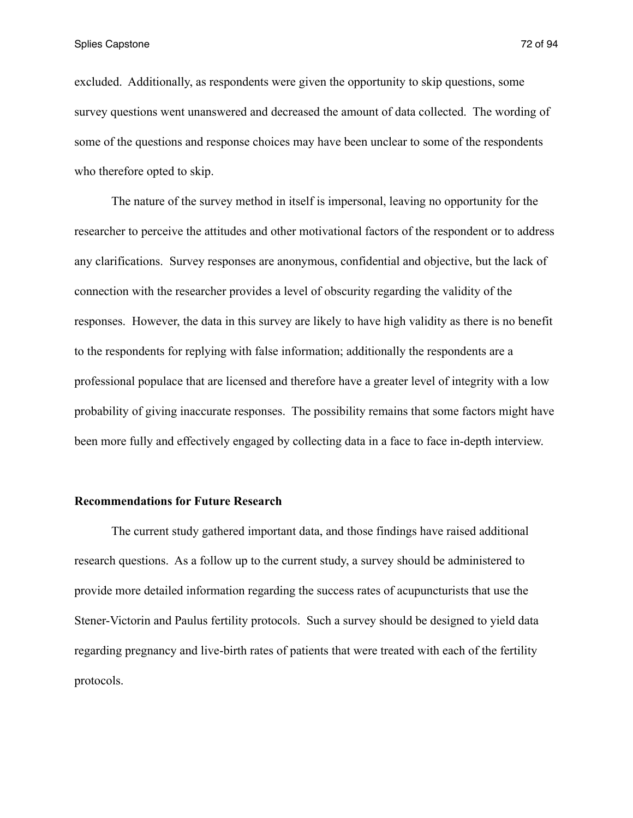Splies Capstone 72 of 94

excluded. Additionally, as respondents were given the opportunity to skip questions, some survey questions went unanswered and decreased the amount of data collected. The wording of some of the questions and response choices may have been unclear to some of the respondents who therefore opted to skip.

 The nature of the survey method in itself is impersonal, leaving no opportunity for the researcher to perceive the attitudes and other motivational factors of the respondent or to address any clarifications. Survey responses are anonymous, confidential and objective, but the lack of connection with the researcher provides a level of obscurity regarding the validity of the responses. However, the data in this survey are likely to have high validity as there is no benefit to the respondents for replying with false information; additionally the respondents are a professional populace that are licensed and therefore have a greater level of integrity with a low probability of giving inaccurate responses. The possibility remains that some factors might have been more fully and effectively engaged by collecting data in a face to face in-depth interview.

#### **Recommendations for Future Research**

 The current study gathered important data, and those findings have raised additional research questions. As a follow up to the current study, a survey should be administered to provide more detailed information regarding the success rates of acupuncturists that use the Stener-Victorin and Paulus fertility protocols. Such a survey should be designed to yield data regarding pregnancy and live-birth rates of patients that were treated with each of the fertility protocols.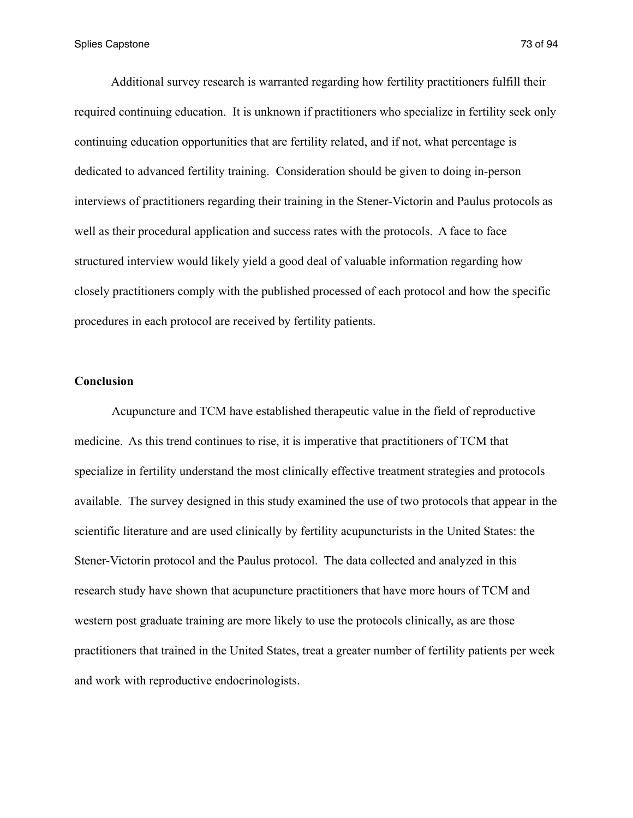Additional survey research is warranted regarding how fertility practitioners fulfill their required continuing education. It is unknown if practitioners who specialize in fertility seek only continuing education opportunities that are fertility related, and if not, what percentage is dedicated to advanced fertility training. Consideration should be given to doing in-person interviews of practitioners regarding their training in the Stener-Victorin and Paulus protocols as well as their procedural application and success rates with the protocols. A face to face structured interview would likely yield a good deal of valuable information regarding how closely practitioners comply with the published processed of each protocol and how the specific procedures in each protocol are received by fertility patients.

#### **Conclusion**

Acupuncture and TCM have established therapeutic value in the field of reproductive medicine. As this trend continues to rise, it is imperative that practitioners of TCM that specialize in fertility understand the most clinically effective treatment strategies and protocols available. The survey designed in this study examined the use of two protocols that appear in the scientific literature and are used clinically by fertility acupuncturists in the United States: the Stener-Victorin protocol and the Paulus protocol. The data collected and analyzed in this research study have shown that acupuncture practitioners that have more hours of TCM and western post graduate training are more likely to use the protocols clinically, as are those practitioners that trained in the United States, treat a greater number of fertility patients per week and work with reproductive endocrinologists.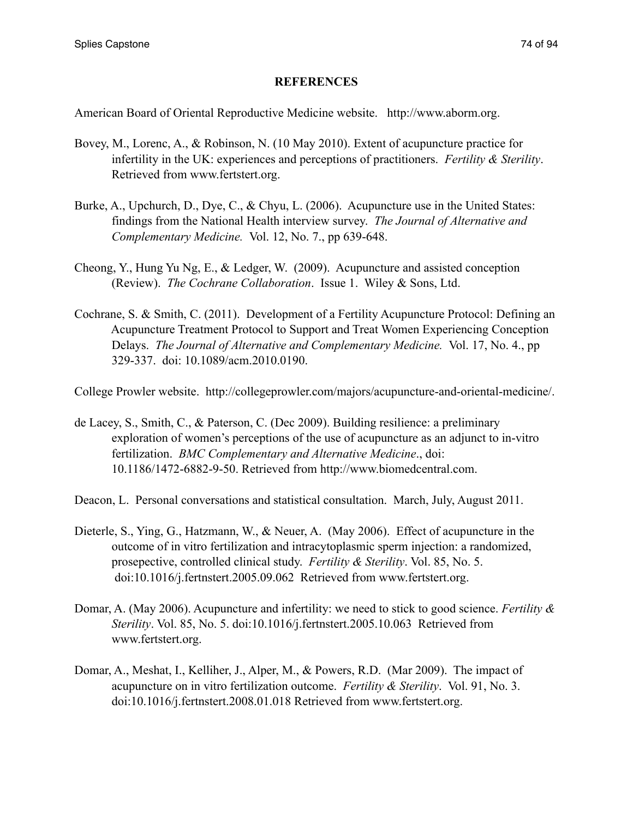#### **REFERENCES**

American Board of Oriental Reproductive Medicine website. http://www.aborm.org.

- Bovey, M., Lorenc, A., & Robinson, N. (10 May 2010). Extent of acupuncture practice for infertility in the UK: experiences and perceptions of practitioners. *Fertility & Sterility*. Retrieved from www.fertstert.org.
- Burke, A., Upchurch, D., Dye, C., & Chyu, L. (2006). Acupuncture use in the United States: findings from the National Health interview survey. *The Journal of Alternative and Complementary Medicine.* Vol. 12, No. 7., pp 639-648.
- Cheong, Y., Hung Yu Ng, E., & Ledger, W. (2009). Acupuncture and assisted conception (Review). *The Cochrane Collaboration*. Issue 1. Wiley & Sons, Ltd.
- Cochrane, S. & Smith, C. (2011). Development of a Fertility Acupuncture Protocol: Defining an Acupuncture Treatment Protocol to Support and Treat Women Experiencing Conception Delays. *The Journal of Alternative and Complementary Medicine.* Vol. 17, No. 4., pp 329-337. doi: 10.1089/acm.2010.0190.

College Prowler website. http://collegeprowler.com/majors/acupuncture-and-oriental-medicine/.

- de Lacey, S., Smith, C., & Paterson, C. (Dec 2009). Building resilience: a preliminary exploration of women's perceptions of the use of acupuncture as an adjunct to in-vitro fertilization. *BMC Complementary and Alternative Medicine*., doi: 10.1186/1472-6882-9-50. Retrieved from http://www.biomedcentral.com.
- Deacon, L. Personal conversations and statistical consultation. March, July, August 2011.
- Dieterle, S., Ying, G., Hatzmann, W., & Neuer, A. (May 2006). Effect of acupuncture in the outcome of in vitro fertilization and intracytoplasmic sperm injection: a randomized, prosepective, controlled clinical study. *Fertility & Sterility*. Vol. 85, No. 5. doi:10.1016/j.fertnstert.2005.09.062 Retrieved from www.fertstert.org.
- Domar, A. (May 2006). Acupuncture and infertility: we need to stick to good science. *Fertility & Sterility*. Vol. 85, No. 5. doi:10.1016/j.fertnstert.2005.10.063 Retrieved from www.fertstert.org.
- Domar, A., Meshat, I., Kelliher, J., Alper, M., & Powers, R.D. (Mar 2009). The impact of acupuncture on in vitro fertilization outcome. *Fertility & Sterility*. Vol. 91, No. 3. doi:10.1016/j.fertnstert.2008.01.018 Retrieved from www.fertstert.org.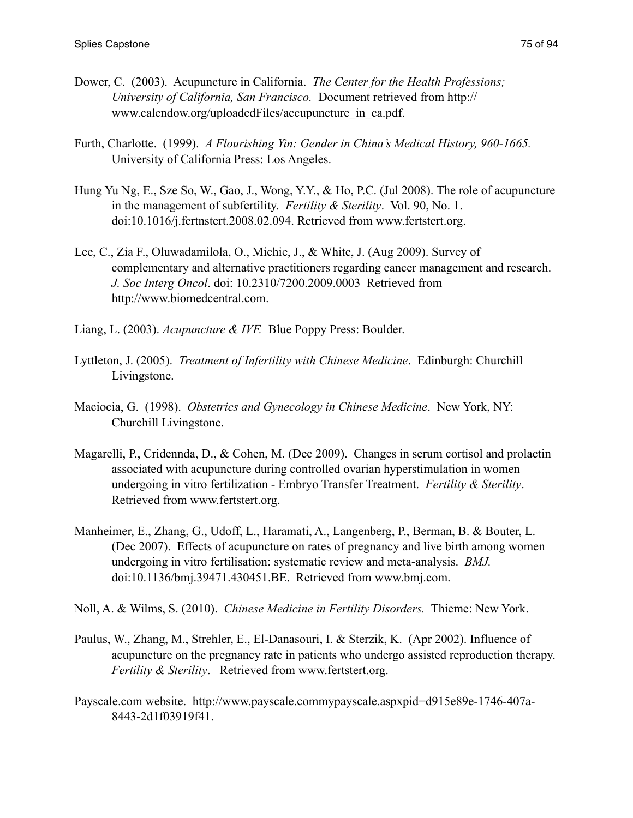- Dower, C. (2003). Acupuncture in California. *The Center for the Health Professions; University of California, San Francisco.* Document retrieved from http:// www.calendow.org/uploadedFiles/accupuncture\_in\_ca.pdf.
- Furth, Charlotte. (1999). *A Flourishing Yin: Gender in China's Medical History, 960-1665.* University of California Press: Los Angeles.
- Hung Yu Ng, E., Sze So, W., Gao, J., Wong, Y.Y., & Ho, P.C. (Jul 2008). The role of acupuncture in the management of subfertility. *Fertility & Sterility*. Vol. 90, No. 1. doi:10.1016/j.fertnstert.2008.02.094. Retrieved from www.fertstert.org.
- Lee, C., Zia F., Oluwadamilola, O., Michie, J., & White, J. (Aug 2009). Survey of complementary and alternative practitioners regarding cancer management and research. *J. Soc Interg Oncol*. doi: 10.2310/7200.2009.0003 Retrieved from http://www.biomedcentral.com.
- Liang, L. (2003). *Acupuncture & IVF.* Blue Poppy Press: Boulder.
- Lyttleton, J. (2005). *Treatment of Infertility with Chinese Medicine*. Edinburgh: Churchill Livingstone.
- Maciocia, G. (1998). *Obstetrics and Gynecology in Chinese Medicine*. New York, NY: Churchill Livingstone.
- Magarelli, P., Cridennda, D., & Cohen, M. (Dec 2009). Changes in serum cortisol and prolactin associated with acupuncture during controlled ovarian hyperstimulation in women undergoing in vitro fertilization - Embryo Transfer Treatment. *Fertility & Sterility*. Retrieved from www.fertstert.org.
- Manheimer, E., Zhang, G., Udoff, L., Haramati, A., Langenberg, P., Berman, B. & Bouter, L. (Dec 2007). Effects of acupuncture on rates of pregnancy and live birth among women undergoing in vitro fertilisation: systematic review and meta-analysis. *BMJ.*  doi:10.1136/bmj.39471.430451.BE. Retrieved from www.bmj.com.
- Noll, A. & Wilms, S. (2010). *Chinese Medicine in Fertility Disorders.* Thieme: New York.
- Paulus, W., Zhang, M., Strehler, E., El-Danasouri, I. & Sterzik, K. (Apr 2002). Influence of acupuncture on the pregnancy rate in patients who undergo assisted reproduction therapy. *Fertility & Sterility*. Retrieved from www.fertstert.org.
- Payscale.com website. http://www.payscale.commypayscale.aspxpid=d915e89e-1746-407a- 8443-2d1f03919f41.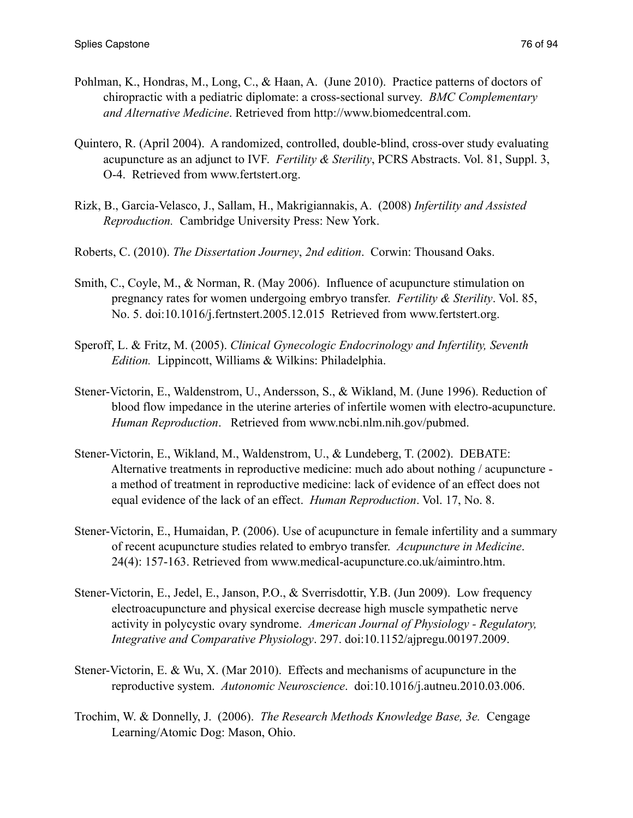- Pohlman, K., Hondras, M., Long, C., & Haan, A. (June 2010). Practice patterns of doctors of chiropractic with a pediatric diplomate: a cross-sectional survey. *BMC Complementary and Alternative Medicine*. Retrieved from http://www.biomedcentral.com.
- Quintero, R. (April 2004). A randomized, controlled, double-blind, cross-over study evaluating acupuncture as an adjunct to IVF. *Fertility & Sterility*, PCRS Abstracts. Vol. 81, Suppl. 3, O-4. Retrieved from www.fertstert.org.
- Rizk, B., Garcia-Velasco, J., Sallam, H., Makrigiannakis, A. (2008) *Infertility and Assisted Reproduction.* Cambridge University Press: New York.
- Roberts, C. (2010). *The Dissertation Journey*, *2nd edition*. Corwin: Thousand Oaks.
- Smith, C., Coyle, M., & Norman, R. (May 2006). Influence of acupuncture stimulation on pregnancy rates for women undergoing embryo transfer. *Fertility & Sterility*. Vol. 85, No. 5. doi:10.1016/j.fertnstert.2005.12.015 Retrieved from www.fertstert.org.
- Speroff, L. & Fritz, M. (2005). *Clinical Gynecologic Endocrinology and Infertility, Seventh Edition.* Lippincott, Williams & Wilkins: Philadelphia.
- Stener-Victorin, E., Waldenstrom, U., Andersson, S., & Wikland, M. (June 1996). Reduction of blood flow impedance in the uterine arteries of infertile women with electro-acupuncture. *Human Reproduction*. Retrieved from www.ncbi.nlm.nih.gov/pubmed.
- Stener-Victorin, E., Wikland, M., Waldenstrom, U., & Lundeberg, T. (2002). DEBATE: Alternative treatments in reproductive medicine: much ado about nothing / acupuncture a method of treatment in reproductive medicine: lack of evidence of an effect does not equal evidence of the lack of an effect. *Human Reproduction*. Vol. 17, No. 8.
- Stener-Victorin, E., Humaidan, P. (2006). Use of acupuncture in female infertility and a summary of recent acupuncture studies related to embryo transfer. *Acupuncture in Medicine*. 24(4): 157-163. Retrieved from www.medical-acupuncture.co.uk/aimintro.htm.
- Stener-Victorin, E., Jedel, E., Janson, P.O., & Sverrisdottir, Y.B. (Jun 2009). Low frequency electroacupuncture and physical exercise decrease high muscle sympathetic nerve activity in polycystic ovary syndrome. *American Journal of Physiology - Regulatory, Integrative and Comparative Physiology*. 297. doi:10.1152/ajpregu.00197.2009.
- Stener-Victorin, E. & Wu, X. (Mar 2010). Effects and mechanisms of acupuncture in the reproductive system. *Autonomic Neuroscience*. doi:10.1016/j.autneu.2010.03.006.
- Trochim, W. & Donnelly, J. (2006). *The Research Methods Knowledge Base, 3e.* Cengage Learning/Atomic Dog: Mason, Ohio.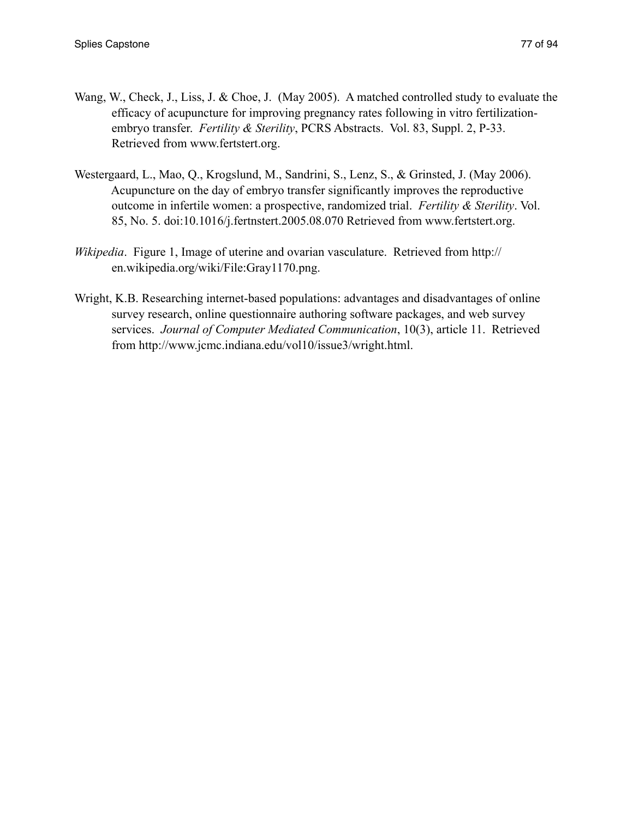- Wang, W., Check, J., Liss, J. & Choe, J. (May 2005). A matched controlled study to evaluate the efficacy of acupuncture for improving pregnancy rates following in vitro fertilization embryo transfer. *Fertility & Sterility*, PCRS Abstracts. Vol. 83, Suppl. 2, P-33. Retrieved from www.fertstert.org.
- Westergaard, L., Mao, Q., Krogslund, M., Sandrini, S., Lenz, S., & Grinsted, J. (May 2006). Acupuncture on the day of embryo transfer significantly improves the reproductive outcome in infertile women: a prospective, randomized trial. *Fertility & Sterility*. Vol. 85, No. 5. doi:10.1016/j.fertnstert.2005.08.070 Retrieved from www.fertstert.org.
- *Wikipedia*. Figure 1, Image of uterine and ovarian vasculature. Retrieved from http:// en.wikipedia.org/wiki/File:Gray1170.png.
- Wright, K.B. Researching internet-based populations: advantages and disadvantages of online survey research, online questionnaire authoring software packages, and web survey services. *Journal of Computer Mediated Communication*, 10(3), article 11. Retrieved from http://www.jcmc.indiana.edu/vol10/issue3/wright.html.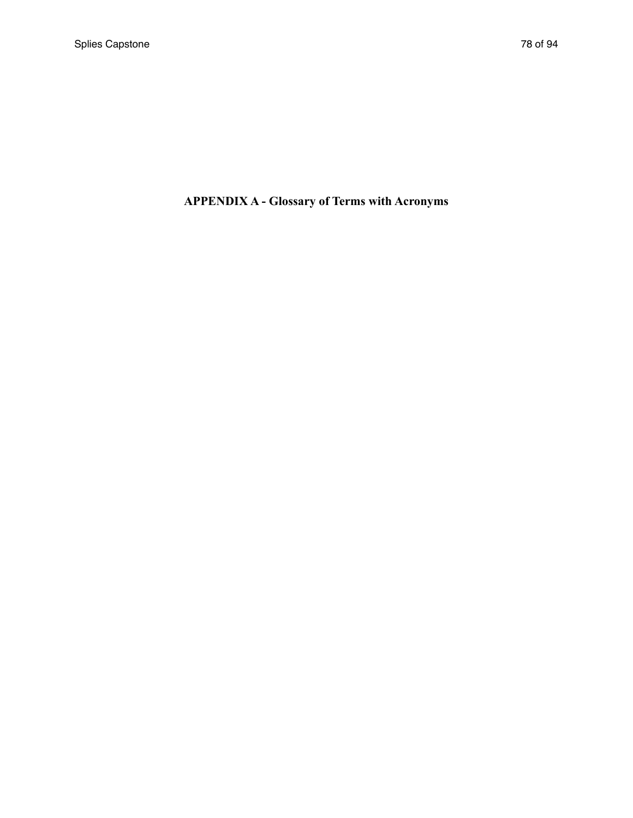# **APPENDIX A - Glossary of Terms with Acronyms**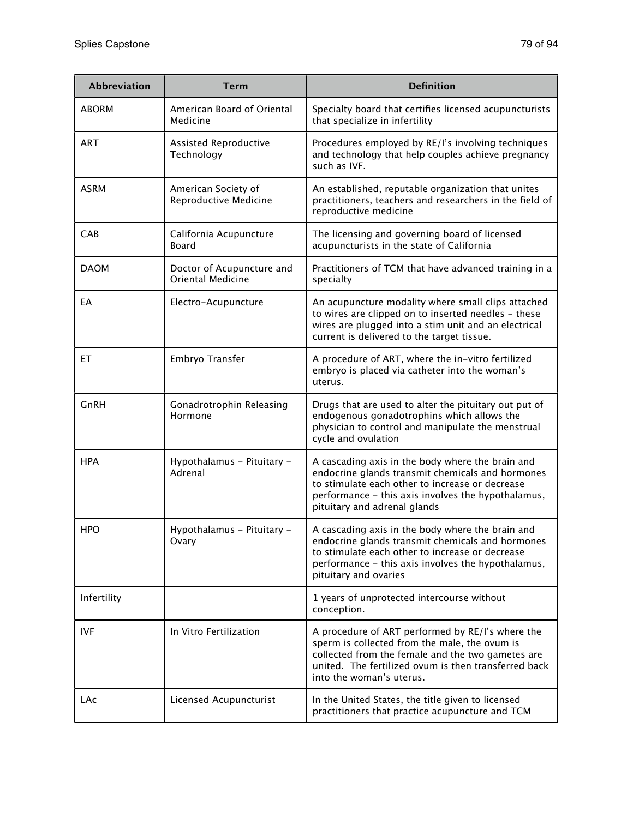| <b>Abbreviation</b> | <b>Term</b>                                           | <b>Definition</b>                                                                                                                                                                                                                             |
|---------------------|-------------------------------------------------------|-----------------------------------------------------------------------------------------------------------------------------------------------------------------------------------------------------------------------------------------------|
| <b>ABORM</b>        | American Board of Oriental<br>Medicine                | Specialty board that certifies licensed acupuncturists<br>that specialize in infertility                                                                                                                                                      |
| <b>ART</b>          | Assisted Reproductive<br>Technology                   | Procedures employed by RE/I's involving techniques<br>and technology that help couples achieve pregnancy<br>such as IVF.                                                                                                                      |
| <b>ASRM</b>         | American Society of<br>Reproductive Medicine          | An established, reputable organization that unites<br>practitioners, teachers and researchers in the field of<br>reproductive medicine                                                                                                        |
| CAB                 | California Acupuncture<br><b>Board</b>                | The licensing and governing board of licensed<br>acupuncturists in the state of California                                                                                                                                                    |
| <b>DAOM</b>         | Doctor of Acupuncture and<br><b>Oriental Medicine</b> | Practitioners of TCM that have advanced training in a<br>specialty                                                                                                                                                                            |
| EA                  | Electro-Acupuncture                                   | An acupuncture modality where small clips attached<br>to wires are clipped on to inserted needles - these<br>wires are plugged into a stim unit and an electrical<br>current is delivered to the target tissue.                               |
| EТ                  | Embryo Transfer                                       | A procedure of ART, where the in-vitro fertilized<br>embryo is placed via catheter into the woman's<br>uterus.                                                                                                                                |
| GnRH                | Gonadrotrophin Releasing<br>Hormone                   | Drugs that are used to alter the pituitary out put of<br>endogenous gonadotrophins which allows the<br>physician to control and manipulate the menstrual<br>cycle and ovulation                                                               |
| <b>HPA</b>          | Hypothalamus - Pituitary -<br>Adrenal                 | A cascading axis in the body where the brain and<br>endocrine glands transmit chemicals and hormones<br>to stimulate each other to increase or decrease<br>performance - this axis involves the hypothalamus,<br>pituitary and adrenal glands |
| <b>HPO</b>          | Hypothalamus - Pituitary -<br>Ovary                   | A cascading axis in the body where the brain and<br>endocrine glands transmit chemicals and hormones<br>to stimulate each other to increase or decrease<br>performance - this axis involves the hypothalamus,<br>pituitary and ovaries        |
| Infertility         |                                                       | 1 years of unprotected intercourse without<br>conception.                                                                                                                                                                                     |
| <b>IVF</b>          | In Vitro Fertilization                                | A procedure of ART performed by RE/I's where the<br>sperm is collected from the male, the ovum is<br>collected from the female and the two gametes are<br>united. The fertilized ovum is then transferred back<br>into the woman's uterus.    |
| LAc                 | Licensed Acupuncturist                                | In the United States, the title given to licensed<br>practitioners that practice acupuncture and TCM                                                                                                                                          |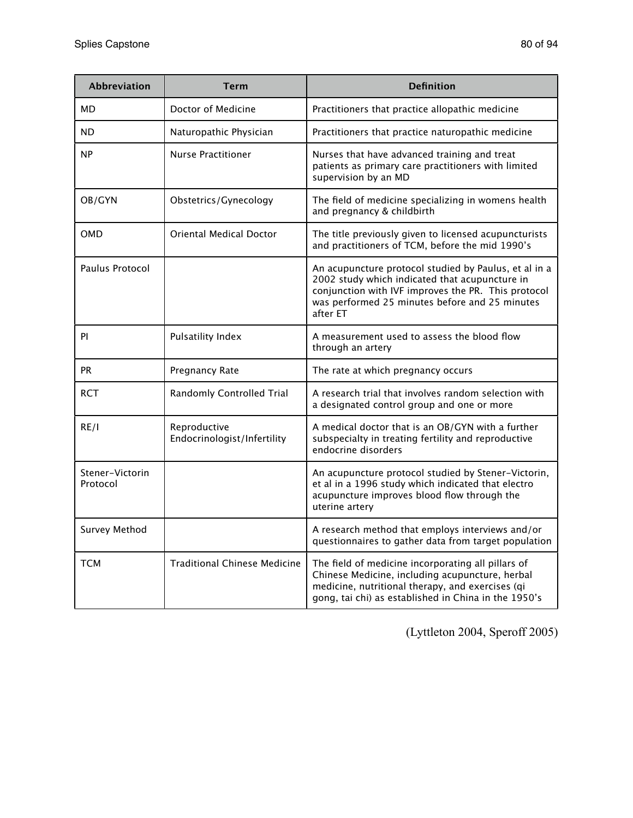| Abbreviation                | <b>Term</b>                                 | <b>Definition</b>                                                                                                                                                                                                            |
|-----------------------------|---------------------------------------------|------------------------------------------------------------------------------------------------------------------------------------------------------------------------------------------------------------------------------|
| MD                          | Doctor of Medicine                          | Practitioners that practice allopathic medicine                                                                                                                                                                              |
| ND                          | Naturopathic Physician                      | Practitioners that practice naturopathic medicine                                                                                                                                                                            |
| <b>NP</b>                   | <b>Nurse Practitioner</b>                   | Nurses that have advanced training and treat<br>patients as primary care practitioners with limited<br>supervision by an MD                                                                                                  |
| OB/GYN                      | Obstetrics/Gynecology                       | The field of medicine specializing in womens health<br>and pregnancy & childbirth                                                                                                                                            |
| <b>OMD</b>                  | <b>Oriental Medical Doctor</b>              | The title previously given to licensed acupuncturists<br>and practitioners of TCM, before the mid 1990's                                                                                                                     |
| Paulus Protocol             |                                             | An acupuncture protocol studied by Paulus, et al in a<br>2002 study which indicated that acupuncture in<br>conjunction with IVF improves the PR. This protocol<br>was performed 25 minutes before and 25 minutes<br>after ET |
| PI                          | <b>Pulsatility Index</b>                    | A measurement used to assess the blood flow<br>through an artery                                                                                                                                                             |
| <b>PR</b>                   | Pregnancy Rate                              | The rate at which pregnancy occurs                                                                                                                                                                                           |
| <b>RCT</b>                  | <b>Randomly Controlled Trial</b>            | A research trial that involves random selection with<br>a designated control group and one or more                                                                                                                           |
| RE/I                        | Reproductive<br>Endocrinologist/Infertility | A medical doctor that is an OB/GYN with a further<br>subspecialty in treating fertility and reproductive<br>endocrine disorders                                                                                              |
| Stener-Victorin<br>Protocol |                                             | An acupuncture protocol studied by Stener-Victorin,<br>et al in a 1996 study which indicated that electro<br>acupuncture improves blood flow through the<br>uterine artery                                                   |
| Survey Method               |                                             | A research method that employs interviews and/or<br>questionnaires to gather data from target population                                                                                                                     |
| <b>TCM</b>                  | <b>Traditional Chinese Medicine</b>         | The field of medicine incorporating all pillars of<br>Chinese Medicine, including acupuncture, herbal<br>medicine, nutritional therapy, and exercises (qi<br>gong, tai chi) as established in China in the 1950's            |

(Lyttleton 2004, Speroff 2005)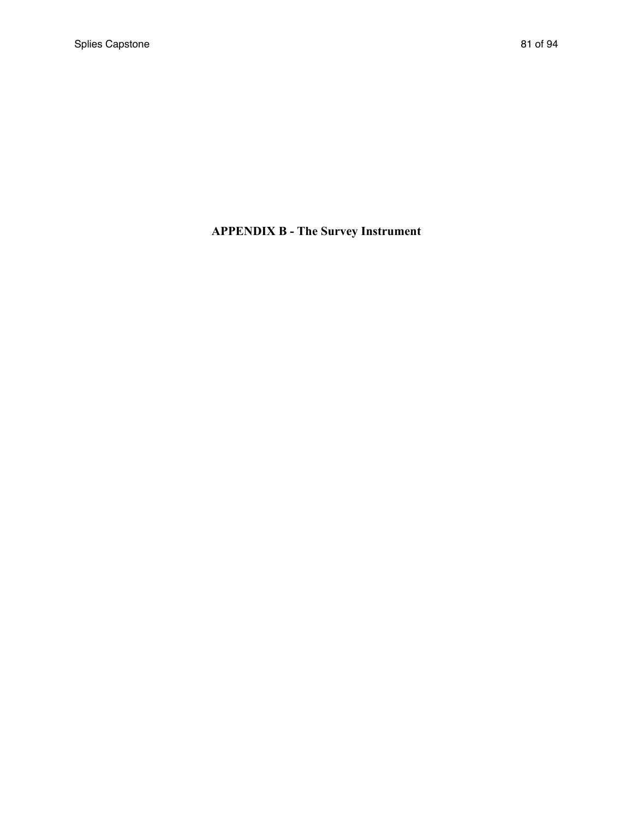# **APPENDIX B - The Survey Instrument**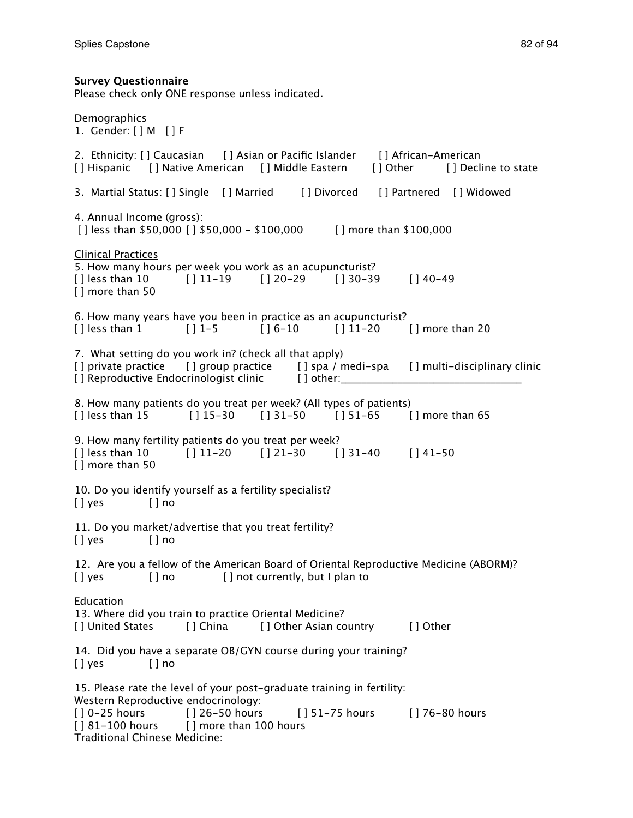**Survey Questionnaire**

# Please check only ONE response unless indicated. **Demographics** 1. Gender: [ ] M [ ] F 2. Ethnicity: [ ] Caucasian [ ] Asian or Pacific Islander [ ] African-American [ ] Hispanic [ ] Native American [ ] Middle Eastern [ ] Other [ ] Decline to state 3. Martial Status: [ ] Single [ ] Married [ ] Divorced [ ] Partnered [ ] Widowed 4. Annual Income (gross): [ ] less than \$50,000 [ ] \$50,000 - \$100,000 [ ] more than \$100,000 Clinical Practices 5. How many hours per week you work as an acupuncturist? [ ] less than 10 [ ] 11-19 [ ] 20-29 [ ] 30-39 [ ] 40-49 [ ] more than 50 6. How many years have you been in practice as an acupuncturist?  $[$  | less than 1  $[$  | 1-5  $[$  | 16-10  $[$  | 11-20  $[$  | more than 20 7. What setting do you work in? (check all that apply) [] private practice [] group practice [] spa / medi-spa [] multi-disciplinary clinic [] Reproductive Endocrinologist clinic [ ] other: 8. How many patients do you treat per week? (All types of patients)  $[ ]$  less than 15  $[ ] 15-30$   $[ ] 31-50$   $[ ] 51-65$   $[ ]$  more than 65 9. How many fertility patients do you treat per week?  $[$  | less than 10  $[$  | 11-20  $[$  | 21-30  $[$  | 31-40  $[$  | 41-50 [ ] more than 50 10. Do you identify yourself as a fertility specialist? [ ] ves [ ] no 11. Do you market/advertise that you treat fertility? [ ] yes [ ] no 12. Are you a fellow of the American Board of Oriental Reproductive Medicine (ABORM)? [] yes [] no [] not currently, but I plan to Education 13. Where did you train to practice Oriental Medicine? [ ] United States [ ] China [ ] Other Asian country [ ] Other 14. Did you have a separate OB/GYN course during your training? [ ] ves [ ] no 15. Please rate the level of your post-graduate training in fertility: Western Reproductive endocrinology: [ ] 0-25 hours [ ] 26-50 hours [ ] 51-75 hours [ ] 76-80 hours  $[181-100$  hours  $[1 \text{ more than } 100$  hours Traditional Chinese Medicine: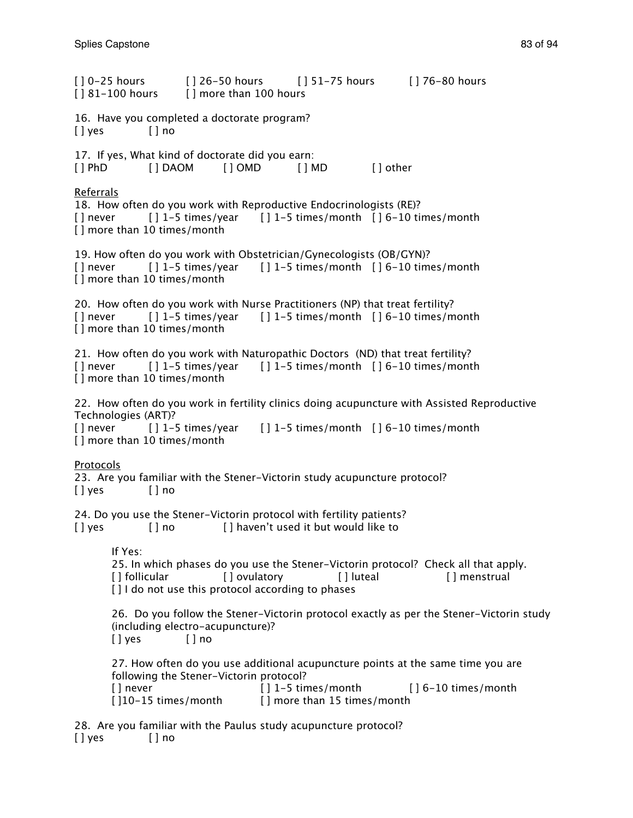[ ] 0-25 hours [ ] 26-50 hours [ ] 51-75 hours [ ] 76-80 hours [ ] 81-100 hours [ ] more than 100 hours 16. Have you completed a doctorate program? [ ] yes [ ] no 17. If yes, What kind of doctorate did you earn: [ ] PhD [ ] DAOM [ ] OMD [ ] MD [ ] other Referrals 18. How often do you work with Reproductive Endocrinologists (RE)?  $[ ]$  never  $[ ] 1-5$  times/year  $[ ] 1-5$  times/month  $[ ] 6-10$  times/month [] more than 10 times/month 19. How often do you work with Obstetrician/Gynecologists (OB/GYN)?  $[ ]$  never  $[ ] 1-5$  times/year  $[ ] 1-5$  times/month  $[ ] 6-10$  times/month [] more than 10 times/month 20. How often do you work with Nurse Practitioners (NP) that treat fertility?  $[ ]$  never  $[ ] 1-5$  times/year  $[ ] 1-5$  times/month  $[ ] 6-10$  times/month [] more than 10 times/month 21. How often do you work with Naturopathic Doctors (ND) that treat fertility?  $[ ]$  never  $[ ] 1-5$  times/year  $[ ] 1-5$  times/month  $[ ] 6-10$  times/month [] more than 10 times/month 22. How often do you work in fertility clinics doing acupuncture with Assisted Reproductive Technologies (ART)?  $[ ]$  never  $[ ]$  1-5 times/year  $[ ]$  1-5 times/month  $[ ]$  6-10 times/month [] more than 10 times/month Protocols 23. Are you familiar with the Stener-Victorin study acupuncture protocol? [ ] yes [ ] no 24. Do you use the Stener-Victorin protocol with fertility patients? [] yes [] no [] haven't used it but would like to If Yes: 25. In which phases do you use the Stener-Victorin protocol? Check all that apply. [ ] follicular [ ] ovulatory [ ] ] [ ] luteal [ ] ] [ ] menstrual [] I do not use this protocol according to phases 26. Do you follow the Stener-Victorin protocol exactly as per the Stener-Victorin study (including electro-acupuncture)? [ ] ves [ ] no 27. How often do you use additional acupuncture points at the same time you are following the Stener-Victorin protocol? [] never  $\begin{bmatrix} 1 & 1 & -5 \\ 1 & -5 & 1 \end{bmatrix}$  times/month  $\begin{bmatrix} 6 & -10 \\ 1 & -10 \end{bmatrix}$  times/month [ $|10-15$  times/month [] more than 15 times/month

28. Are you familiar with the Paulus study acupuncture protocol? [] yes [] no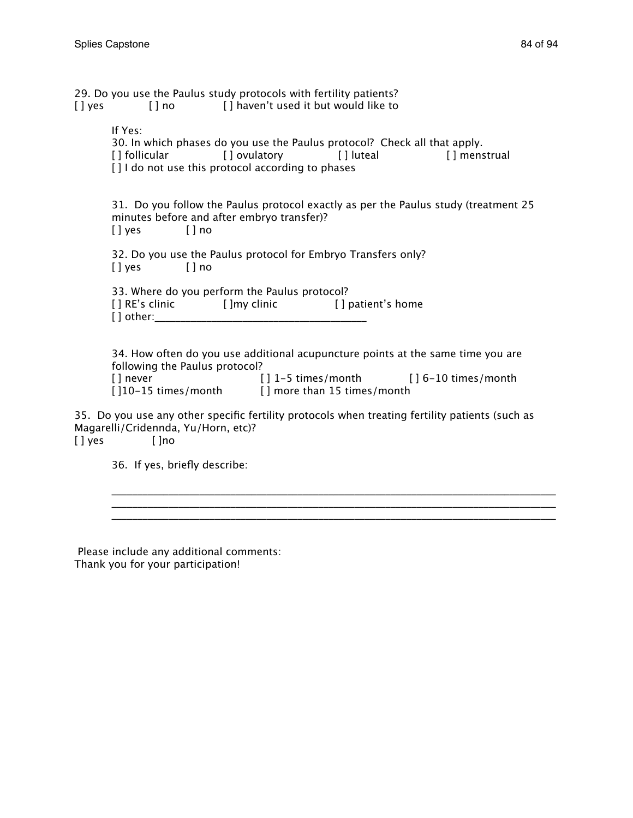| $[ \ ]$ yes | 29. Do you use the Paulus study protocols with fertility patients?                                                                                                                | [] no [] haven't used it but would like to |                                                                                                                                         |
|-------------|-----------------------------------------------------------------------------------------------------------------------------------------------------------------------------------|--------------------------------------------|-----------------------------------------------------------------------------------------------------------------------------------------|
|             | If Yes:<br>30. In which phases do you use the Paulus protocol? Check all that apply.<br>[] follicular [] ovulatory [] luteal<br>[] I do not use this protocol according to phases |                                            | [] menstrual                                                                                                                            |
|             | minutes before and after embryo transfer)?<br>$[]$ yes $[]$ no                                                                                                                    |                                            | 31. Do you follow the Paulus protocol exactly as per the Paulus study (treatment 25                                                     |
|             | 32. Do you use the Paulus protocol for Embryo Transfers only?<br>$[$ ] yes $[$ ] no                                                                                               |                                            |                                                                                                                                         |
|             | 33. Where do you perform the Paulus protocol?<br>[] RE's clinic [] [] [] [] [] RE's clinic [] [] [] [] [] [] [] [] [] patient's home                                              |                                            |                                                                                                                                         |
|             | following the Paulus protocol?<br>[ ] never<br>[]10-15 times/month [] more than 15 times/month                                                                                    |                                            | 34. How often do you use additional acupuncture points at the same time you are<br>$[ ] 1-5 \times$ limes/month $[ ] 6-10 \times$ month |
|             | Magarelli/Cridennda, Yu/Horn, etc)?                                                                                                                                               |                                            | 35. Do you use any other specific fertility protocols when treating fertility patients (such as                                         |

\_\_\_\_\_\_\_\_\_\_\_\_\_\_\_\_\_\_\_\_\_\_\_\_\_\_\_\_\_\_\_\_\_\_\_\_\_\_\_\_\_\_\_\_\_\_\_\_\_\_\_\_\_\_\_\_\_\_\_\_\_\_\_\_\_\_\_\_\_\_\_\_\_\_\_\_\_\_\_\_\_\_\_\_\_\_ \_\_\_\_\_\_\_\_\_\_\_\_\_\_\_\_\_\_\_\_\_\_\_\_\_\_\_\_\_\_\_\_\_\_\_\_\_\_\_\_\_\_\_\_\_\_\_\_\_\_\_\_\_\_\_\_\_\_\_\_\_\_\_\_\_\_\_\_\_\_\_\_\_\_\_\_\_\_\_\_\_\_\_\_\_\_

[] yes []no

36. If yes, briefly describe:

 Please include any additional comments: Thank you for your participation!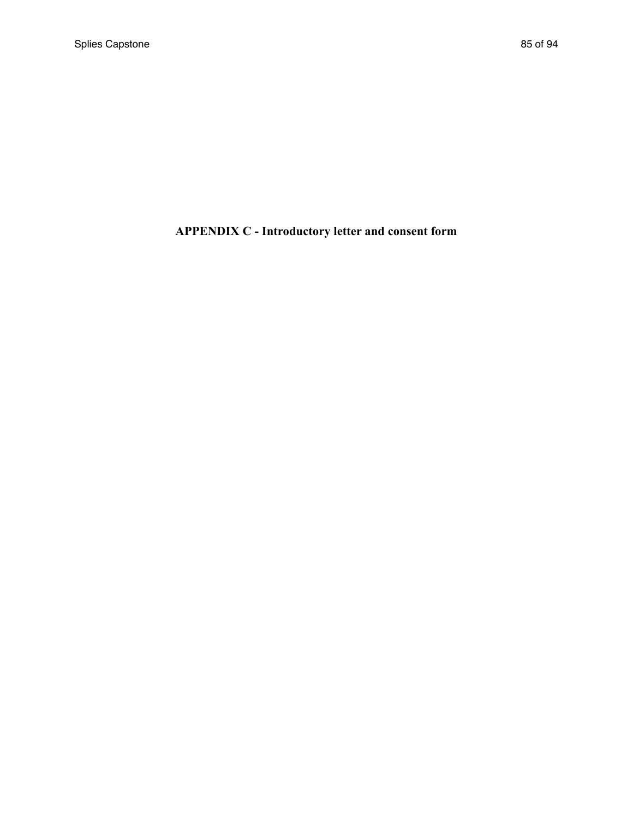# **APPENDIX C - Introductory letter and consent form**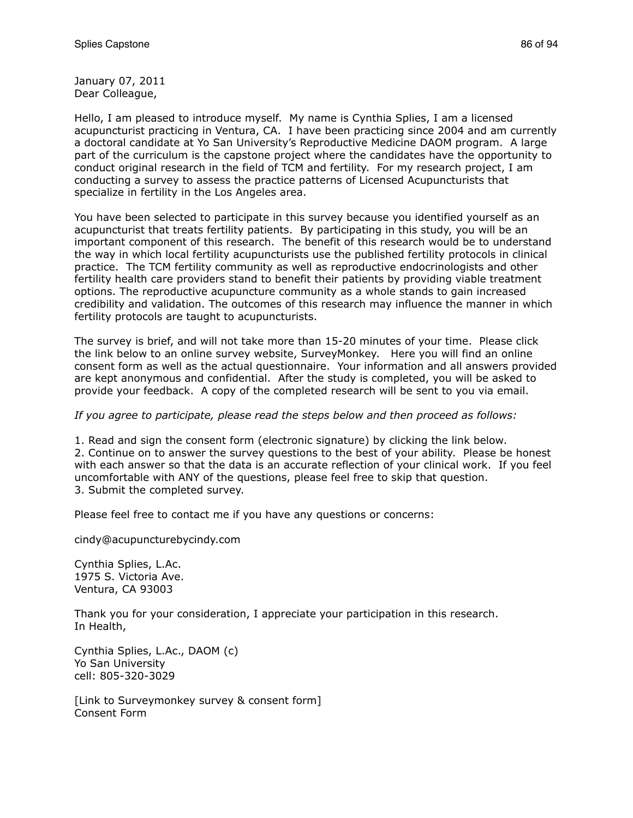January 07, 2011 Dear Colleague,

Hello, I am pleased to introduce myself. My name is Cynthia Splies, I am a licensed acupuncturist practicing in Ventura, CA. I have been practicing since 2004 and am currently a doctoral candidate at Yo San University's Reproductive Medicine DAOM program. A large part of the curriculum is the capstone project where the candidates have the opportunity to conduct original research in the field of TCM and fertility. For my research project, I am conducting a survey to assess the practice patterns of Licensed Acupuncturists that specialize in fertility in the Los Angeles area.

You have been selected to participate in this survey because you identified yourself as an acupuncturist that treats fertility patients. By participating in this study, you will be an important component of this research. The benefit of this research would be to understand the way in which local fertility acupuncturists use the published fertility protocols in clinical practice. The TCM fertility community as well as reproductive endocrinologists and other fertility health care providers stand to benefit their patients by providing viable treatment options. The reproductive acupuncture community as a whole stands to gain increased credibility and validation. The outcomes of this research may influence the manner in which fertility protocols are taught to acupuncturists.

The survey is brief, and will not take more than 15-20 minutes of your time. Please click the link below to an online survey website, SurveyMonkey. Here you will find an online consent form as well as the actual questionnaire. Your information and all answers provided are kept anonymous and confidential. After the study is completed, you will be asked to provide your feedback. A copy of the completed research will be sent to you via email.

#### *If you agree to participate, please read the steps below and then proceed as follows:*

1. Read and sign the consent form (electronic signature) by clicking the link below. 2. Continue on to answer the survey questions to the best of your ability. Please be honest with each answer so that the data is an accurate reflection of your clinical work. If you feel uncomfortable with ANY of the questions, please feel free to skip that question. 3. Submit the completed survey.

Please feel free to contact me if you have any questions or concerns:

cindy@acupuncturebycindy.com

Cynthia Splies, L.Ac. 1975 S. Victoria Ave. Ventura, CA 93003

Thank you for your consideration, I appreciate your participation in this research. In Health,

Cynthia Splies, L.Ac., DAOM (c) Yo San University cell: 805-320-3029

[Link to Surveymonkey survey & consent form] Consent Form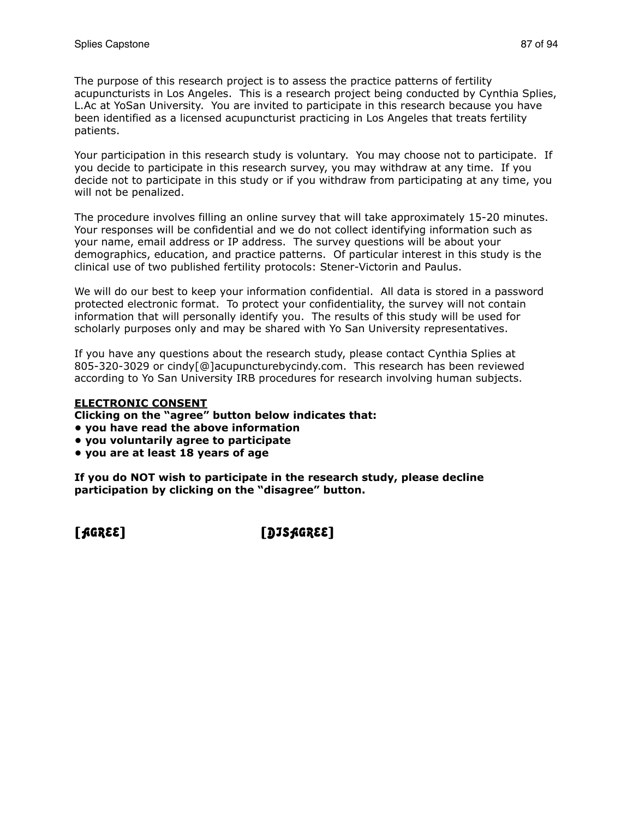The purpose of this research project is to assess the practice patterns of fertility acupuncturists in Los Angeles. This is a research project being conducted by Cynthia Splies, L.Ac at YoSan University. You are invited to participate in this research because you have been identified as a licensed acupuncturist practicing in Los Angeles that treats fertility patients.

Your participation in this research study is voluntary. You may choose not to participate. If you decide to participate in this research survey, you may withdraw at any time. If you decide not to participate in this study or if you withdraw from participating at any time, you will not be penalized.

The procedure involves filling an online survey that will take approximately 15-20 minutes. Your responses will be confidential and we do not collect identifying information such as your name, email address or IP address. The survey questions will be about your demographics, education, and practice patterns. Of particular interest in this study is the clinical use of two published fertility protocols: Stener-Victorin and Paulus.

We will do our best to keep your information confidential. All data is stored in a password protected electronic format. To protect your confidentiality, the survey will not contain information that will personally identify you. The results of this study will be used for scholarly purposes only and may be shared with Yo San University representatives.

If you have any questions about the research study, please contact Cynthia Splies at 805-320-3029 or cindy[@]acupuncturebycindy.com. This research has been reviewed according to Yo San University IRB procedures for research involving human subjects.

#### **ELECTRONIC CONSENT**

**Clicking on the "agree" button below indicates that:**

- **you have read the above information**
- **you voluntarily agree to participate**
- **you are at least 18 years of age**

**If you do NOT wish to participate in the research study, please decline participation by clicking on the "disagree" button.**

[AGREE] [DISAGREE]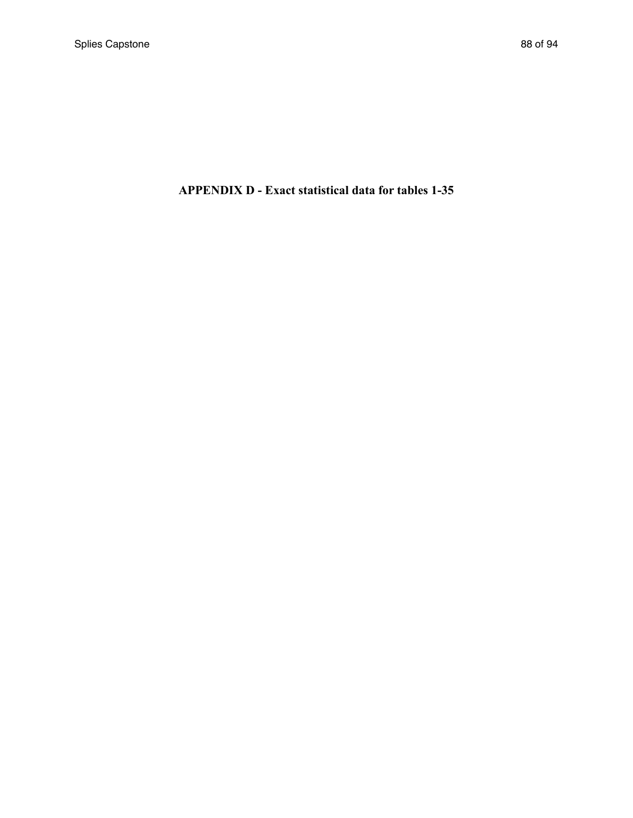# **APPENDIX D - Exact statistical data for tables 1-35**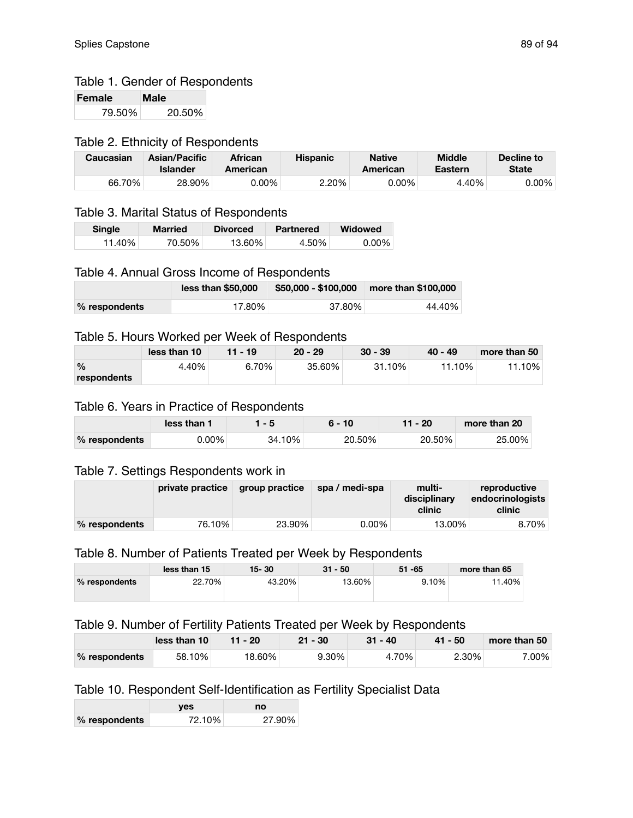# Table 1. Gender of Respondents

| Female | Male   |
|--------|--------|
| 79.50% | 20.50% |

#### Table 2. Ethnicity of Respondents

| Caucasian | <b>Asian/Pacific</b><br>Islander | <b>African</b><br>American | <b>Hispanic</b> | <b>Native</b><br>American | <b>Middle</b><br>Eastern | Decline to<br>State |
|-----------|----------------------------------|----------------------------|-----------------|---------------------------|--------------------------|---------------------|
| 66.70%    | 28.90%                           | 0.00%                      | 2.20%           | 0.00%                     | 4.40%                    | $0.00\%$            |

# Table 3. Marital Status of Respondents

| <b>Single</b> | <b>Married</b> | <b>Divorced</b> | Partnered | <b>Widowed</b> |
|---------------|----------------|-----------------|-----------|----------------|
| 11.40%⊥       | 70.50%         | 13.60%⊤         | 4.50%     | $0.00\%$       |

## Table 4. Annual Gross Income of Respondents

|               | less than \$50,000 | $$50,000 - $100,000$ | more than \$100,000 |
|---------------|--------------------|----------------------|---------------------|
| % respondents | 17.80%             | 37.80%               | 44.40%              |

#### Table 5. Hours Worked per Week of Respondents

|               | less than 10 | $11 - 19$ | $20 - 29$ | $30 - 39$ | $40 - 49$ | more than 50 |
|---------------|--------------|-----------|-----------|-----------|-----------|--------------|
| $\frac{0}{0}$ | 4.40%        | 6.70%     | $35.60\%$ | $31.10\%$ | 11.10%    | 11.10%       |
| respondents   |              |           |           |           |           |              |

#### Table 6. Years in Practice of Respondents

|               | less than <b>s</b> | l - 5  | $6 - 10$ | $11 - 20$ | more than 20 |
|---------------|--------------------|--------|----------|-----------|--------------|
| % respondents | 0.00%              | 34.10% | 20.50%   | 20.50%    | 25.00%       |

### Table 7. Settings Respondents work in

|                 | private practice | <b>group practice</b> | spa / medi-spa | multi-<br>disciplinary<br>clinic | reproductive<br>endocrinologists<br>clinic |
|-----------------|------------------|-----------------------|----------------|----------------------------------|--------------------------------------------|
| $%$ respondents | 76.10%           | 23.90%                | $0.00\%$       | 13.00%                           | 8.70%                                      |

# Table 8. Number of Patients Treated per Week by Respondents

|               | less than 15 | $15 - 30$ | $31 - 50$ | $51 - 65$ | more than 65 |
|---------------|--------------|-----------|-----------|-----------|--------------|
| % respondents | 22.70%       | 43.20%    | 13.60%    | 9.10%     | 11.40%       |

### Table 9. Number of Fertility Patients Treated per Week by Respondents

|               | less than 10 | $11 - 20$ | $21 - 30$ | $31 - 40$ | $41 - 50$ | more than 50 |
|---------------|--------------|-----------|-----------|-----------|-----------|--------------|
| % respondents | 58.10%       | 18.60%    | $9.30\%$  | 4.70%     | 2.30%     | 7.00%        |

# Table 10. Respondent Self-Identification as Fertility Specialist Data

|               | ves    | no     |
|---------------|--------|--------|
| % respondents | 72.10% | 27.90% |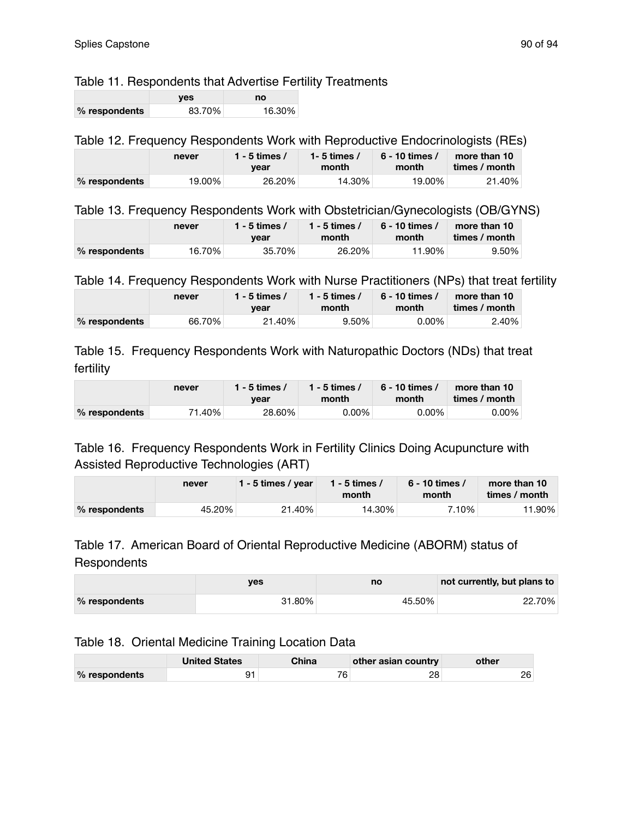# Table 11. Respondents that Advertise Fertility Treatments

|               | ves    | no     |
|---------------|--------|--------|
| % respondents | 83.70% | 16.30% |

# Table 12. Frequency Respondents Work with Reproductive Endocrinologists (REs)

|                 | never   | 1 - 5 times $\lambda$<br>vear | 1- 5 times /<br>month | . 6 - 10 times<br>month | more than 10<br>times / month |
|-----------------|---------|-------------------------------|-----------------------|-------------------------|-------------------------------|
| $%$ respondents | 19.00%⊥ | 26.20%                        | 14.30%                | 19.00%                  | 21.40%                        |

### Table 13. Frequency Respondents Work with Obstetrician/Gynecologists (OB/GYNS)

|               | never  | 1 - 5 times /<br>1 - 5 times /<br>month<br>vear |        | 6 - 10 times /<br>month | more than 10<br>times / month |  |
|---------------|--------|-------------------------------------------------|--------|-------------------------|-------------------------------|--|
| % respondents | 16.70% | 35.70%                                          | 26.20% | 11.90%                  | $9.50\%$                      |  |

Table 14. Frequency Respondents Work with Nurse Practitioners (NPs) that treat fertility

|               | never  | 1 - 5 times /<br>vear | 1 - 5 times /<br>month | ، 6 - 10 times<br>month | more than 10<br>times / month |
|---------------|--------|-----------------------|------------------------|-------------------------|-------------------------------|
| % respondents | 66.70% | 21.40%                | $9.50\%$               | $0.00\%$                | 2.40%                         |

Table 15. Frequency Respondents Work with Naturopathic Doctors (NDs) that treat fertility

|               | never  | l - 5 times /<br>vear | 1 - 5 times /<br>month | ، 6 - 10 times<br>month | more than 10<br>times / month |
|---------------|--------|-----------------------|------------------------|-------------------------|-------------------------------|
| % respondents | 71.40% | 28.60%                | $0.00\%$               | $0.00\%$                | $0.00\%$                      |

# Table 16. Frequency Respondents Work in Fertility Clinics Doing Acupuncture with Assisted Reproductive Technologies (ART)

|               | never  | 1 - 5 times / year | 1 - 5 times /<br>month | $6$ - 10 times /<br>month | more than 10<br>times / month |
|---------------|--------|--------------------|------------------------|---------------------------|-------------------------------|
| % respondents | 45.20% | 21.40%             | 14.30%                 | 7.10%                     | 11.90%                        |

# Table 17. American Board of Oriental Reproductive Medicine (ABORM) status of **Respondents**

|               | ves    | no     | not currently, but plans to |
|---------------|--------|--------|-----------------------------|
| % respondents | 31.80% | 45.50% | 22.70%                      |

## Table 18. Oriental Medicine Training Location Data

|               | <b>United States</b> | China | other asian country | other |
|---------------|----------------------|-------|---------------------|-------|
| % respondents | 91                   | 76    | 28                  | 26    |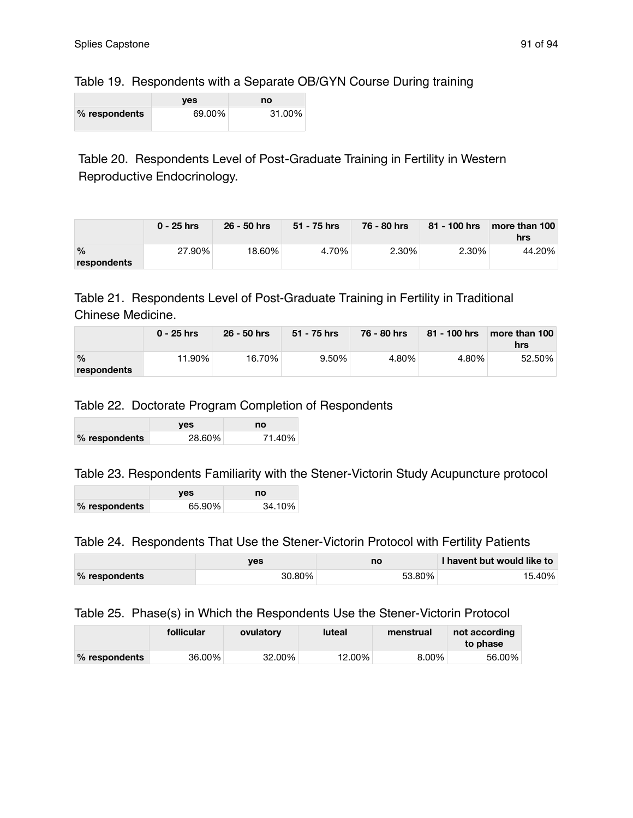# Table 19. Respondents with a Separate OB/GYN Course During training

|               | ves    | no     |
|---------------|--------|--------|
| % respondents | 69.00% | 31.00% |

Table 20. Respondents Level of Post-Graduate Training in Fertility in Western Reproductive Endocrinology.

|                              | $0 - 25$ hrs | $26 - 50$ hrs | 51 - 75 hrs | 76 - 80 hrs | $81 - 100$ hrs | more than 100<br>hrs |
|------------------------------|--------------|---------------|-------------|-------------|----------------|----------------------|
| $\frac{0}{0}$<br>respondents | 27.90%       | 18.60%        | 4.70%       | $2.30\%$    | 2.30%          | 44.20%               |

# Table 21. Respondents Level of Post-Graduate Training in Fertility in Traditional Chinese Medicine.

|                              | $0 - 25$ hrs | $26 - 50$ hrs | 51 - 75 hrs | 76 - 80 hrs | 81 - 100 hrs | more than 100<br>hrs |
|------------------------------|--------------|---------------|-------------|-------------|--------------|----------------------|
| $\frac{0}{0}$<br>respondents | 11.90%⊤      | 16.70%        | 9.50%       | 4.80%       | 4.80%        | 52.50%               |

# Table 22. Doctorate Program Completion of Respondents

|               | yes    | no     |
|---------------|--------|--------|
| % respondents | 28.60% | 71.40% |

# Table 23. Respondents Familiarity with the Stener-Victorin Study Acupuncture protocol

|               | <b>ves</b> | no     |
|---------------|------------|--------|
| % respondents | 65.90%     | 34.10% |

## Table 24. Respondents That Use the Stener-Victorin Protocol with Fertility Patients

|               | ves    | no     | I havent but would like to |
|---------------|--------|--------|----------------------------|
| % respondents | 30.80% | 53.80% | 15.40%                     |

## Table 25. Phase(s) in Which the Respondents Use the Stener-Victorin Protocol

|               | follicular | ovulatory | luteal  | menstrual | not according<br>to phase |
|---------------|------------|-----------|---------|-----------|---------------------------|
| % respondents | 36.00%     | 32.00%    | 12.00%⊤ | $8.00\%$  | 56.00%                    |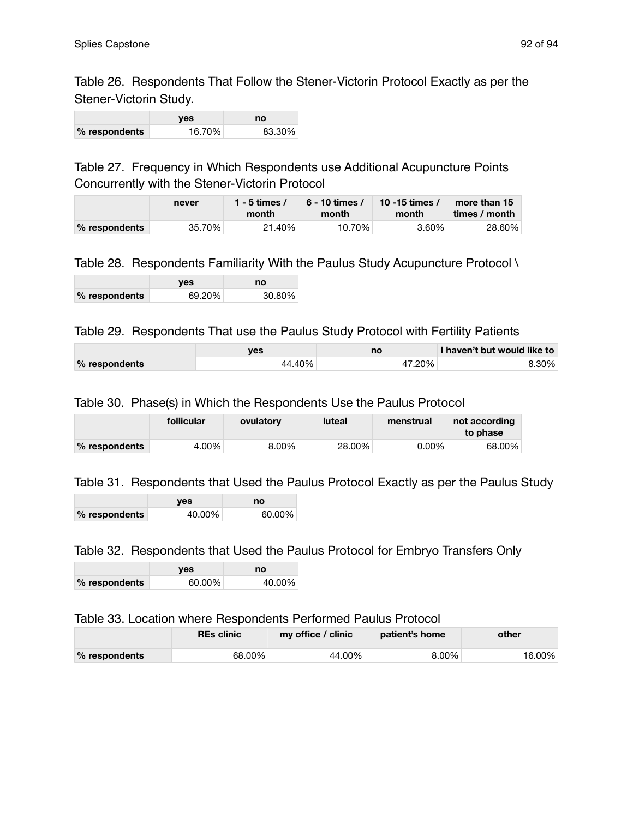Table 26. Respondents That Follow the Stener-Victorin Protocol Exactly as per the Stener-Victorin Study.

|               | ves    | no     |
|---------------|--------|--------|
| % respondents | 16.70% | 83.30% |

Table 27. Frequency in Which Respondents use Additional Acupuncture Points Concurrently with the Stener-Victorin Protocol

|               | never  | 1 - 5 times /<br>month | 6 - 10 times /<br>month | 10 -15 times /<br>month | more than 15<br>times / month |
|---------------|--------|------------------------|-------------------------|-------------------------|-------------------------------|
| % respondents | 35.70% | 21.40%                 | 10.70%                  | 3.60%                   | 28.60%                        |

### Table 28. Respondents Familiarity With the Paulus Study Acupuncture Protocol \

|               | ves    | no     |
|---------------|--------|--------|
| % respondents | 69.20% | 30.80% |

#### Table 29. Respondents That use the Paulus Study Protocol with Fertility Patients

|               | ves    | no     | I haven't but would like to |
|---------------|--------|--------|-----------------------------|
| % respondents | 44.40% | 47.20% | $8.30\%$                    |

#### Table 30. Phase(s) in Which the Respondents Use the Paulus Protocol

|               | follicular | ovulatory | <b>luteal</b> | menstrual | not according<br>to phase |
|---------------|------------|-----------|---------------|-----------|---------------------------|
| % respondents | 4.00%      | $8.00\%$  | 28.00%        | $0.00\%$  | 68.00%⊣                   |

#### Table 31. Respondents that Used the Paulus Protocol Exactly as per the Paulus Study

|               | ves    | no     |
|---------------|--------|--------|
| % respondents | 40.00% | 60.00% |

#### Table 32. Respondents that Used the Paulus Protocol for Embryo Transfers Only

|               | ves    | no     |
|---------------|--------|--------|
| % respondents | 60.00% | 40.00% |

#### Table 33. Location where Respondents Performed Paulus Protocol

|               | <b>REs clinic</b> | my office / clinic | patient's home | other   |
|---------------|-------------------|--------------------|----------------|---------|
| % respondents | 68.00%            | 44.00%             | 8.00%          | 16.00%⊤ |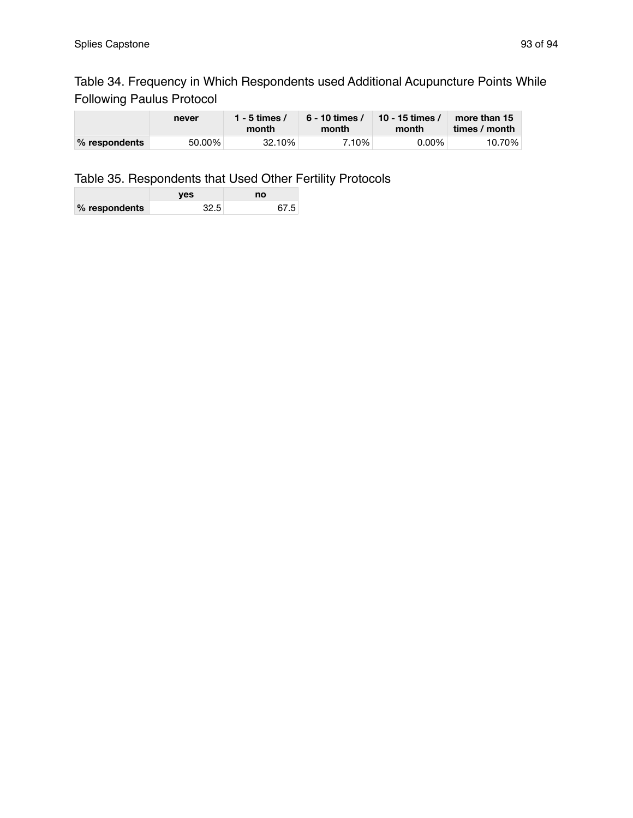# Table 34. Frequency in Which Respondents used Additional Acupuncture Points While Following Paulus Protocol

|               | never  | 1 - 5 times /<br>month | $6 - 10$ times /<br>month | 10 - 15 times /<br>month | more than 15<br>times / month |
|---------------|--------|------------------------|---------------------------|--------------------------|-------------------------------|
| % respondents | 50.00% | 32.10%                 | 7.10%                     | $0.00\%$                 | 10.70%                        |

# Table 35. Respondents that Used Other Fertility Protocols

|               | ves  | no   |
|---------------|------|------|
| % respondents | 32.5 | 67.5 |